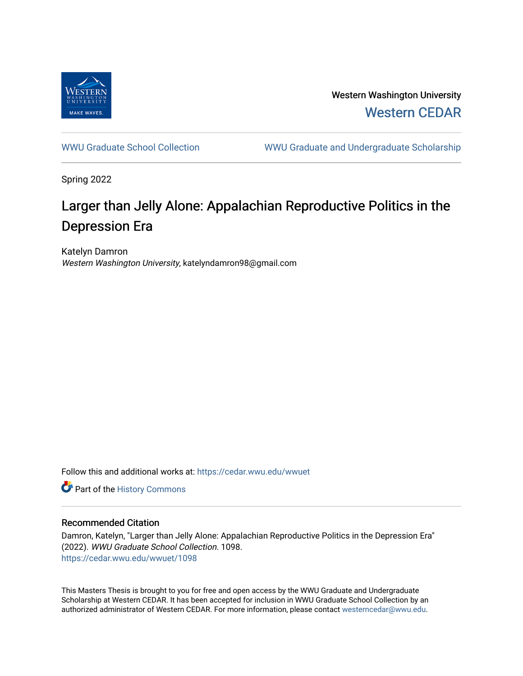

Western Washington University [Western CEDAR](https://cedar.wwu.edu/) 

[WWU Graduate School Collection](https://cedar.wwu.edu/wwuet) WWU Graduate and Undergraduate Scholarship

Spring 2022

# Larger than Jelly Alone: Appalachian Reproductive Politics in the Depression Era

Katelyn Damron Western Washington University, katelyndamron98@gmail.com

Follow this and additional works at: [https://cedar.wwu.edu/wwuet](https://cedar.wwu.edu/wwuet?utm_source=cedar.wwu.edu%2Fwwuet%2F1098&utm_medium=PDF&utm_campaign=PDFCoverPages)

Part of the [History Commons](https://network.bepress.com/hgg/discipline/489?utm_source=cedar.wwu.edu%2Fwwuet%2F1098&utm_medium=PDF&utm_campaign=PDFCoverPages) 

### Recommended Citation

Damron, Katelyn, "Larger than Jelly Alone: Appalachian Reproductive Politics in the Depression Era" (2022). WWU Graduate School Collection. 1098. [https://cedar.wwu.edu/wwuet/1098](https://cedar.wwu.edu/wwuet/1098?utm_source=cedar.wwu.edu%2Fwwuet%2F1098&utm_medium=PDF&utm_campaign=PDFCoverPages) 

This Masters Thesis is brought to you for free and open access by the WWU Graduate and Undergraduate Scholarship at Western CEDAR. It has been accepted for inclusion in WWU Graduate School Collection by an authorized administrator of Western CEDAR. For more information, please contact [westerncedar@wwu.edu.](mailto:westerncedar@wwu.edu)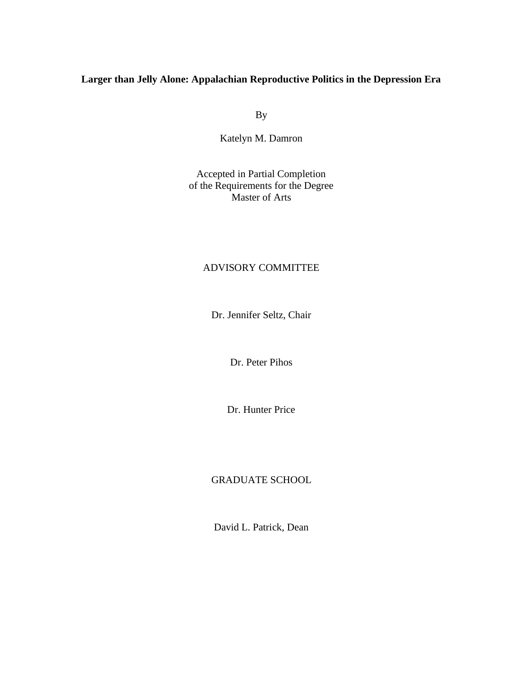## **Larger than Jelly Alone: Appalachian Reproductive Politics in the Depression Era**

By

Katelyn M. Damron

Accepted in Partial Completion of the Requirements for the Degree Master of Arts

## ADVISORY COMMITTEE

Dr. Jennifer Seltz, Chair

Dr. Peter Pihos

Dr. Hunter Price

## GRADUATE SCHOOL

David L. Patrick, Dean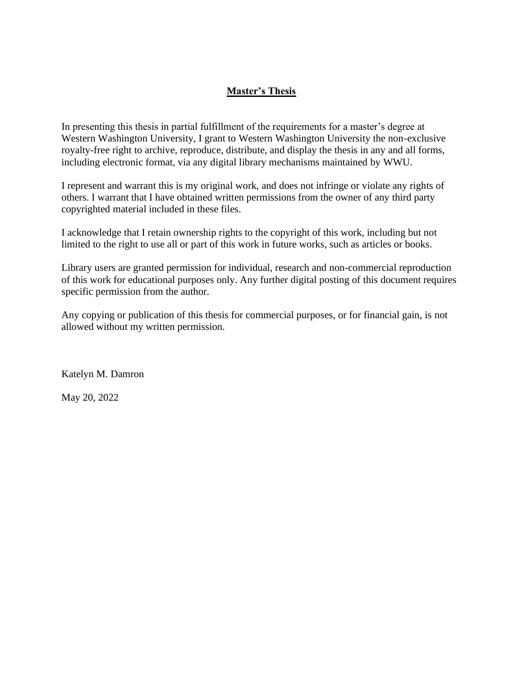## **Master's Thesis**

In presenting this thesis in partial fulfillment of the requirements for a master's degree at Western Washington University, I grant to Western Washington University the non-exclusive royalty-free right to archive, reproduce, distribute, and display the thesis in any and all forms, including electronic format, via any digital library mechanisms maintained by WWU.

I represent and warrant this is my original work, and does not infringe or violate any rights of others. I warrant that I have obtained written permissions from the owner of any third party copyrighted material included in these files.

I acknowledge that I retain ownership rights to the copyright of this work, including but not limited to the right to use all or part of this work in future works, such as articles or books.

Library users are granted permission for individual, research and non-commercial reproduction of this work for educational purposes only. Any further digital posting of this document requires specific permission from the author.

Any copying or publication of this thesis for commercial purposes, or for financial gain, is not allowed without my written permission.

Katelyn M. Damron

May 20, 2022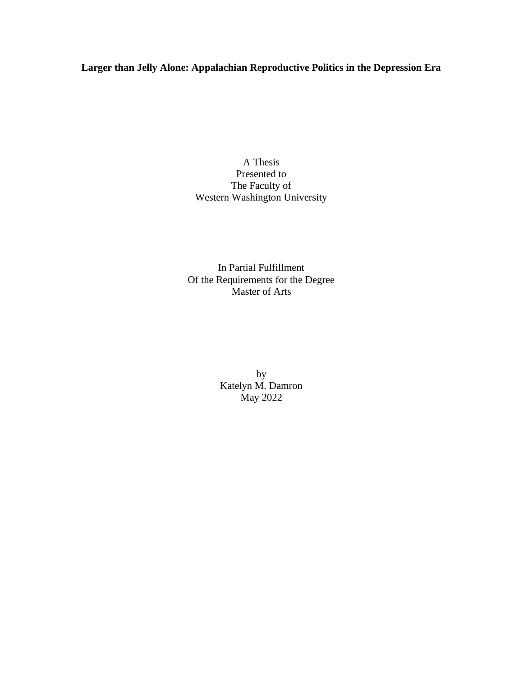## **Larger than Jelly Alone: Appalachian Reproductive Politics in the Depression Era**

A Thesis Presented to The Faculty of Western Washington University

In Partial Fulfillment Of the Requirements for the Degree Master of Arts

> by Katelyn M. Damron May 2022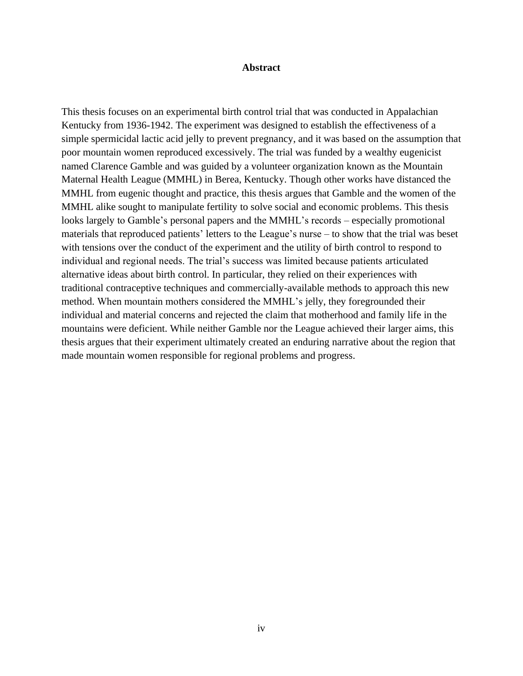#### **Abstract**

This thesis focuses on an experimental birth control trial that was conducted in Appalachian Kentucky from 1936-1942. The experiment was designed to establish the effectiveness of a simple spermicidal lactic acid jelly to prevent pregnancy, and it was based on the assumption that poor mountain women reproduced excessively. The trial was funded by a wealthy eugenicist named Clarence Gamble and was guided by a volunteer organization known as the Mountain Maternal Health League (MMHL) in Berea, Kentucky. Though other works have distanced the MMHL from eugenic thought and practice, this thesis argues that Gamble and the women of the MMHL alike sought to manipulate fertility to solve social and economic problems. This thesis looks largely to Gamble's personal papers and the MMHL's records – especially promotional materials that reproduced patients' letters to the League's nurse – to show that the trial was beset with tensions over the conduct of the experiment and the utility of birth control to respond to individual and regional needs. The trial's success was limited because patients articulated alternative ideas about birth control. In particular, they relied on their experiences with traditional contraceptive techniques and commercially-available methods to approach this new method. When mountain mothers considered the MMHL's jelly, they foregrounded their individual and material concerns and rejected the claim that motherhood and family life in the mountains were deficient. While neither Gamble nor the League achieved their larger aims, this thesis argues that their experiment ultimately created an enduring narrative about the region that made mountain women responsible for regional problems and progress.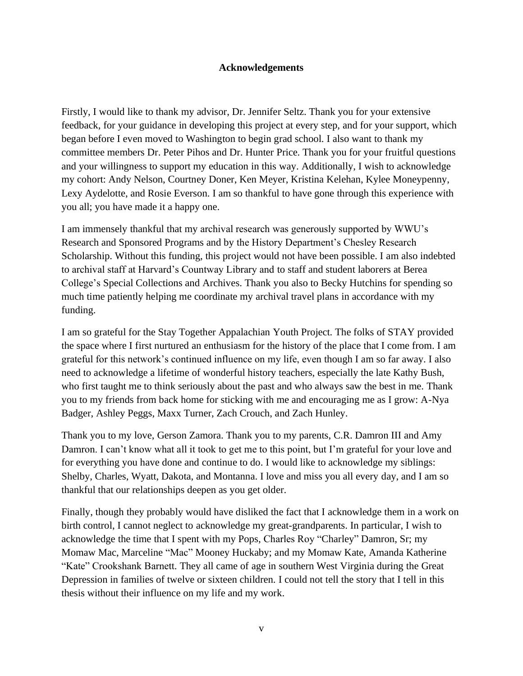## **Acknowledgements**

Firstly, I would like to thank my advisor, Dr. Jennifer Seltz. Thank you for your extensive feedback, for your guidance in developing this project at every step, and for your support, which began before I even moved to Washington to begin grad school. I also want to thank my committee members Dr. Peter Pihos and Dr. Hunter Price. Thank you for your fruitful questions and your willingness to support my education in this way. Additionally, I wish to acknowledge my cohort: Andy Nelson, Courtney Doner, Ken Meyer, Kristina Kelehan, Kylee Moneypenny, Lexy Aydelotte, and Rosie Everson. I am so thankful to have gone through this experience with you all; you have made it a happy one.

I am immensely thankful that my archival research was generously supported by WWU's Research and Sponsored Programs and by the History Department's Chesley Research Scholarship. Without this funding, this project would not have been possible. I am also indebted to archival staff at Harvard's Countway Library and to staff and student laborers at Berea College's Special Collections and Archives. Thank you also to Becky Hutchins for spending so much time patiently helping me coordinate my archival travel plans in accordance with my funding.

I am so grateful for the Stay Together Appalachian Youth Project. The folks of STAY provided the space where I first nurtured an enthusiasm for the history of the place that I come from. I am grateful for this network's continued influence on my life, even though I am so far away. I also need to acknowledge a lifetime of wonderful history teachers, especially the late Kathy Bush, who first taught me to think seriously about the past and who always saw the best in me. Thank you to my friends from back home for sticking with me and encouraging me as I grow: A-Nya Badger, Ashley Peggs, Maxx Turner, Zach Crouch, and Zach Hunley.

Thank you to my love, Gerson Zamora. Thank you to my parents, C.R. Damron III and Amy Damron. I can't know what all it took to get me to this point, but I'm grateful for your love and for everything you have done and continue to do. I would like to acknowledge my siblings: Shelby, Charles, Wyatt, Dakota, and Montanna. I love and miss you all every day, and I am so thankful that our relationships deepen as you get older.

Finally, though they probably would have disliked the fact that I acknowledge them in a work on birth control, I cannot neglect to acknowledge my great-grandparents. In particular, I wish to acknowledge the time that I spent with my Pops, Charles Roy "Charley" Damron, Sr; my Momaw Mac, Marceline "Mac" Mooney Huckaby; and my Momaw Kate, Amanda Katherine "Kate" Crookshank Barnett. They all came of age in southern West Virginia during the Great Depression in families of twelve or sixteen children. I could not tell the story that I tell in this thesis without their influence on my life and my work.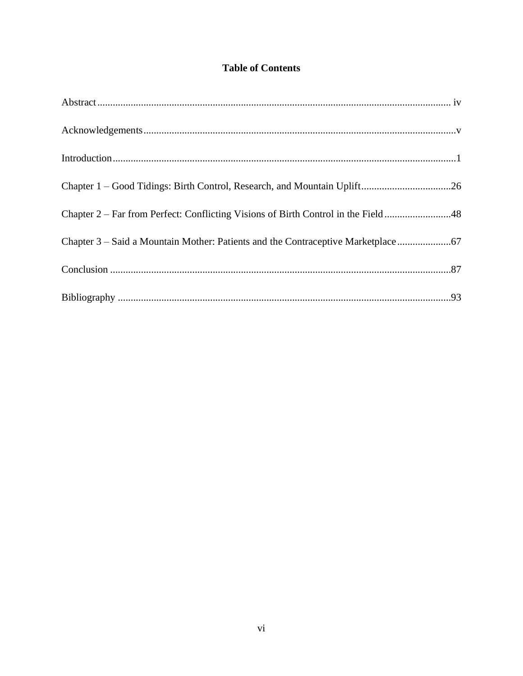# **Table of Contents**

| Chapter 1 - Good Tidings: Birth Control, Research, and Mountain Uplift26          |  |
|-----------------------------------------------------------------------------------|--|
| Chapter 2 – Far from Perfect: Conflicting Visions of Birth Control in the Field48 |  |
| Chapter 3 – Said a Mountain Mother: Patients and the Contraceptive Marketplace    |  |
|                                                                                   |  |
|                                                                                   |  |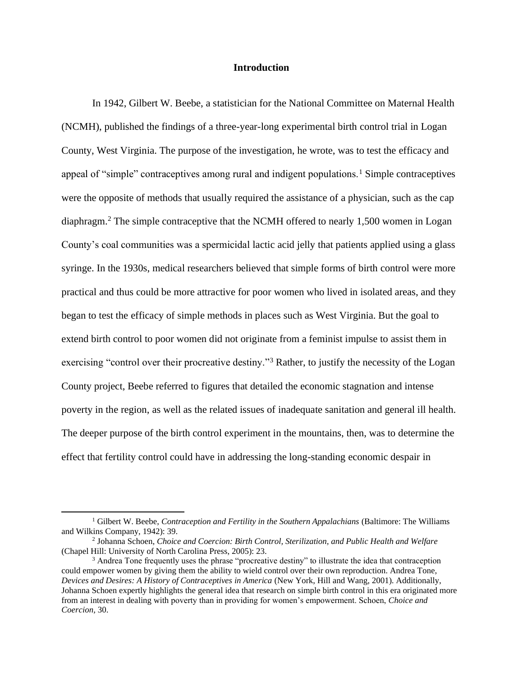#### **Introduction**

In 1942, Gilbert W. Beebe, a statistician for the National Committee on Maternal Health (NCMH), published the findings of a three-year-long experimental birth control trial in Logan County, West Virginia. The purpose of the investigation, he wrote, was to test the efficacy and appeal of "simple" contraceptives among rural and indigent populations.<sup>1</sup> Simple contraceptives were the opposite of methods that usually required the assistance of a physician, such as the cap diaphragm.<sup>2</sup> The simple contraceptive that the NCMH offered to nearly 1,500 women in Logan County's coal communities was a spermicidal lactic acid jelly that patients applied using a glass syringe. In the 1930s, medical researchers believed that simple forms of birth control were more practical and thus could be more attractive for poor women who lived in isolated areas, and they began to test the efficacy of simple methods in places such as West Virginia. But the goal to extend birth control to poor women did not originate from a feminist impulse to assist them in exercising "control over their procreative destiny."<sup>3</sup> Rather, to justify the necessity of the Logan County project, Beebe referred to figures that detailed the economic stagnation and intense poverty in the region, as well as the related issues of inadequate sanitation and general ill health. The deeper purpose of the birth control experiment in the mountains, then, was to determine the effect that fertility control could have in addressing the long-standing economic despair in

<sup>&</sup>lt;sup>1</sup> Gilbert W. Beebe, *Contraception and Fertility in the Southern Appalachians* (Baltimore: The Williams and Wilkins Company, 1942): 39.

<sup>2</sup> Johanna Schoen, *Choice and Coercion: Birth Control, Sterilization, and Public Health and Welfare*  (Chapel Hill: University of North Carolina Press, 2005): 23.

<sup>&</sup>lt;sup>3</sup> Andrea Tone frequently uses the phrase "procreative destiny" to illustrate the idea that contraception could empower women by giving them the ability to wield control over their own reproduction. Andrea Tone, *Devices and Desires: A History of Contraceptives in America* (New York, Hill and Wang, 2001). Additionally, Johanna Schoen expertly highlights the general idea that research on simple birth control in this era originated more from an interest in dealing with poverty than in providing for women's empowerment. Schoen, *Choice and Coercion,* 30.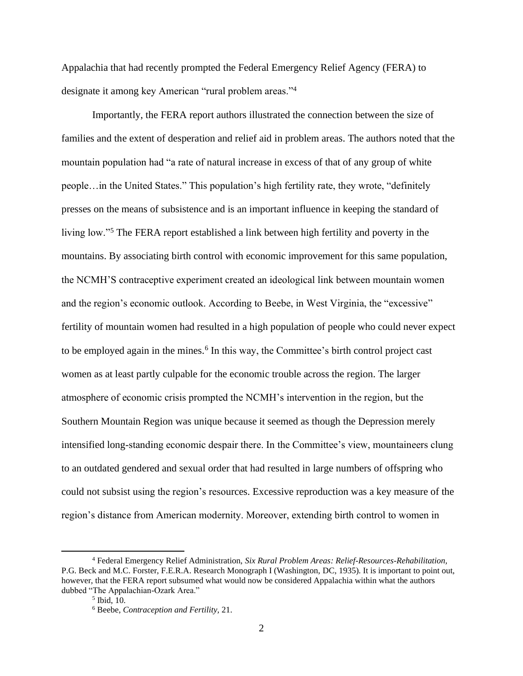Appalachia that had recently prompted the Federal Emergency Relief Agency (FERA) to designate it among key American "rural problem areas."<sup>4</sup>

Importantly, the FERA report authors illustrated the connection between the size of families and the extent of desperation and relief aid in problem areas. The authors noted that the mountain population had "a rate of natural increase in excess of that of any group of white people…in the United States." This population's high fertility rate, they wrote, "definitely presses on the means of subsistence and is an important influence in keeping the standard of living low."<sup>5</sup> The FERA report established a link between high fertility and poverty in the mountains. By associating birth control with economic improvement for this same population, the NCMH'S contraceptive experiment created an ideological link between mountain women and the region's economic outlook. According to Beebe, in West Virginia, the "excessive" fertility of mountain women had resulted in a high population of people who could never expect to be employed again in the mines.<sup>6</sup> In this way, the Committee's birth control project cast women as at least partly culpable for the economic trouble across the region. The larger atmosphere of economic crisis prompted the NCMH's intervention in the region, but the Southern Mountain Region was unique because it seemed as though the Depression merely intensified long-standing economic despair there. In the Committee's view, mountaineers clung to an outdated gendered and sexual order that had resulted in large numbers of offspring who could not subsist using the region's resources. Excessive reproduction was a key measure of the region's distance from American modernity. Moreover, extending birth control to women in

<sup>4</sup> Federal Emergency Relief Administration, *Six Rural Problem Areas: Relief-Resources-Rehabilitation,*  P.G. Beck and M.C. Forster, F.E.R.A. Research Monograph I (Washington, DC, 1935). It is important to point out, however, that the FERA report subsumed what would now be considered Appalachia within what the authors dubbed "The Appalachian-Ozark Area."

<sup>5</sup> Ibid, 10.

<sup>6</sup> Beebe, *Contraception and Fertility,* 21.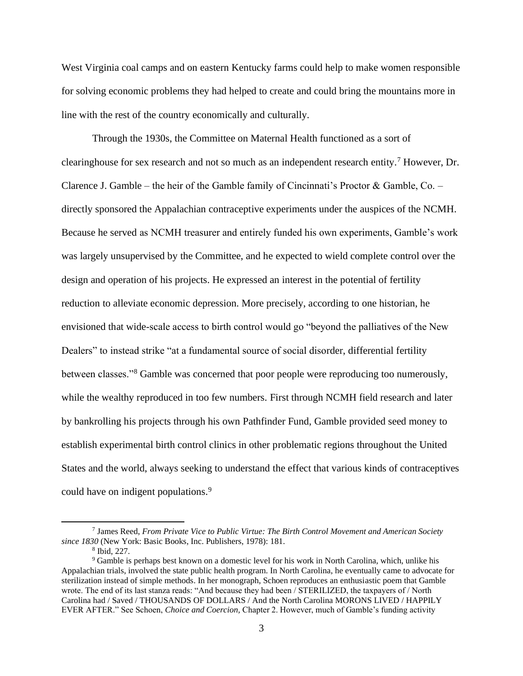West Virginia coal camps and on eastern Kentucky farms could help to make women responsible for solving economic problems they had helped to create and could bring the mountains more in line with the rest of the country economically and culturally.

Through the 1930s, the Committee on Maternal Health functioned as a sort of clearinghouse for sex research and not so much as an independent research entity.<sup>7</sup> However, Dr. Clarence J. Gamble – the heir of the Gamble family of Cincinnati's Proctor & Gamble, Co. – directly sponsored the Appalachian contraceptive experiments under the auspices of the NCMH. Because he served as NCMH treasurer and entirely funded his own experiments, Gamble's work was largely unsupervised by the Committee, and he expected to wield complete control over the design and operation of his projects. He expressed an interest in the potential of fertility reduction to alleviate economic depression. More precisely, according to one historian, he envisioned that wide-scale access to birth control would go "beyond the palliatives of the New Dealers" to instead strike "at a fundamental source of social disorder, differential fertility between classes."<sup>8</sup> Gamble was concerned that poor people were reproducing too numerously, while the wealthy reproduced in too few numbers. First through NCMH field research and later by bankrolling his projects through his own Pathfinder Fund, Gamble provided seed money to establish experimental birth control clinics in other problematic regions throughout the United States and the world, always seeking to understand the effect that various kinds of contraceptives could have on indigent populations.<sup>9</sup>

<sup>7</sup> James Reed, *From Private Vice to Public Virtue: The Birth Control Movement and American Society since 1830* (New York: Basic Books, Inc. Publishers, 1978): 181.

<sup>8</sup> Ibid, 227.

<sup>9</sup> Gamble is perhaps best known on a domestic level for his work in North Carolina, which, unlike his Appalachian trials, involved the state public health program. In North Carolina, he eventually came to advocate for sterilization instead of simple methods. In her monograph, Schoen reproduces an enthusiastic poem that Gamble wrote. The end of its last stanza reads: "And because they had been / STERILIZED, the taxpayers of / North Carolina had / Saved / THOUSANDS OF DOLLARS / And the North Carolina MORONS LIVED / HAPPILY EVER AFTER." See Schoen, *Choice and Coercion,* Chapter 2. However, much of Gamble's funding activity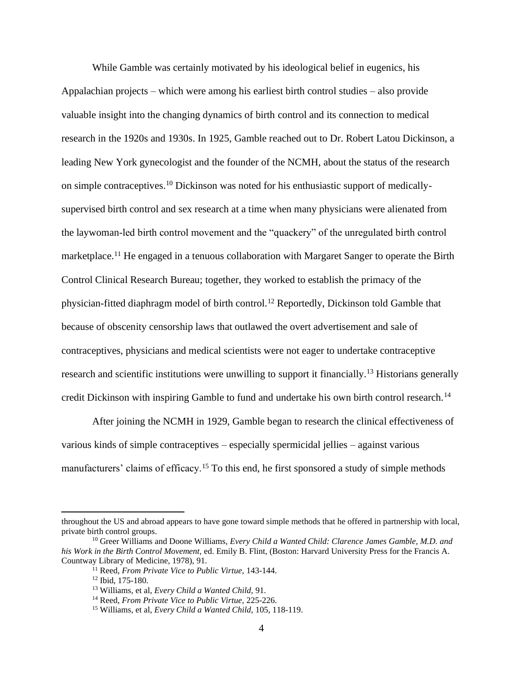While Gamble was certainly motivated by his ideological belief in eugenics, his Appalachian projects – which were among his earliest birth control studies – also provide valuable insight into the changing dynamics of birth control and its connection to medical research in the 1920s and 1930s. In 1925, Gamble reached out to Dr. Robert Latou Dickinson, a leading New York gynecologist and the founder of the NCMH, about the status of the research on simple contraceptives.<sup>10</sup> Dickinson was noted for his enthusiastic support of medicallysupervised birth control and sex research at a time when many physicians were alienated from the laywoman-led birth control movement and the "quackery" of the unregulated birth control marketplace.<sup>11</sup> He engaged in a tenuous collaboration with Margaret Sanger to operate the Birth Control Clinical Research Bureau; together, they worked to establish the primacy of the physician-fitted diaphragm model of birth control.<sup>12</sup> Reportedly, Dickinson told Gamble that because of obscenity censorship laws that outlawed the overt advertisement and sale of contraceptives, physicians and medical scientists were not eager to undertake contraceptive research and scientific institutions were unwilling to support it financially.<sup>13</sup> Historians generally credit Dickinson with inspiring Gamble to fund and undertake his own birth control research.<sup>14</sup>

After joining the NCMH in 1929, Gamble began to research the clinical effectiveness of various kinds of simple contraceptives – especially spermicidal jellies – against various manufacturers' claims of efficacy.<sup>15</sup> To this end, he first sponsored a study of simple methods

throughout the US and abroad appears to have gone toward simple methods that he offered in partnership with local, private birth control groups.

<sup>10</sup> Greer Williams and Doone Williams, *Every Child a Wanted Child: Clarence James Gamble, M.D. and his Work in the Birth Control Movement,* ed. Emily B. Flint*,* (Boston: Harvard University Press for the Francis A. Countway Library of Medicine, 1978), 91.

<sup>11</sup> Reed, *From Private Vice to Public Virtue,* 143-144.

<sup>12</sup> Ibid, 175-180.

<sup>13</sup> Williams, et al, *Every Child a Wanted Child,* 91.

<sup>14</sup> Reed, *From Private Vice to Public Virtue,* 225-226.

<sup>15</sup> Williams, et al, *Every Child a Wanted Child,* 105, 118-119.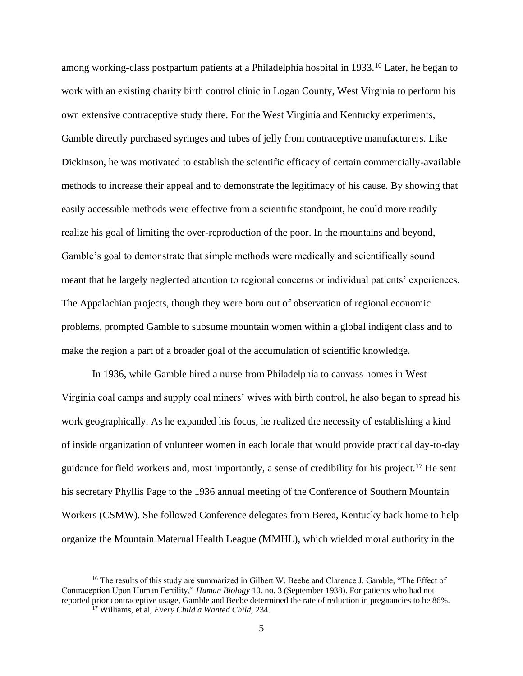among working-class postpartum patients at a Philadelphia hospital in 1933.<sup>16</sup> Later, he began to work with an existing charity birth control clinic in Logan County, West Virginia to perform his own extensive contraceptive study there. For the West Virginia and Kentucky experiments, Gamble directly purchased syringes and tubes of jelly from contraceptive manufacturers. Like Dickinson, he was motivated to establish the scientific efficacy of certain commercially-available methods to increase their appeal and to demonstrate the legitimacy of his cause. By showing that easily accessible methods were effective from a scientific standpoint, he could more readily realize his goal of limiting the over-reproduction of the poor. In the mountains and beyond, Gamble's goal to demonstrate that simple methods were medically and scientifically sound meant that he largely neglected attention to regional concerns or individual patients' experiences. The Appalachian projects, though they were born out of observation of regional economic problems, prompted Gamble to subsume mountain women within a global indigent class and to make the region a part of a broader goal of the accumulation of scientific knowledge.

In 1936, while Gamble hired a nurse from Philadelphia to canvass homes in West Virginia coal camps and supply coal miners' wives with birth control, he also began to spread his work geographically. As he expanded his focus, he realized the necessity of establishing a kind of inside organization of volunteer women in each locale that would provide practical day-to-day guidance for field workers and, most importantly, a sense of credibility for his project.<sup>17</sup> He sent his secretary Phyllis Page to the 1936 annual meeting of the Conference of Southern Mountain Workers (CSMW). She followed Conference delegates from Berea, Kentucky back home to help organize the Mountain Maternal Health League (MMHL), which wielded moral authority in the

<sup>&</sup>lt;sup>16</sup> The results of this study are summarized in Gilbert W. Beebe and Clarence J. Gamble, "The Effect of Contraception Upon Human Fertility," *Human Biology* 10, no. 3 (September 1938). For patients who had not reported prior contraceptive usage, Gamble and Beebe determined the rate of reduction in pregnancies to be 86%. <sup>17</sup> Williams, et al, *Every Child a Wanted Child,* 234.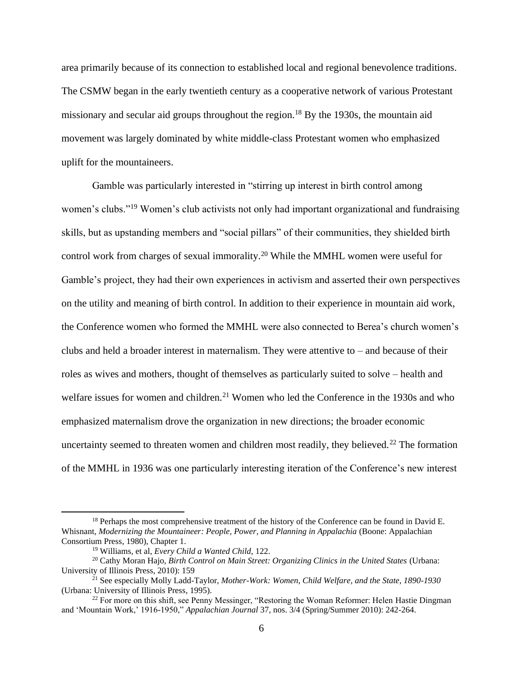area primarily because of its connection to established local and regional benevolence traditions. The CSMW began in the early twentieth century as a cooperative network of various Protestant missionary and secular aid groups throughout the region.<sup>18</sup> By the 1930s, the mountain aid movement was largely dominated by white middle-class Protestant women who emphasized uplift for the mountaineers.

Gamble was particularly interested in "stirring up interest in birth control among women's clubs."<sup>19</sup> Women's club activists not only had important organizational and fundraising skills, but as upstanding members and "social pillars" of their communities, they shielded birth control work from charges of sexual immorality.<sup>20</sup> While the MMHL women were useful for Gamble's project, they had their own experiences in activism and asserted their own perspectives on the utility and meaning of birth control. In addition to their experience in mountain aid work, the Conference women who formed the MMHL were also connected to Berea's church women's clubs and held a broader interest in maternalism. They were attentive to – and because of their roles as wives and mothers, thought of themselves as particularly suited to solve – health and welfare issues for women and children.<sup>21</sup> Women who led the Conference in the 1930s and who emphasized maternalism drove the organization in new directions; the broader economic uncertainty seemed to threaten women and children most readily, they believed.<sup>22</sup> The formation of the MMHL in 1936 was one particularly interesting iteration of the Conference's new interest

<sup>&</sup>lt;sup>18</sup> Perhaps the most comprehensive treatment of the history of the Conference can be found in David E. Whisnant, *Modernizing the Mountaineer: People, Power, and Planning in Appalachia* (Boone: Appalachian Consortium Press, 1980), Chapter 1.

<sup>19</sup> Williams, et al, *Every Child a Wanted Child,* 122.

<sup>20</sup> Cathy Moran Hajo, *Birth Control on Main Street: Organizing Clinics in the United States* (Urbana: University of Illinois Press, 2010): 159

<sup>21</sup> See especially Molly Ladd-Taylor, *Mother-Work: Women, Child Welfare, and the State, 1890-1930*  (Urbana: University of Illinois Press, 1995).

<sup>&</sup>lt;sup>22</sup> For more on this shift, see Penny Messinger, "Restoring the Woman Reformer: Helen Hastie Dingman and 'Mountain Work,' 1916-1950," *Appalachian Journal* 37, nos. 3/4 (Spring/Summer 2010): 242-264.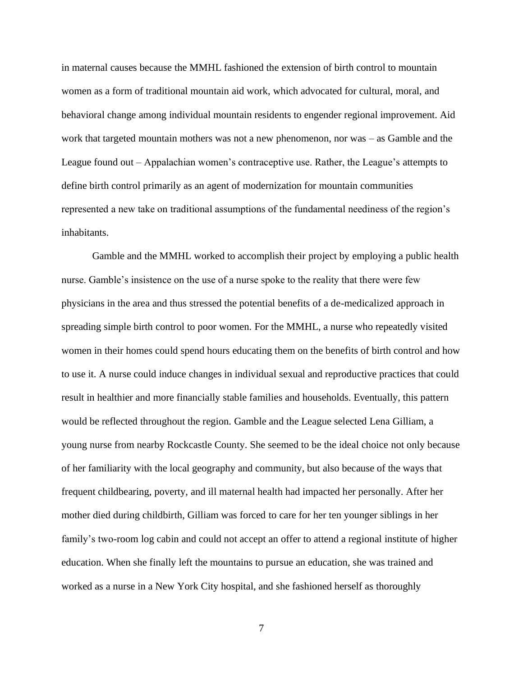in maternal causes because the MMHL fashioned the extension of birth control to mountain women as a form of traditional mountain aid work, which advocated for cultural, moral, and behavioral change among individual mountain residents to engender regional improvement. Aid work that targeted mountain mothers was not a new phenomenon, nor was – as Gamble and the League found out – Appalachian women's contraceptive use. Rather, the League's attempts to define birth control primarily as an agent of modernization for mountain communities represented a new take on traditional assumptions of the fundamental neediness of the region's inhabitants.

Gamble and the MMHL worked to accomplish their project by employing a public health nurse. Gamble's insistence on the use of a nurse spoke to the reality that there were few physicians in the area and thus stressed the potential benefits of a de-medicalized approach in spreading simple birth control to poor women. For the MMHL, a nurse who repeatedly visited women in their homes could spend hours educating them on the benefits of birth control and how to use it. A nurse could induce changes in individual sexual and reproductive practices that could result in healthier and more financially stable families and households. Eventually, this pattern would be reflected throughout the region. Gamble and the League selected Lena Gilliam, a young nurse from nearby Rockcastle County. She seemed to be the ideal choice not only because of her familiarity with the local geography and community, but also because of the ways that frequent childbearing, poverty, and ill maternal health had impacted her personally. After her mother died during childbirth, Gilliam was forced to care for her ten younger siblings in her family's two-room log cabin and could not accept an offer to attend a regional institute of higher education. When she finally left the mountains to pursue an education, she was trained and worked as a nurse in a New York City hospital, and she fashioned herself as thoroughly

7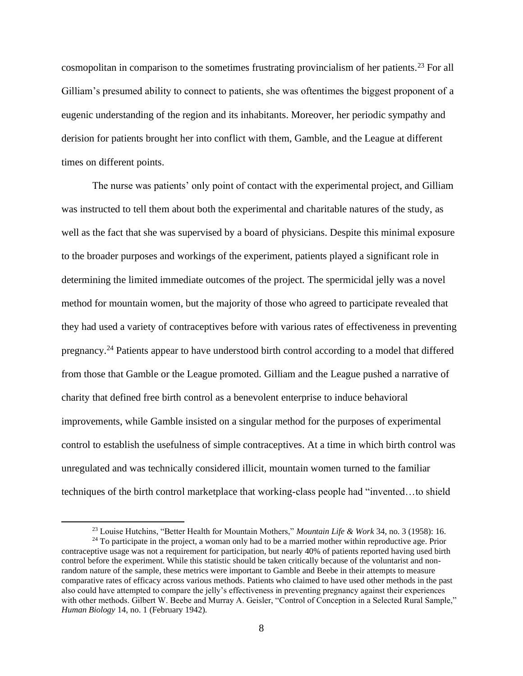cosmopolitan in comparison to the sometimes frustrating provincialism of her patients.<sup>23</sup> For all Gilliam's presumed ability to connect to patients, she was oftentimes the biggest proponent of a eugenic understanding of the region and its inhabitants. Moreover, her periodic sympathy and derision for patients brought her into conflict with them, Gamble, and the League at different times on different points.

The nurse was patients' only point of contact with the experimental project, and Gilliam was instructed to tell them about both the experimental and charitable natures of the study, as well as the fact that she was supervised by a board of physicians. Despite this minimal exposure to the broader purposes and workings of the experiment, patients played a significant role in determining the limited immediate outcomes of the project. The spermicidal jelly was a novel method for mountain women, but the majority of those who agreed to participate revealed that they had used a variety of contraceptives before with various rates of effectiveness in preventing pregnancy.<sup>24</sup> Patients appear to have understood birth control according to a model that differed from those that Gamble or the League promoted. Gilliam and the League pushed a narrative of charity that defined free birth control as a benevolent enterprise to induce behavioral improvements, while Gamble insisted on a singular method for the purposes of experimental control to establish the usefulness of simple contraceptives. At a time in which birth control was unregulated and was technically considered illicit, mountain women turned to the familiar techniques of the birth control marketplace that working-class people had "invented…to shield

<sup>23</sup> Louise Hutchins, "Better Health for Mountain Mothers," *Mountain Life & Work* 34, no. 3 (1958): 16.

 $24$  To participate in the project, a woman only had to be a married mother within reproductive age. Prior contraceptive usage was not a requirement for participation, but nearly 40% of patients reported having used birth control before the experiment. While this statistic should be taken critically because of the voluntarist and nonrandom nature of the sample, these metrics were important to Gamble and Beebe in their attempts to measure comparative rates of efficacy across various methods. Patients who claimed to have used other methods in the past also could have attempted to compare the jelly's effectiveness in preventing pregnancy against their experiences with other methods. Gilbert W. Beebe and Murray A. Geisler, "Control of Conception in a Selected Rural Sample," *Human Biology* 14, no. 1 (February 1942).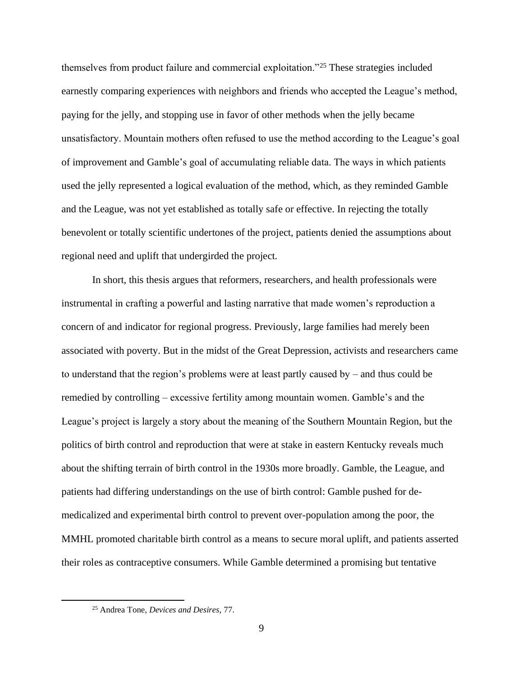themselves from product failure and commercial exploitation."<sup>25</sup> These strategies included earnestly comparing experiences with neighbors and friends who accepted the League's method, paying for the jelly, and stopping use in favor of other methods when the jelly became unsatisfactory. Mountain mothers often refused to use the method according to the League's goal of improvement and Gamble's goal of accumulating reliable data. The ways in which patients used the jelly represented a logical evaluation of the method, which, as they reminded Gamble and the League, was not yet established as totally safe or effective. In rejecting the totally benevolent or totally scientific undertones of the project, patients denied the assumptions about regional need and uplift that undergirded the project.

In short, this thesis argues that reformers, researchers, and health professionals were instrumental in crafting a powerful and lasting narrative that made women's reproduction a concern of and indicator for regional progress. Previously, large families had merely been associated with poverty. But in the midst of the Great Depression, activists and researchers came to understand that the region's problems were at least partly caused by – and thus could be remedied by controlling – excessive fertility among mountain women. Gamble's and the League's project is largely a story about the meaning of the Southern Mountain Region, but the politics of birth control and reproduction that were at stake in eastern Kentucky reveals much about the shifting terrain of birth control in the 1930s more broadly. Gamble, the League, and patients had differing understandings on the use of birth control: Gamble pushed for demedicalized and experimental birth control to prevent over-population among the poor, the MMHL promoted charitable birth control as a means to secure moral uplift, and patients asserted their roles as contraceptive consumers. While Gamble determined a promising but tentative

<sup>25</sup> Andrea Tone, *Devices and Desires,* 77.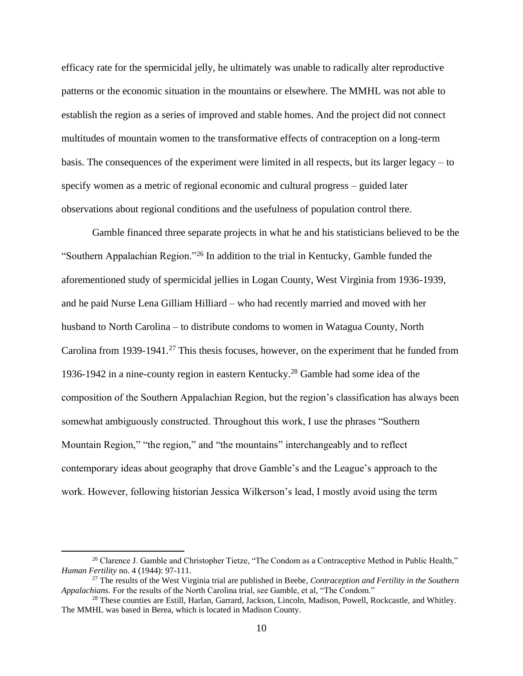efficacy rate for the spermicidal jelly, he ultimately was unable to radically alter reproductive patterns or the economic situation in the mountains or elsewhere. The MMHL was not able to establish the region as a series of improved and stable homes. And the project did not connect multitudes of mountain women to the transformative effects of contraception on a long-term basis. The consequences of the experiment were limited in all respects, but its larger legacy – to specify women as a metric of regional economic and cultural progress – guided later observations about regional conditions and the usefulness of population control there.

Gamble financed three separate projects in what he and his statisticians believed to be the "Southern Appalachian Region."<sup>26</sup> In addition to the trial in Kentucky, Gamble funded the aforementioned study of spermicidal jellies in Logan County, West Virginia from 1936-1939, and he paid Nurse Lena Gilliam Hilliard – who had recently married and moved with her husband to North Carolina – to distribute condoms to women in Watagua County, North Carolina from 1939-1941.<sup>27</sup> This thesis focuses, however, on the experiment that he funded from 1936-1942 in a nine-county region in eastern Kentucky.<sup>28</sup> Gamble had some idea of the composition of the Southern Appalachian Region, but the region's classification has always been somewhat ambiguously constructed. Throughout this work, I use the phrases "Southern Mountain Region," "the region," and "the mountains" interchangeably and to reflect contemporary ideas about geography that drove Gamble's and the League's approach to the work. However, following historian Jessica Wilkerson's lead, I mostly avoid using the term

<sup>&</sup>lt;sup>26</sup> Clarence J. Gamble and Christopher Tietze, "The Condom as a Contraceptive Method in Public Health," *Human Fertility* no. 4 (1944): 97-111.

<sup>27</sup> The results of the West Virginia trial are published in Beebe, *Contraception and Fertility in the Southern Appalachians.* For the results of the North Carolina trial, see Gamble, et al, "The Condom."

<sup>&</sup>lt;sup>28</sup> These counties are Estill, Harlan, Garrard, Jackson, Lincoln, Madison, Powell, Rockcastle, and Whitley. The MMHL was based in Berea, which is located in Madison County.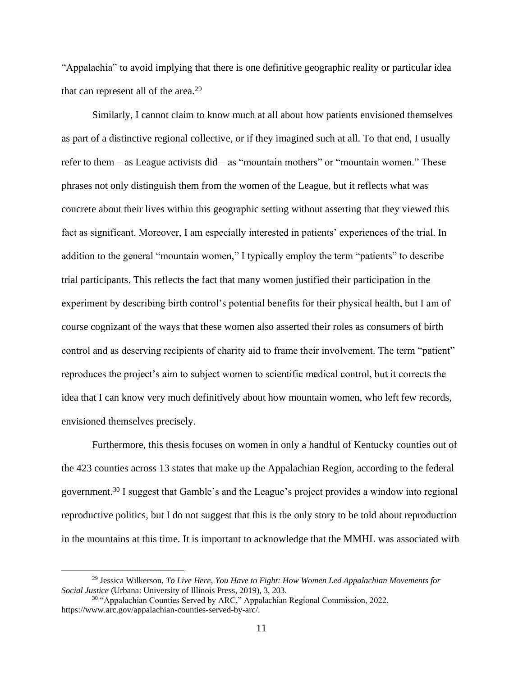"Appalachia" to avoid implying that there is one definitive geographic reality or particular idea that can represent all of the area.<sup>29</sup>

Similarly, I cannot claim to know much at all about how patients envisioned themselves as part of a distinctive regional collective, or if they imagined such at all. To that end, I usually refer to them – as League activists did – as "mountain mothers" or "mountain women." These phrases not only distinguish them from the women of the League, but it reflects what was concrete about their lives within this geographic setting without asserting that they viewed this fact as significant. Moreover, I am especially interested in patients' experiences of the trial. In addition to the general "mountain women," I typically employ the term "patients" to describe trial participants. This reflects the fact that many women justified their participation in the experiment by describing birth control's potential benefits for their physical health, but I am of course cognizant of the ways that these women also asserted their roles as consumers of birth control and as deserving recipients of charity aid to frame their involvement. The term "patient" reproduces the project's aim to subject women to scientific medical control, but it corrects the idea that I can know very much definitively about how mountain women, who left few records, envisioned themselves precisely.

Furthermore, this thesis focuses on women in only a handful of Kentucky counties out of the 423 counties across 13 states that make up the Appalachian Region, according to the federal government. <sup>30</sup> I suggest that Gamble's and the League's project provides a window into regional reproductive politics, but I do not suggest that this is the only story to be told about reproduction in the mountains at this time. It is important to acknowledge that the MMHL was associated with

<sup>29</sup> Jessica Wilkerson, *To Live Here, You Have to Fight: How Women Led Appalachian Movements for Social Justice* (Urbana: University of Illinois Press, 2019), 3, 203.

<sup>&</sup>lt;sup>30</sup> "Appalachian Counties Served by ARC," Appalachian Regional Commission, 2022, https://www.arc.gov/appalachian-counties-served-by-arc/.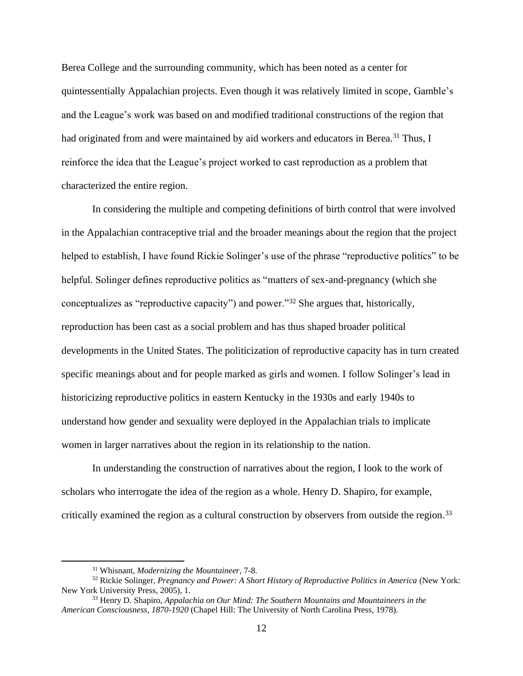Berea College and the surrounding community, which has been noted as a center for quintessentially Appalachian projects. Even though it was relatively limited in scope, Gamble's and the League's work was based on and modified traditional constructions of the region that had originated from and were maintained by aid workers and educators in Berea.<sup>31</sup> Thus, I reinforce the idea that the League's project worked to cast reproduction as a problem that characterized the entire region.

In considering the multiple and competing definitions of birth control that were involved in the Appalachian contraceptive trial and the broader meanings about the region that the project helped to establish, I have found Rickie Solinger's use of the phrase "reproductive politics" to be helpful. Solinger defines reproductive politics as "matters of sex-and-pregnancy (which she conceptualizes as "reproductive capacity") and power."<sup>32</sup> She argues that, historically, reproduction has been cast as a social problem and has thus shaped broader political developments in the United States. The politicization of reproductive capacity has in turn created specific meanings about and for people marked as girls and women. I follow Solinger's lead in historicizing reproductive politics in eastern Kentucky in the 1930s and early 1940s to understand how gender and sexuality were deployed in the Appalachian trials to implicate women in larger narratives about the region in its relationship to the nation.

In understanding the construction of narratives about the region, I look to the work of scholars who interrogate the idea of the region as a whole. Henry D. Shapiro, for example, critically examined the region as a cultural construction by observers from outside the region.<sup>33</sup>

<sup>31</sup> Whisnant, *Modernizing the Mountaineer,* 7-8.

<sup>32</sup> Rickie Solinger, *Pregnancy and Power: A Short History of Reproductive Politics in America* (New York: New York University Press, 2005), 1.

<sup>33</sup> Henry D. Shapiro, *Appalachia on Our Mind: The Southern Mountains and Mountaineers in the American Consciousness, 1870-1920* (Chapel Hill: The University of North Carolina Press, 1978).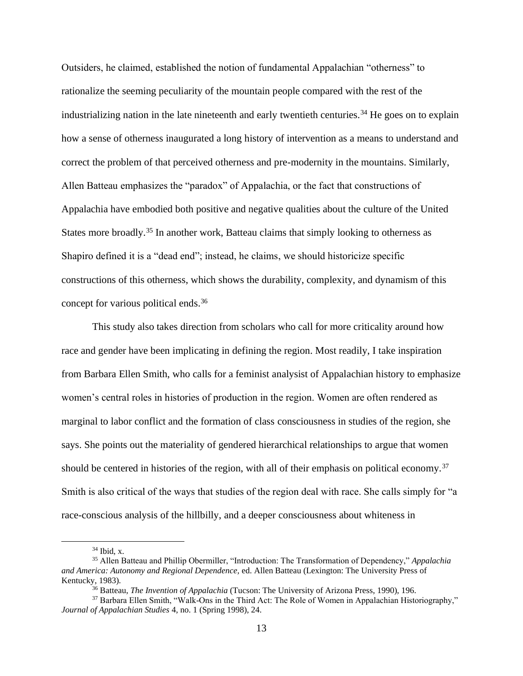Outsiders, he claimed, established the notion of fundamental Appalachian "otherness" to rationalize the seeming peculiarity of the mountain people compared with the rest of the industrializing nation in the late nineteenth and early twentieth centuries.<sup>34</sup> He goes on to explain how a sense of otherness inaugurated a long history of intervention as a means to understand and correct the problem of that perceived otherness and pre-modernity in the mountains. Similarly, Allen Batteau emphasizes the "paradox" of Appalachia, or the fact that constructions of Appalachia have embodied both positive and negative qualities about the culture of the United States more broadly.<sup>35</sup> In another work, Batteau claims that simply looking to otherness as Shapiro defined it is a "dead end"; instead, he claims, we should historicize specific constructions of this otherness, which shows the durability, complexity, and dynamism of this concept for various political ends.<sup>36</sup>

This study also takes direction from scholars who call for more criticality around how race and gender have been implicating in defining the region. Most readily, I take inspiration from Barbara Ellen Smith, who calls for a feminist analysist of Appalachian history to emphasize women's central roles in histories of production in the region. Women are often rendered as marginal to labor conflict and the formation of class consciousness in studies of the region, she says. She points out the materiality of gendered hierarchical relationships to argue that women should be centered in histories of the region, with all of their emphasis on political economy.<sup>37</sup> Smith is also critical of the ways that studies of the region deal with race. She calls simply for "a race-conscious analysis of the hillbilly, and a deeper consciousness about whiteness in

 $34$  Ibid, x.

<sup>35</sup> Allen Batteau and Phillip Obermiller, "Introduction: The Transformation of Dependency," *Appalachia and America: Autonomy and Regional Dependence,* ed. Allen Batteau (Lexington: The University Press of Kentucky, 1983).

<sup>36</sup> Batteau, *The Invention of Appalachia* (Tucson: The University of Arizona Press, 1990), 196.

<sup>37</sup> Barbara Ellen Smith, "Walk-Ons in the Third Act: The Role of Women in Appalachian Historiography," *Journal of Appalachian Studies* 4, no. 1 (Spring 1998), 24.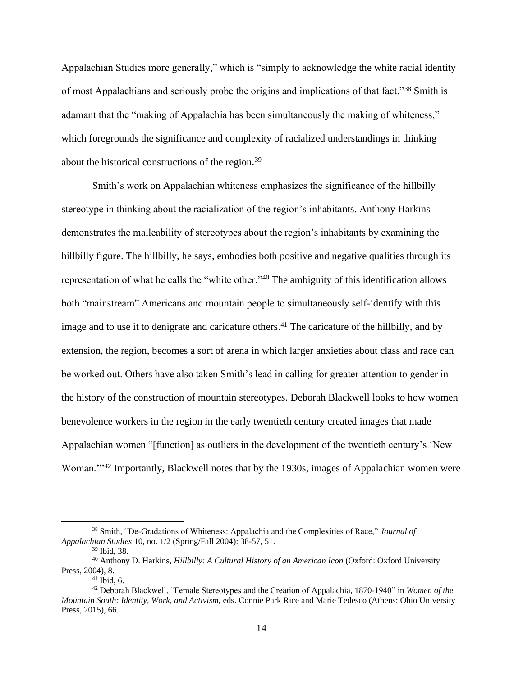Appalachian Studies more generally," which is "simply to acknowledge the white racial identity of most Appalachians and seriously probe the origins and implications of that fact."<sup>38</sup> Smith is adamant that the "making of Appalachia has been simultaneously the making of whiteness," which foregrounds the significance and complexity of racialized understandings in thinking about the historical constructions of the region.<sup>39</sup>

Smith's work on Appalachian whiteness emphasizes the significance of the hillbilly stereotype in thinking about the racialization of the region's inhabitants. Anthony Harkins demonstrates the malleability of stereotypes about the region's inhabitants by examining the hillbilly figure. The hillbilly, he says, embodies both positive and negative qualities through its representation of what he calls the "white other."<sup>40</sup> The ambiguity of this identification allows both "mainstream" Americans and mountain people to simultaneously self-identify with this image and to use it to denigrate and caricature others.<sup>41</sup> The caricature of the hillbilly, and by extension, the region, becomes a sort of arena in which larger anxieties about class and race can be worked out. Others have also taken Smith's lead in calling for greater attention to gender in the history of the construction of mountain stereotypes. Deborah Blackwell looks to how women benevolence workers in the region in the early twentieth century created images that made Appalachian women "[function] as outliers in the development of the twentieth century's 'New Woman."<sup>42</sup> Importantly, Blackwell notes that by the 1930s, images of Appalachian women were

<sup>38</sup> Smith, "De-Gradations of Whiteness: Appalachia and the Complexities of Race," *Journal of Appalachian Studies* 10, no. 1/2 (Spring/Fall 2004): 38-57, 51.

<sup>39</sup> Ibid, 38.

<sup>40</sup> Anthony D. Harkins, *Hillbilly: A Cultural History of an American Icon* (Oxford: Oxford University Press, 2004), 8.

 $41$  Ibid, 6.

<sup>42</sup> Deborah Blackwell, "Female Stereotypes and the Creation of Appalachia, 1870-1940" in *Women of the Mountain South: Identity, Work, and Activism,* eds. Connie Park Rice and Marie Tedesco (Athens: Ohio University Press, 2015), 66.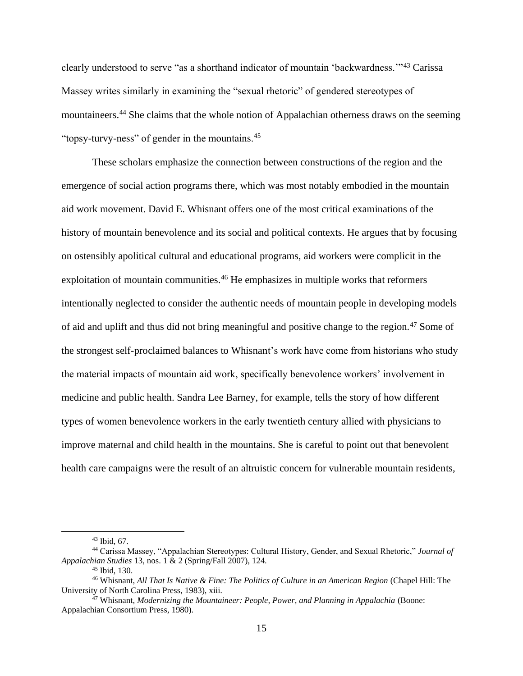clearly understood to serve "as a shorthand indicator of mountain 'backwardness.'"<sup>43</sup> Carissa Massey writes similarly in examining the "sexual rhetoric" of gendered stereotypes of mountaineers.<sup>44</sup> She claims that the whole notion of Appalachian otherness draws on the seeming "topsy-turvy-ness" of gender in the mountains.<sup>45</sup>

These scholars emphasize the connection between constructions of the region and the emergence of social action programs there, which was most notably embodied in the mountain aid work movement. David E. Whisnant offers one of the most critical examinations of the history of mountain benevolence and its social and political contexts. He argues that by focusing on ostensibly apolitical cultural and educational programs, aid workers were complicit in the exploitation of mountain communities.<sup>46</sup> He emphasizes in multiple works that reformers intentionally neglected to consider the authentic needs of mountain people in developing models of aid and uplift and thus did not bring meaningful and positive change to the region.<sup>47</sup> Some of the strongest self-proclaimed balances to Whisnant's work have come from historians who study the material impacts of mountain aid work, specifically benevolence workers' involvement in medicine and public health. Sandra Lee Barney, for example, tells the story of how different types of women benevolence workers in the early twentieth century allied with physicians to improve maternal and child health in the mountains. She is careful to point out that benevolent health care campaigns were the result of an altruistic concern for vulnerable mountain residents,

<sup>43</sup> Ibid, 67.

<sup>44</sup> Carissa Massey, "Appalachian Stereotypes: Cultural History, Gender, and Sexual Rhetoric," *Journal of Appalachian Studies* 13, nos. 1 & 2 (Spring/Fall 2007), 124.

<sup>45</sup> Ibid, 130.

<sup>46</sup> Whisnant, *All That Is Native & Fine: The Politics of Culture in an American Region* (Chapel Hill: The University of North Carolina Press, 1983), xiii.

<sup>47</sup> Whisnant, *Modernizing the Mountaineer: People, Power, and Planning in Appalachia* (Boone: Appalachian Consortium Press, 1980).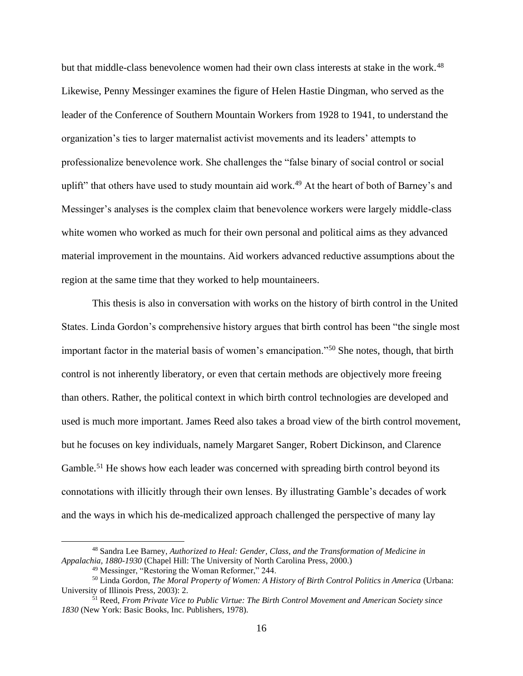but that middle-class benevolence women had their own class interests at stake in the work.<sup>48</sup> Likewise, Penny Messinger examines the figure of Helen Hastie Dingman, who served as the leader of the Conference of Southern Mountain Workers from 1928 to 1941, to understand the organization's ties to larger maternalist activist movements and its leaders' attempts to professionalize benevolence work. She challenges the "false binary of social control or social uplift" that others have used to study mountain aid work.<sup>49</sup> At the heart of both of Barney's and Messinger's analyses is the complex claim that benevolence workers were largely middle-class white women who worked as much for their own personal and political aims as they advanced material improvement in the mountains. Aid workers advanced reductive assumptions about the region at the same time that they worked to help mountaineers.

This thesis is also in conversation with works on the history of birth control in the United States. Linda Gordon's comprehensive history argues that birth control has been "the single most important factor in the material basis of women's emancipation."<sup>50</sup> She notes, though, that birth control is not inherently liberatory, or even that certain methods are objectively more freeing than others. Rather, the political context in which birth control technologies are developed and used is much more important. James Reed also takes a broad view of the birth control movement, but he focuses on key individuals, namely Margaret Sanger, Robert Dickinson, and Clarence Gamble.<sup>51</sup> He shows how each leader was concerned with spreading birth control beyond its connotations with illicitly through their own lenses. By illustrating Gamble's decades of work and the ways in which his de-medicalized approach challenged the perspective of many lay

<sup>48</sup> Sandra Lee Barney, *Authorized to Heal: Gender, Class, and the Transformation of Medicine in Appalachia, 1880-1930* (Chapel Hill: The University of North Carolina Press, 2000.)

<sup>49</sup> Messinger, "Restoring the Woman Reformer," 244.

<sup>50</sup> Linda Gordon, *The Moral Property of Women: A History of Birth Control Politics in America* (Urbana: University of Illinois Press, 2003): 2.

<sup>51</sup> Reed, *From Private Vice to Public Virtue: The Birth Control Movement and American Society since 1830* (New York: Basic Books, Inc. Publishers, 1978).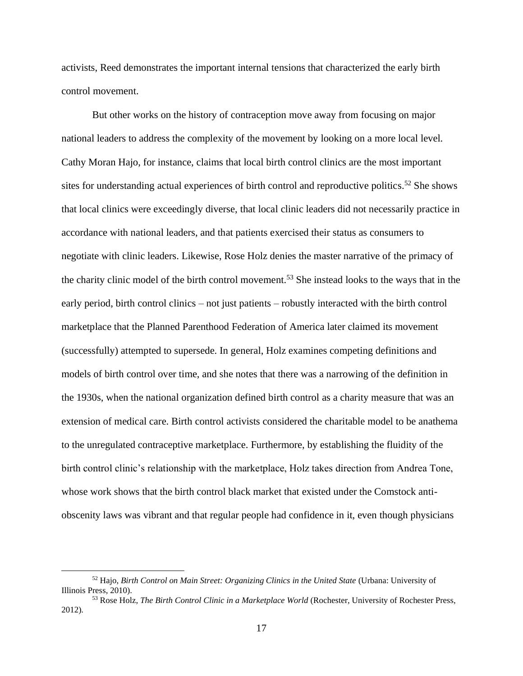activists, Reed demonstrates the important internal tensions that characterized the early birth control movement.

But other works on the history of contraception move away from focusing on major national leaders to address the complexity of the movement by looking on a more local level. Cathy Moran Hajo, for instance, claims that local birth control clinics are the most important sites for understanding actual experiences of birth control and reproductive politics.<sup>52</sup> She shows that local clinics were exceedingly diverse, that local clinic leaders did not necessarily practice in accordance with national leaders, and that patients exercised their status as consumers to negotiate with clinic leaders. Likewise, Rose Holz denies the master narrative of the primacy of the charity clinic model of the birth control movement.<sup>53</sup> She instead looks to the ways that in the early period, birth control clinics – not just patients – robustly interacted with the birth control marketplace that the Planned Parenthood Federation of America later claimed its movement (successfully) attempted to supersede. In general, Holz examines competing definitions and models of birth control over time, and she notes that there was a narrowing of the definition in the 1930s, when the national organization defined birth control as a charity measure that was an extension of medical care. Birth control activists considered the charitable model to be anathema to the unregulated contraceptive marketplace. Furthermore, by establishing the fluidity of the birth control clinic's relationship with the marketplace, Holz takes direction from Andrea Tone, whose work shows that the birth control black market that existed under the Comstock antiobscenity laws was vibrant and that regular people had confidence in it, even though physicians

<sup>52</sup> Hajo, *Birth Control on Main Street: Organizing Clinics in the United State* (Urbana: University of Illinois Press, 2010).

<sup>53</sup> Rose Holz, *The Birth Control Clinic in a Marketplace World* (Rochester, University of Rochester Press, 2012).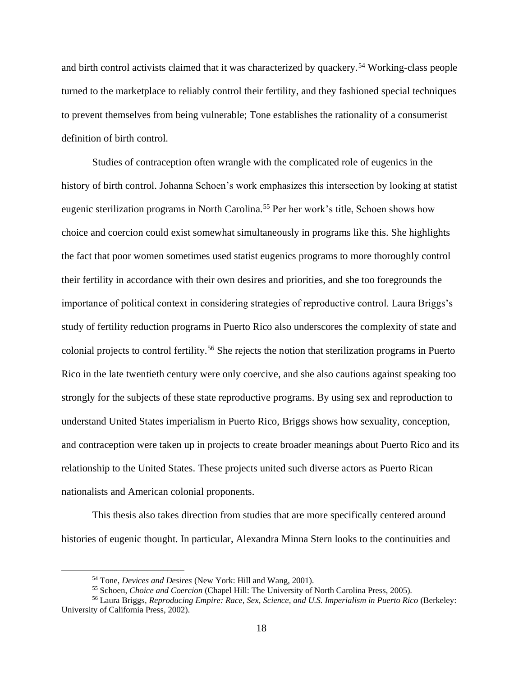and birth control activists claimed that it was characterized by quackery.<sup>54</sup> Working-class people turned to the marketplace to reliably control their fertility, and they fashioned special techniques to prevent themselves from being vulnerable; Tone establishes the rationality of a consumerist definition of birth control.

Studies of contraception often wrangle with the complicated role of eugenics in the history of birth control. Johanna Schoen's work emphasizes this intersection by looking at statist eugenic sterilization programs in North Carolina.<sup>55</sup> Per her work's title, Schoen shows how choice and coercion could exist somewhat simultaneously in programs like this. She highlights the fact that poor women sometimes used statist eugenics programs to more thoroughly control their fertility in accordance with their own desires and priorities, and she too foregrounds the importance of political context in considering strategies of reproductive control. Laura Briggs's study of fertility reduction programs in Puerto Rico also underscores the complexity of state and colonial projects to control fertility.<sup>56</sup> She rejects the notion that sterilization programs in Puerto Rico in the late twentieth century were only coercive, and she also cautions against speaking too strongly for the subjects of these state reproductive programs. By using sex and reproduction to understand United States imperialism in Puerto Rico, Briggs shows how sexuality, conception, and contraception were taken up in projects to create broader meanings about Puerto Rico and its relationship to the United States. These projects united such diverse actors as Puerto Rican nationalists and American colonial proponents.

This thesis also takes direction from studies that are more specifically centered around histories of eugenic thought. In particular, Alexandra Minna Stern looks to the continuities and

<sup>54</sup> Tone, *Devices and Desires* (New York: Hill and Wang, 2001).

<sup>55</sup> Schoen, *Choice and Coercion* (Chapel Hill: The University of North Carolina Press, 2005).

<sup>56</sup> Laura Briggs, *Reproducing Empire: Race, Sex, Science, and U.S. Imperialism in Puerto Rico* (Berkeley: University of California Press, 2002).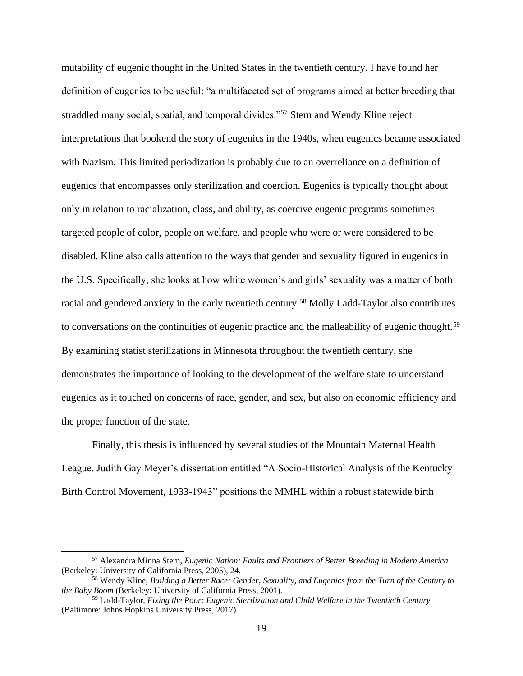mutability of eugenic thought in the United States in the twentieth century. I have found her definition of eugenics to be useful: "a multifaceted set of programs aimed at better breeding that straddled many social, spatial, and temporal divides."<sup>57</sup> Stern and Wendy Kline reject interpretations that bookend the story of eugenics in the 1940s, when eugenics became associated with Nazism. This limited periodization is probably due to an overreliance on a definition of eugenics that encompasses only sterilization and coercion. Eugenics is typically thought about only in relation to racialization, class, and ability, as coercive eugenic programs sometimes targeted people of color, people on welfare, and people who were or were considered to be disabled. Kline also calls attention to the ways that gender and sexuality figured in eugenics in the U.S. Specifically, she looks at how white women's and girls' sexuality was a matter of both racial and gendered anxiety in the early twentieth century.<sup>58</sup> Molly Ladd-Taylor also contributes to conversations on the continuities of eugenic practice and the malleability of eugenic thought.<sup>59</sup> By examining statist sterilizations in Minnesota throughout the twentieth century, she demonstrates the importance of looking to the development of the welfare state to understand eugenics as it touched on concerns of race, gender, and sex, but also on economic efficiency and the proper function of the state.

Finally, this thesis is influenced by several studies of the Mountain Maternal Health League. Judith Gay Meyer's dissertation entitled "A Socio-Historical Analysis of the Kentucky Birth Control Movement, 1933-1943" positions the MMHL within a robust statewide birth

<sup>57</sup> Alexandra Minna Stern, *Eugenic Nation: Faults and Frontiers of Better Breeding in Modern America*  (Berkeley: University of California Press, 2005), 24.

<sup>58</sup> Wendy Kline, *Building a Better Race: Gender, Sexuality, and Eugenics from the Turn of the Century to the Baby Boom* (Berkeley: University of California Press, 2001).

<sup>59</sup> Ladd-Taylor, *Fixing the Poor: Eugenic Sterilization and Child Welfare in the Twentieth Century*  (Baltimore: Johns Hopkins University Press, 2017).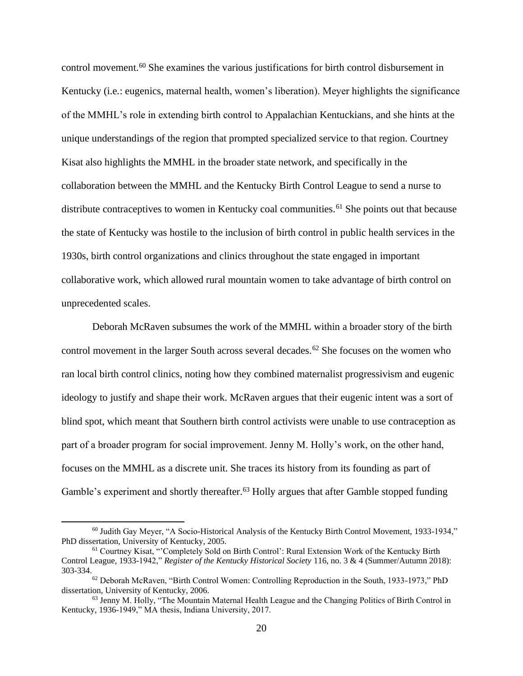control movement.<sup>60</sup> She examines the various justifications for birth control disbursement in Kentucky (i.e.: eugenics, maternal health, women's liberation). Meyer highlights the significance of the MMHL's role in extending birth control to Appalachian Kentuckians, and she hints at the unique understandings of the region that prompted specialized service to that region. Courtney Kisat also highlights the MMHL in the broader state network, and specifically in the collaboration between the MMHL and the Kentucky Birth Control League to send a nurse to distribute contraceptives to women in Kentucky coal communities.<sup>61</sup> She points out that because the state of Kentucky was hostile to the inclusion of birth control in public health services in the 1930s, birth control organizations and clinics throughout the state engaged in important collaborative work, which allowed rural mountain women to take advantage of birth control on unprecedented scales.

Deborah McRaven subsumes the work of the MMHL within a broader story of the birth control movement in the larger South across several decades.<sup>62</sup> She focuses on the women who ran local birth control clinics, noting how they combined maternalist progressivism and eugenic ideology to justify and shape their work. McRaven argues that their eugenic intent was a sort of blind spot, which meant that Southern birth control activists were unable to use contraception as part of a broader program for social improvement. Jenny M. Holly's work, on the other hand, focuses on the MMHL as a discrete unit. She traces its history from its founding as part of Gamble's experiment and shortly thereafter.<sup>63</sup> Holly argues that after Gamble stopped funding

<sup>60</sup> Judith Gay Meyer, "A Socio-Historical Analysis of the Kentucky Birth Control Movement, 1933-1934," PhD dissertation, University of Kentucky, 2005.

<sup>61</sup> Courtney Kisat, "'Completely Sold on Birth Control': Rural Extension Work of the Kentucky Birth Control League, 1933-1942," *Register of the Kentucky Historical Society* 116, no. 3 & 4 (Summer/Autumn 2018): 303-334.

<sup>62</sup> Deborah McRaven, "Birth Control Women: Controlling Reproduction in the South, 1933-1973," PhD dissertation, University of Kentucky, 2006.

<sup>63</sup> Jenny M. Holly, "The Mountain Maternal Health League and the Changing Politics of Birth Control in Kentucky, 1936-1949," MA thesis, Indiana University, 2017.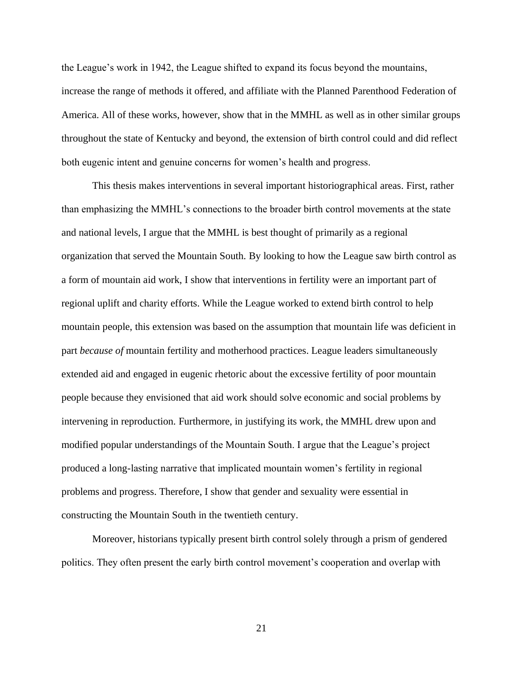the League's work in 1942, the League shifted to expand its focus beyond the mountains, increase the range of methods it offered, and affiliate with the Planned Parenthood Federation of America. All of these works, however, show that in the MMHL as well as in other similar groups throughout the state of Kentucky and beyond, the extension of birth control could and did reflect both eugenic intent and genuine concerns for women's health and progress.

This thesis makes interventions in several important historiographical areas. First, rather than emphasizing the MMHL's connections to the broader birth control movements at the state and national levels, I argue that the MMHL is best thought of primarily as a regional organization that served the Mountain South. By looking to how the League saw birth control as a form of mountain aid work, I show that interventions in fertility were an important part of regional uplift and charity efforts. While the League worked to extend birth control to help mountain people, this extension was based on the assumption that mountain life was deficient in part *because of* mountain fertility and motherhood practices. League leaders simultaneously extended aid and engaged in eugenic rhetoric about the excessive fertility of poor mountain people because they envisioned that aid work should solve economic and social problems by intervening in reproduction. Furthermore, in justifying its work, the MMHL drew upon and modified popular understandings of the Mountain South. I argue that the League's project produced a long-lasting narrative that implicated mountain women's fertility in regional problems and progress. Therefore, I show that gender and sexuality were essential in constructing the Mountain South in the twentieth century.

Moreover, historians typically present birth control solely through a prism of gendered politics. They often present the early birth control movement's cooperation and overlap with

21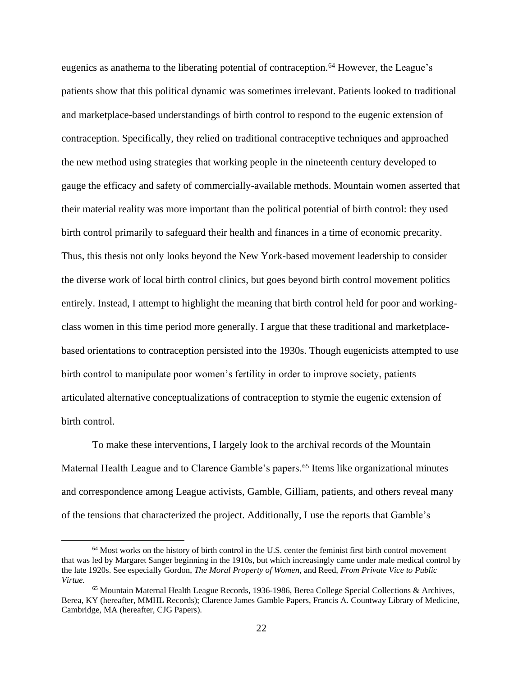eugenics as anathema to the liberating potential of contraception.<sup>64</sup> However, the League's patients show that this political dynamic was sometimes irrelevant. Patients looked to traditional and marketplace-based understandings of birth control to respond to the eugenic extension of contraception. Specifically, they relied on traditional contraceptive techniques and approached the new method using strategies that working people in the nineteenth century developed to gauge the efficacy and safety of commercially-available methods. Mountain women asserted that their material reality was more important than the political potential of birth control: they used birth control primarily to safeguard their health and finances in a time of economic precarity. Thus, this thesis not only looks beyond the New York-based movement leadership to consider the diverse work of local birth control clinics, but goes beyond birth control movement politics entirely. Instead, I attempt to highlight the meaning that birth control held for poor and workingclass women in this time period more generally. I argue that these traditional and marketplacebased orientations to contraception persisted into the 1930s. Though eugenicists attempted to use birth control to manipulate poor women's fertility in order to improve society, patients articulated alternative conceptualizations of contraception to stymie the eugenic extension of birth control.

To make these interventions, I largely look to the archival records of the Mountain Maternal Health League and to Clarence Gamble's papers.<sup>65</sup> Items like organizational minutes and correspondence among League activists, Gamble, Gilliam, patients, and others reveal many of the tensions that characterized the project. Additionally, I use the reports that Gamble's

<sup>64</sup> Most works on the history of birth control in the U.S. center the feminist first birth control movement that was led by Margaret Sanger beginning in the 1910s, but which increasingly came under male medical control by the late 1920s. See especially Gordon, *The Moral Property of Women,* and Reed, *From Private Vice to Public Virtue.*

<sup>65</sup> Mountain Maternal Health League Records, 1936-1986, Berea College Special Collections & Archives, Berea, KY (hereafter, MMHL Records); Clarence James Gamble Papers, Francis A. Countway Library of Medicine, Cambridge, MA (hereafter, CJG Papers).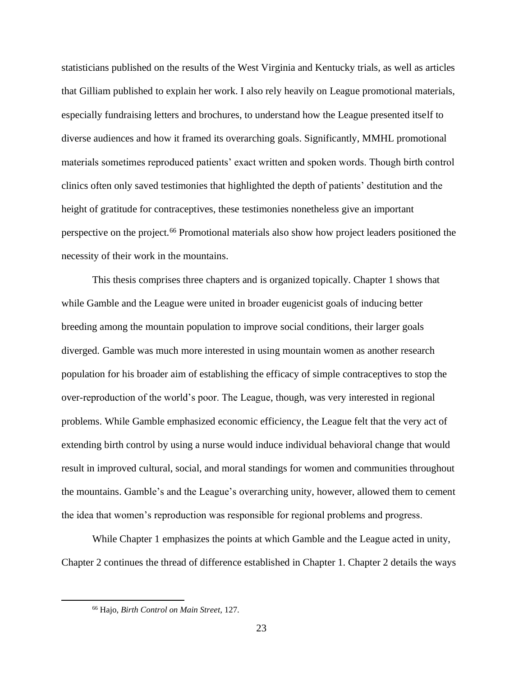statisticians published on the results of the West Virginia and Kentucky trials, as well as articles that Gilliam published to explain her work. I also rely heavily on League promotional materials, especially fundraising letters and brochures, to understand how the League presented itself to diverse audiences and how it framed its overarching goals. Significantly, MMHL promotional materials sometimes reproduced patients' exact written and spoken words. Though birth control clinics often only saved testimonies that highlighted the depth of patients' destitution and the height of gratitude for contraceptives, these testimonies nonetheless give an important perspective on the project.<sup>66</sup> Promotional materials also show how project leaders positioned the necessity of their work in the mountains.

This thesis comprises three chapters and is organized topically. Chapter 1 shows that while Gamble and the League were united in broader eugenicist goals of inducing better breeding among the mountain population to improve social conditions, their larger goals diverged. Gamble was much more interested in using mountain women as another research population for his broader aim of establishing the efficacy of simple contraceptives to stop the over-reproduction of the world's poor. The League, though, was very interested in regional problems. While Gamble emphasized economic efficiency, the League felt that the very act of extending birth control by using a nurse would induce individual behavioral change that would result in improved cultural, social, and moral standings for women and communities throughout the mountains. Gamble's and the League's overarching unity, however, allowed them to cement the idea that women's reproduction was responsible for regional problems and progress.

While Chapter 1 emphasizes the points at which Gamble and the League acted in unity, Chapter 2 continues the thread of difference established in Chapter 1. Chapter 2 details the ways

<sup>66</sup> Hajo, *Birth Control on Main Street,* 127.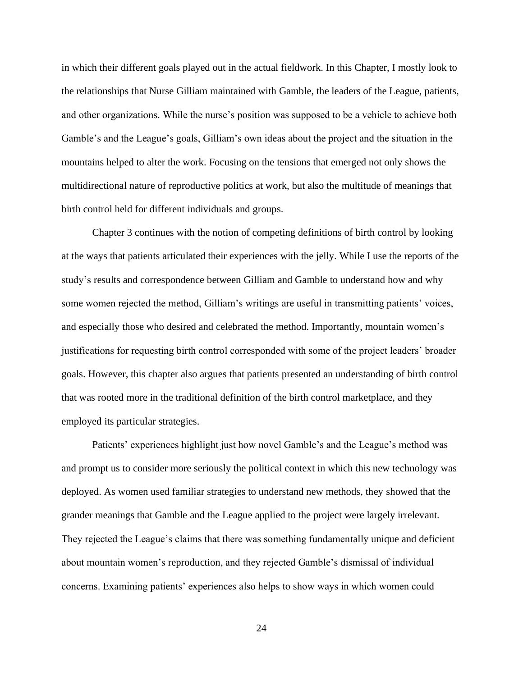in which their different goals played out in the actual fieldwork. In this Chapter, I mostly look to the relationships that Nurse Gilliam maintained with Gamble, the leaders of the League, patients, and other organizations. While the nurse's position was supposed to be a vehicle to achieve both Gamble's and the League's goals, Gilliam's own ideas about the project and the situation in the mountains helped to alter the work. Focusing on the tensions that emerged not only shows the multidirectional nature of reproductive politics at work, but also the multitude of meanings that birth control held for different individuals and groups.

Chapter 3 continues with the notion of competing definitions of birth control by looking at the ways that patients articulated their experiences with the jelly. While I use the reports of the study's results and correspondence between Gilliam and Gamble to understand how and why some women rejected the method, Gilliam's writings are useful in transmitting patients' voices, and especially those who desired and celebrated the method. Importantly, mountain women's justifications for requesting birth control corresponded with some of the project leaders' broader goals. However, this chapter also argues that patients presented an understanding of birth control that was rooted more in the traditional definition of the birth control marketplace, and they employed its particular strategies.

Patients' experiences highlight just how novel Gamble's and the League's method was and prompt us to consider more seriously the political context in which this new technology was deployed. As women used familiar strategies to understand new methods, they showed that the grander meanings that Gamble and the League applied to the project were largely irrelevant. They rejected the League's claims that there was something fundamentally unique and deficient about mountain women's reproduction, and they rejected Gamble's dismissal of individual concerns. Examining patients' experiences also helps to show ways in which women could

24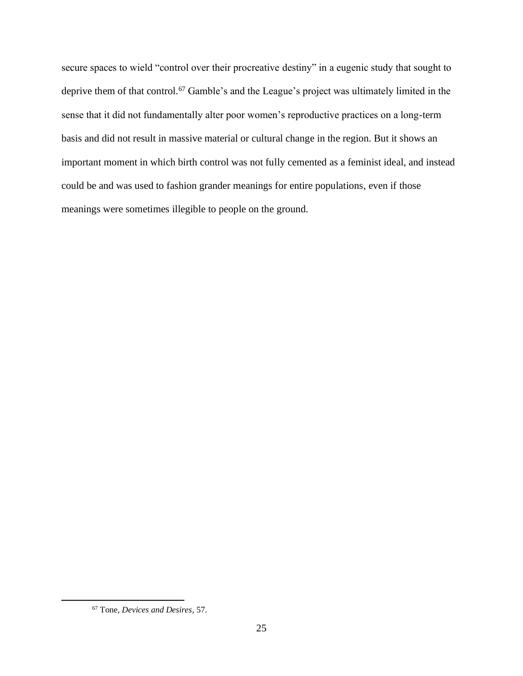secure spaces to wield "control over their procreative destiny" in a eugenic study that sought to deprive them of that control.<sup>67</sup> Gamble's and the League's project was ultimately limited in the sense that it did not fundamentally alter poor women's reproductive practices on a long-term basis and did not result in massive material or cultural change in the region. But it shows an important moment in which birth control was not fully cemented as a feminist ideal, and instead could be and was used to fashion grander meanings for entire populations, even if those meanings were sometimes illegible to people on the ground.

<sup>67</sup> Tone, *Devices and Desires,* 57.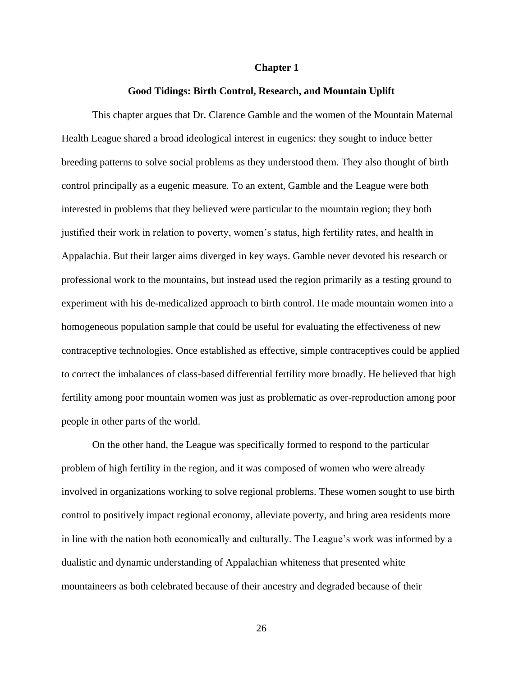#### **Chapter 1**

#### **Good Tidings: Birth Control, Research, and Mountain Uplift**

This chapter argues that Dr. Clarence Gamble and the women of the Mountain Maternal Health League shared a broad ideological interest in eugenics: they sought to induce better breeding patterns to solve social problems as they understood them. They also thought of birth control principally as a eugenic measure. To an extent, Gamble and the League were both interested in problems that they believed were particular to the mountain region; they both justified their work in relation to poverty, women's status, high fertility rates, and health in Appalachia. But their larger aims diverged in key ways. Gamble never devoted his research or professional work to the mountains, but instead used the region primarily as a testing ground to experiment with his de-medicalized approach to birth control. He made mountain women into a homogeneous population sample that could be useful for evaluating the effectiveness of new contraceptive technologies. Once established as effective, simple contraceptives could be applied to correct the imbalances of class-based differential fertility more broadly. He believed that high fertility among poor mountain women was just as problematic as over-reproduction among poor people in other parts of the world.

On the other hand, the League was specifically formed to respond to the particular problem of high fertility in the region, and it was composed of women who were already involved in organizations working to solve regional problems. These women sought to use birth control to positively impact regional economy, alleviate poverty, and bring area residents more in line with the nation both economically and culturally. The League's work was informed by a dualistic and dynamic understanding of Appalachian whiteness that presented white mountaineers as both celebrated because of their ancestry and degraded because of their

26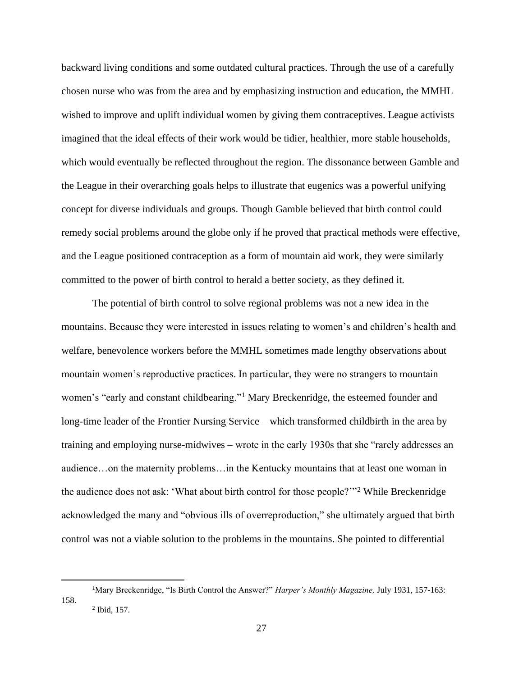backward living conditions and some outdated cultural practices. Through the use of a carefully chosen nurse who was from the area and by emphasizing instruction and education, the MMHL wished to improve and uplift individual women by giving them contraceptives. League activists imagined that the ideal effects of their work would be tidier, healthier, more stable households, which would eventually be reflected throughout the region. The dissonance between Gamble and the League in their overarching goals helps to illustrate that eugenics was a powerful unifying concept for diverse individuals and groups. Though Gamble believed that birth control could remedy social problems around the globe only if he proved that practical methods were effective, and the League positioned contraception as a form of mountain aid work, they were similarly committed to the power of birth control to herald a better society, as they defined it.

The potential of birth control to solve regional problems was not a new idea in the mountains. Because they were interested in issues relating to women's and children's health and welfare, benevolence workers before the MMHL sometimes made lengthy observations about mountain women's reproductive practices. In particular, they were no strangers to mountain women's "early and constant childbearing."<sup>1</sup> Mary Breckenridge, the esteemed founder and long-time leader of the Frontier Nursing Service – which transformed childbirth in the area by training and employing nurse-midwives – wrote in the early 1930s that she "rarely addresses an audience…on the maternity problems…in the Kentucky mountains that at least one woman in the audience does not ask: 'What about birth control for those people?'"<sup>2</sup> While Breckenridge acknowledged the many and "obvious ills of overreproduction," she ultimately argued that birth control was not a viable solution to the problems in the mountains. She pointed to differential

<sup>1</sup>Mary Breckenridge, "Is Birth Control the Answer?" *Harper's Monthly Magazine,* July 1931, 157-163: 158.  $2$  Ibid, 157.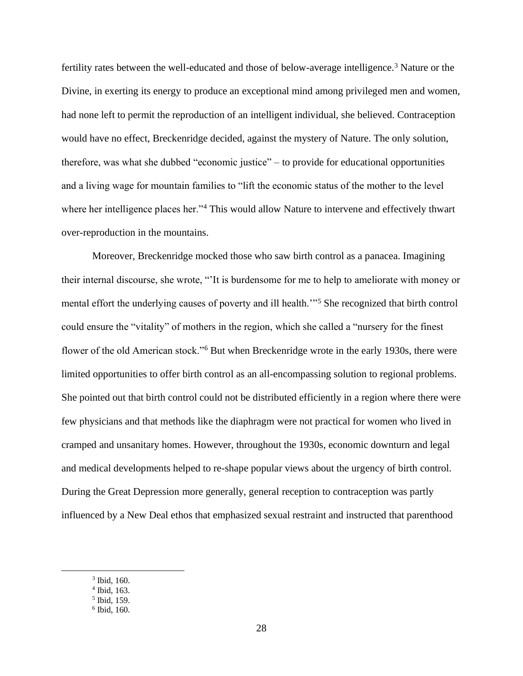fertility rates between the well-educated and those of below-average intelligence.<sup>3</sup> Nature or the Divine, in exerting its energy to produce an exceptional mind among privileged men and women, had none left to permit the reproduction of an intelligent individual, she believed. Contraception would have no effect, Breckenridge decided, against the mystery of Nature. The only solution, therefore, was what she dubbed "economic justice" – to provide for educational opportunities and a living wage for mountain families to "lift the economic status of the mother to the level where her intelligence places her."<sup>4</sup> This would allow Nature to intervene and effectively thwart over-reproduction in the mountains.

Moreover, Breckenridge mocked those who saw birth control as a panacea. Imagining their internal discourse, she wrote, "'It is burdensome for me to help to ameliorate with money or mental effort the underlying causes of poverty and ill health.'"<sup>5</sup> She recognized that birth control could ensure the "vitality" of mothers in the region, which she called a "nursery for the finest flower of the old American stock."<sup>6</sup> But when Breckenridge wrote in the early 1930s, there were limited opportunities to offer birth control as an all-encompassing solution to regional problems. She pointed out that birth control could not be distributed efficiently in a region where there were few physicians and that methods like the diaphragm were not practical for women who lived in cramped and unsanitary homes. However, throughout the 1930s, economic downturn and legal and medical developments helped to re-shape popular views about the urgency of birth control. During the Great Depression more generally, general reception to contraception was partly influenced by a New Deal ethos that emphasized sexual restraint and instructed that parenthood

<sup>3</sup> Ibid, 160.

<sup>4</sup> Ibid, 163.

<sup>5</sup> Ibid, 159.

<sup>6</sup> Ibid, 160.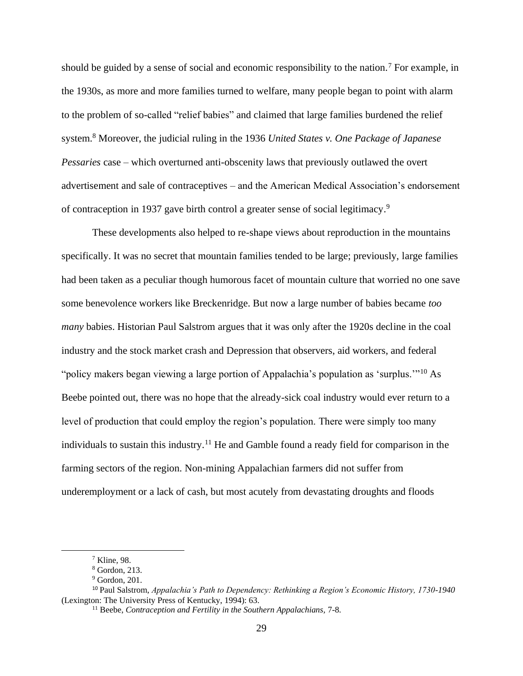should be guided by a sense of social and economic responsibility to the nation.<sup>7</sup> For example, in the 1930s, as more and more families turned to welfare, many people began to point with alarm to the problem of so-called "relief babies" and claimed that large families burdened the relief system.<sup>8</sup> Moreover, the judicial ruling in the 1936 *United States v. One Package of Japanese Pessaries* case – which overturned anti-obscenity laws that previously outlawed the overt advertisement and sale of contraceptives – and the American Medical Association's endorsement of contraception in 1937 gave birth control a greater sense of social legitimacy. 9

These developments also helped to re-shape views about reproduction in the mountains specifically. It was no secret that mountain families tended to be large; previously, large families had been taken as a peculiar though humorous facet of mountain culture that worried no one save some benevolence workers like Breckenridge. But now a large number of babies became *too many* babies. Historian Paul Salstrom argues that it was only after the 1920s decline in the coal industry and the stock market crash and Depression that observers, aid workers, and federal "policy makers began viewing a large portion of Appalachia's population as 'surplus.'"<sup>10</sup> As Beebe pointed out, there was no hope that the already-sick coal industry would ever return to a level of production that could employ the region's population. There were simply too many individuals to sustain this industry.<sup>11</sup> He and Gamble found a ready field for comparison in the farming sectors of the region. Non-mining Appalachian farmers did not suffer from underemployment or a lack of cash, but most acutely from devastating droughts and floods

<sup>7</sup> Kline*,* 98.

<sup>8</sup> Gordon, 213.

 $9$  Gordon, 201.

<sup>10</sup> Paul Salstrom, *Appalachia's Path to Dependency: Rethinking a Region's Economic History, 1730-1940*  (Lexington: The University Press of Kentucky, 1994): 63.

<sup>&</sup>lt;sup>11</sup> Beebe, *Contraception and Fertility in the Southern Appalachians*, 7-8.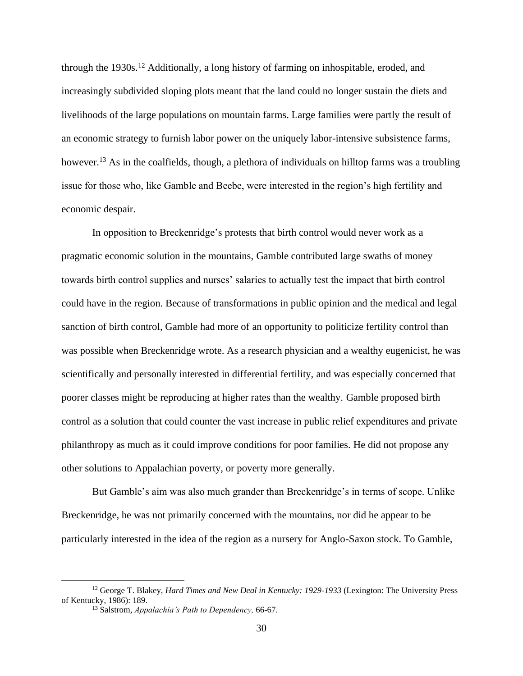through the 1930s.<sup>12</sup> Additionally, a long history of farming on inhospitable, eroded, and increasingly subdivided sloping plots meant that the land could no longer sustain the diets and livelihoods of the large populations on mountain farms. Large families were partly the result of an economic strategy to furnish labor power on the uniquely labor-intensive subsistence farms, however.<sup>13</sup> As in the coalfields, though, a plethora of individuals on hilltop farms was a troubling issue for those who, like Gamble and Beebe, were interested in the region's high fertility and economic despair.

In opposition to Breckenridge's protests that birth control would never work as a pragmatic economic solution in the mountains, Gamble contributed large swaths of money towards birth control supplies and nurses' salaries to actually test the impact that birth control could have in the region. Because of transformations in public opinion and the medical and legal sanction of birth control, Gamble had more of an opportunity to politicize fertility control than was possible when Breckenridge wrote. As a research physician and a wealthy eugenicist, he was scientifically and personally interested in differential fertility, and was especially concerned that poorer classes might be reproducing at higher rates than the wealthy. Gamble proposed birth control as a solution that could counter the vast increase in public relief expenditures and private philanthropy as much as it could improve conditions for poor families. He did not propose any other solutions to Appalachian poverty, or poverty more generally.

But Gamble's aim was also much grander than Breckenridge's in terms of scope. Unlike Breckenridge, he was not primarily concerned with the mountains, nor did he appear to be particularly interested in the idea of the region as a nursery for Anglo-Saxon stock. To Gamble,

<sup>12</sup> George T. Blakey, *Hard Times and New Deal in Kentucky: 1929-1933* (Lexington: The University Press of Kentucky, 1986): 189.

<sup>13</sup> Salstrom, *Appalachia's Path to Dependency,* 66-67.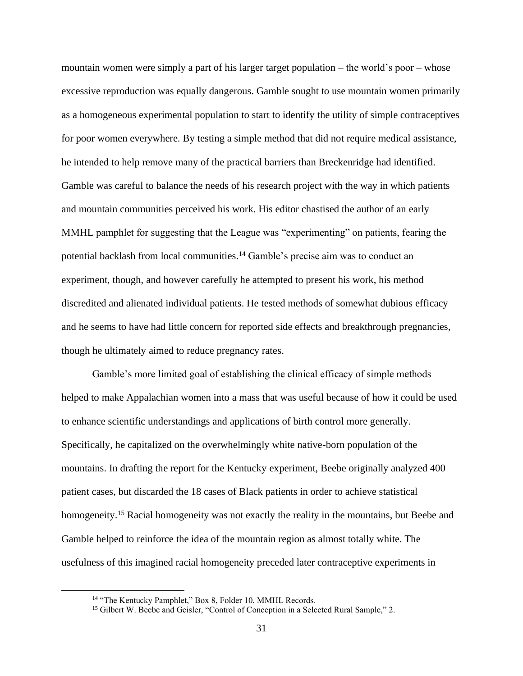mountain women were simply a part of his larger target population – the world's poor – whose excessive reproduction was equally dangerous. Gamble sought to use mountain women primarily as a homogeneous experimental population to start to identify the utility of simple contraceptives for poor women everywhere. By testing a simple method that did not require medical assistance, he intended to help remove many of the practical barriers than Breckenridge had identified. Gamble was careful to balance the needs of his research project with the way in which patients and mountain communities perceived his work. His editor chastised the author of an early MMHL pamphlet for suggesting that the League was "experimenting" on patients, fearing the potential backlash from local communities.<sup>14</sup> Gamble's precise aim was to conduct an experiment, though, and however carefully he attempted to present his work, his method discredited and alienated individual patients. He tested methods of somewhat dubious efficacy and he seems to have had little concern for reported side effects and breakthrough pregnancies, though he ultimately aimed to reduce pregnancy rates.

Gamble's more limited goal of establishing the clinical efficacy of simple methods helped to make Appalachian women into a mass that was useful because of how it could be used to enhance scientific understandings and applications of birth control more generally. Specifically, he capitalized on the overwhelmingly white native-born population of the mountains. In drafting the report for the Kentucky experiment, Beebe originally analyzed 400 patient cases, but discarded the 18 cases of Black patients in order to achieve statistical homogeneity.<sup>15</sup> Racial homogeneity was not exactly the reality in the mountains, but Beebe and Gamble helped to reinforce the idea of the mountain region as almost totally white. The usefulness of this imagined racial homogeneity preceded later contraceptive experiments in

<sup>&</sup>lt;sup>14</sup> "The Kentucky Pamphlet," Box 8, Folder 10, MMHL Records.

<sup>&</sup>lt;sup>15</sup> Gilbert W. Beebe and Geisler, "Control of Conception in a Selected Rural Sample," 2.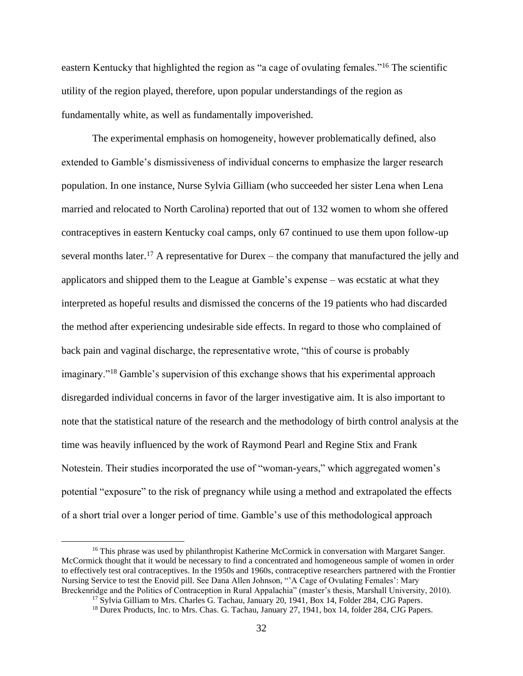eastern Kentucky that highlighted the region as "a cage of ovulating females."<sup>16</sup> The scientific utility of the region played, therefore, upon popular understandings of the region as fundamentally white, as well as fundamentally impoverished.

The experimental emphasis on homogeneity, however problematically defined, also extended to Gamble's dismissiveness of individual concerns to emphasize the larger research population. In one instance, Nurse Sylvia Gilliam (who succeeded her sister Lena when Lena married and relocated to North Carolina) reported that out of 132 women to whom she offered contraceptives in eastern Kentucky coal camps, only 67 continued to use them upon follow-up several months later.<sup>17</sup> A representative for Durex – the company that manufactured the jelly and applicators and shipped them to the League at Gamble's expense – was ecstatic at what they interpreted as hopeful results and dismissed the concerns of the 19 patients who had discarded the method after experiencing undesirable side effects. In regard to those who complained of back pain and vaginal discharge, the representative wrote, "this of course is probably imaginary."<sup>18</sup> Gamble's supervision of this exchange shows that his experimental approach disregarded individual concerns in favor of the larger investigative aim. It is also important to note that the statistical nature of the research and the methodology of birth control analysis at the time was heavily influenced by the work of Raymond Pearl and Regine Stix and Frank Notestein. Their studies incorporated the use of "woman-years," which aggregated women's potential "exposure" to the risk of pregnancy while using a method and extrapolated the effects of a short trial over a longer period of time. Gamble's use of this methodological approach

<sup>&</sup>lt;sup>16</sup> This phrase was used by philanthropist Katherine McCormick in conversation with Margaret Sanger. McCormick thought that it would be necessary to find a concentrated and homogeneous sample of women in order to effectively test oral contraceptives. In the 1950s and 1960s, contraceptive researchers partnered with the Frontier Nursing Service to test the Enovid pill. See Dana Allen Johnson, "'A Cage of Ovulating Females': Mary Breckenridge and the Politics of Contraception in Rural Appalachia" (master's thesis, Marshall University, 2010).

<sup>&</sup>lt;sup>17</sup> Sylvia Gilliam to Mrs. Charles G. Tachau, January 20, 1941, Box 14, Folder 284, CJG Papers.

<sup>&</sup>lt;sup>18</sup> Durex Products, Inc. to Mrs. Chas. G. Tachau, January 27, 1941, box 14, folder 284, CJG Papers.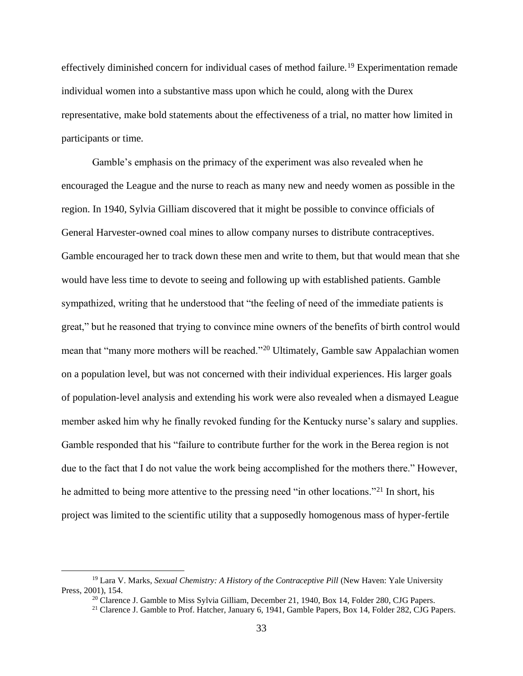effectively diminished concern for individual cases of method failure.<sup>19</sup> Experimentation remade individual women into a substantive mass upon which he could, along with the Durex representative, make bold statements about the effectiveness of a trial, no matter how limited in participants or time.

Gamble's emphasis on the primacy of the experiment was also revealed when he encouraged the League and the nurse to reach as many new and needy women as possible in the region. In 1940, Sylvia Gilliam discovered that it might be possible to convince officials of General Harvester-owned coal mines to allow company nurses to distribute contraceptives. Gamble encouraged her to track down these men and write to them, but that would mean that she would have less time to devote to seeing and following up with established patients. Gamble sympathized, writing that he understood that "the feeling of need of the immediate patients is great," but he reasoned that trying to convince mine owners of the benefits of birth control would mean that "many more mothers will be reached."<sup>20</sup> Ultimately, Gamble saw Appalachian women on a population level, but was not concerned with their individual experiences. His larger goals of population-level analysis and extending his work were also revealed when a dismayed League member asked him why he finally revoked funding for the Kentucky nurse's salary and supplies. Gamble responded that his "failure to contribute further for the work in the Berea region is not due to the fact that I do not value the work being accomplished for the mothers there." However, he admitted to being more attentive to the pressing need "in other locations."<sup>21</sup> In short, his project was limited to the scientific utility that a supposedly homogenous mass of hyper-fertile

<sup>&</sup>lt;sup>19</sup> Lara V. Marks, *Sexual Chemistry: A History of the Contraceptive Pill* (New Haven: Yale University Press, 2001), 154.

<sup>&</sup>lt;sup>20</sup> Clarence J. Gamble to Miss Sylvia Gilliam, December 21, 1940, Box 14, Folder 280, CJG Papers.

<sup>&</sup>lt;sup>21</sup> Clarence J. Gamble to Prof. Hatcher, January 6, 1941, Gamble Papers, Box 14, Folder 282, CJG Papers.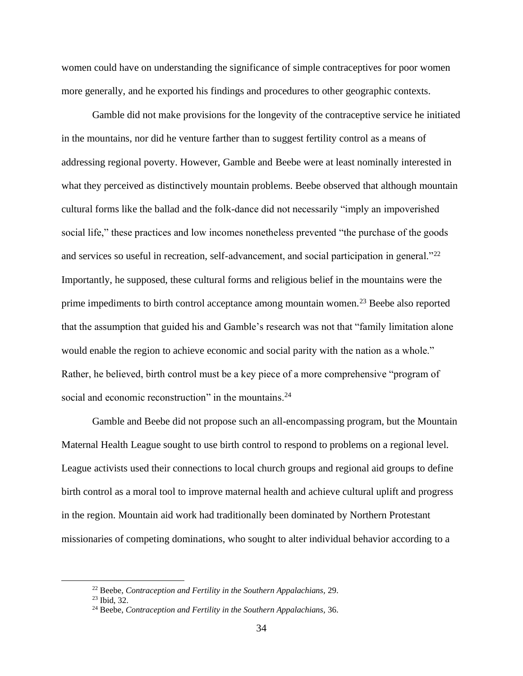women could have on understanding the significance of simple contraceptives for poor women more generally, and he exported his findings and procedures to other geographic contexts.

Gamble did not make provisions for the longevity of the contraceptive service he initiated in the mountains, nor did he venture farther than to suggest fertility control as a means of addressing regional poverty. However, Gamble and Beebe were at least nominally interested in what they perceived as distinctively mountain problems. Beebe observed that although mountain cultural forms like the ballad and the folk-dance did not necessarily "imply an impoverished social life," these practices and low incomes nonetheless prevented "the purchase of the goods and services so useful in recreation, self-advancement, and social participation in general."<sup>22</sup> Importantly, he supposed, these cultural forms and religious belief in the mountains were the prime impediments to birth control acceptance among mountain women.<sup>23</sup> Beebe also reported that the assumption that guided his and Gamble's research was not that "family limitation alone would enable the region to achieve economic and social parity with the nation as a whole." Rather, he believed, birth control must be a key piece of a more comprehensive "program of social and economic reconstruction" in the mountains.<sup>24</sup>

Gamble and Beebe did not propose such an all-encompassing program, but the Mountain Maternal Health League sought to use birth control to respond to problems on a regional level. League activists used their connections to local church groups and regional aid groups to define birth control as a moral tool to improve maternal health and achieve cultural uplift and progress in the region. Mountain aid work had traditionally been dominated by Northern Protestant missionaries of competing dominations, who sought to alter individual behavior according to a

<sup>22</sup> Beebe, *Contraception and Fertility in the Southern Appalachians,* 29.

<sup>23</sup> Ibid, 32.

<sup>24</sup> Beebe, *Contraception and Fertility in the Southern Appalachians,* 36.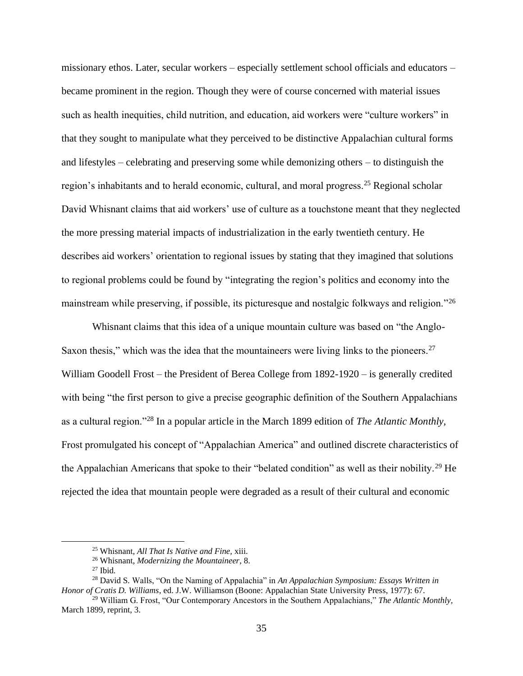missionary ethos. Later, secular workers – especially settlement school officials and educators – became prominent in the region. Though they were of course concerned with material issues such as health inequities, child nutrition, and education, aid workers were "culture workers" in that they sought to manipulate what they perceived to be distinctive Appalachian cultural forms and lifestyles – celebrating and preserving some while demonizing others – to distinguish the region's inhabitants and to herald economic, cultural, and moral progress.<sup>25</sup> Regional scholar David Whisnant claims that aid workers' use of culture as a touchstone meant that they neglected the more pressing material impacts of industrialization in the early twentieth century. He describes aid workers' orientation to regional issues by stating that they imagined that solutions to regional problems could be found by "integrating the region's politics and economy into the mainstream while preserving, if possible, its picturesque and nostalgic folkways and religion."<sup>26</sup>

Whisnant claims that this idea of a unique mountain culture was based on "the Anglo-Saxon thesis," which was the idea that the mountaineers were living links to the pioneers.<sup>27</sup> William Goodell Frost – the President of Berea College from 1892-1920 – is generally credited with being "the first person to give a precise geographic definition of the Southern Appalachians as a cultural region."<sup>28</sup> In a popular article in the March 1899 edition of *The Atlantic Monthly,*  Frost promulgated his concept of "Appalachian America" and outlined discrete characteristics of the Appalachian Americans that spoke to their "belated condition" as well as their nobility.<sup>29</sup> He rejected the idea that mountain people were degraded as a result of their cultural and economic

<sup>25</sup> Whisnant, *All That Is Native and Fine,* xiii.

<sup>26</sup> Whisnant, *Modernizing the Mountaineer,* 8.

 $27$  Ibid.

<sup>28</sup> David S. Walls, "On the Naming of Appalachia" in *An Appalachian Symposium: Essays Written in Honor of Cratis D. Williams*, ed. J.W. Williamson (Boone: Appalachian State University Press, 1977): 67.

<sup>29</sup> William G. Frost, "Our Contemporary Ancestors in the Southern Appalachians," *The Atlantic Monthly,*  March 1899, reprint, 3.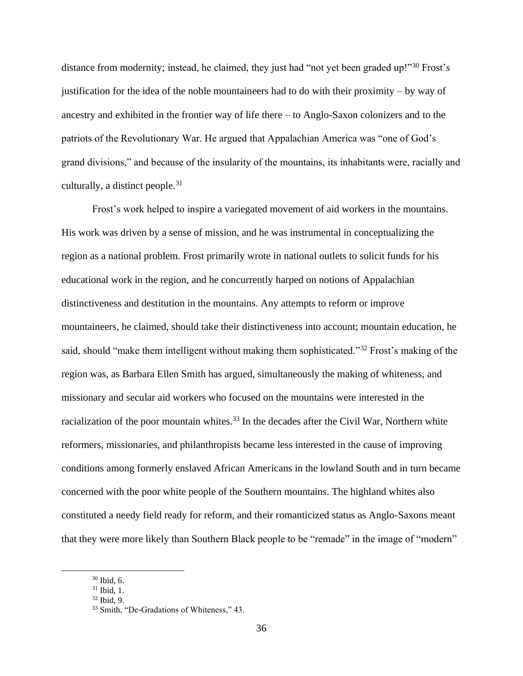distance from modernity; instead, he claimed, they just had "not yet been graded up!"<sup>30</sup> Frost's justification for the idea of the noble mountaineers had to do with their proximity – by way of ancestry and exhibited in the frontier way of life there – to Anglo-Saxon colonizers and to the patriots of the Revolutionary War. He argued that Appalachian America was "one of God's grand divisions," and because of the insularity of the mountains, its inhabitants were, racially and culturally, a distinct people.<sup>31</sup>

Frost's work helped to inspire a variegated movement of aid workers in the mountains. His work was driven by a sense of mission, and he was instrumental in conceptualizing the region as a national problem. Frost primarily wrote in national outlets to solicit funds for his educational work in the region, and he concurrently harped on notions of Appalachian distinctiveness and destitution in the mountains. Any attempts to reform or improve mountaineers, he claimed, should take their distinctiveness into account; mountain education, he said, should "make them intelligent without making them sophisticated."<sup>32</sup> Frost's making of the region was, as Barbara Ellen Smith has argued, simultaneously the making of whiteness, and missionary and secular aid workers who focused on the mountains were interested in the racialization of the poor mountain whites.<sup>33</sup> In the decades after the Civil War, Northern white reformers, missionaries, and philanthropists became less interested in the cause of improving conditions among formerly enslaved African Americans in the lowland South and in turn became concerned with the poor white people of the Southern mountains. The highland whites also constituted a needy field ready for reform, and their romanticized status as Anglo-Saxons meant that they were more likely than Southern Black people to be "remade" in the image of "modern"

<sup>30</sup> Ibid, 6.

<sup>31</sup> Ibid, 1.

<sup>32</sup> Ibid, 9.

<sup>33</sup> Smith, "De-Gradations of Whiteness," 43.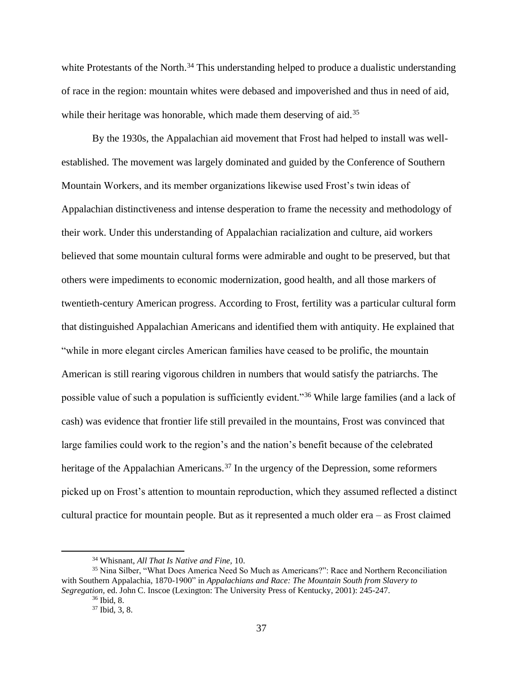white Protestants of the North.<sup>34</sup> This understanding helped to produce a dualistic understanding of race in the region: mountain whites were debased and impoverished and thus in need of aid, while their heritage was honorable, which made them deserving of aid.<sup>35</sup>

By the 1930s, the Appalachian aid movement that Frost had helped to install was wellestablished. The movement was largely dominated and guided by the Conference of Southern Mountain Workers, and its member organizations likewise used Frost's twin ideas of Appalachian distinctiveness and intense desperation to frame the necessity and methodology of their work. Under this understanding of Appalachian racialization and culture, aid workers believed that some mountain cultural forms were admirable and ought to be preserved, but that others were impediments to economic modernization, good health, and all those markers of twentieth-century American progress. According to Frost, fertility was a particular cultural form that distinguished Appalachian Americans and identified them with antiquity. He explained that "while in more elegant circles American families have ceased to be prolific, the mountain American is still rearing vigorous children in numbers that would satisfy the patriarchs. The possible value of such a population is sufficiently evident."<sup>36</sup> While large families (and a lack of cash) was evidence that frontier life still prevailed in the mountains, Frost was convinced that large families could work to the region's and the nation's benefit because of the celebrated heritage of the Appalachian Americans.<sup>37</sup> In the urgency of the Depression, some reformers picked up on Frost's attention to mountain reproduction, which they assumed reflected a distinct cultural practice for mountain people. But as it represented a much older era – as Frost claimed

<sup>34</sup> Whisnant, *All That Is Native and Fine,* 10.

<sup>35</sup> Nina Silber, "What Does America Need So Much as Americans?": Race and Northern Reconciliation with Southern Appalachia, 1870-1900" in *Appalachians and Race: The Mountain South from Slavery to Segregation,* ed. John C. Inscoe (Lexington: The University Press of Kentucky, 2001): 245-247.

<sup>36</sup> Ibid, 8.

<sup>37</sup> Ibid, 3, 8.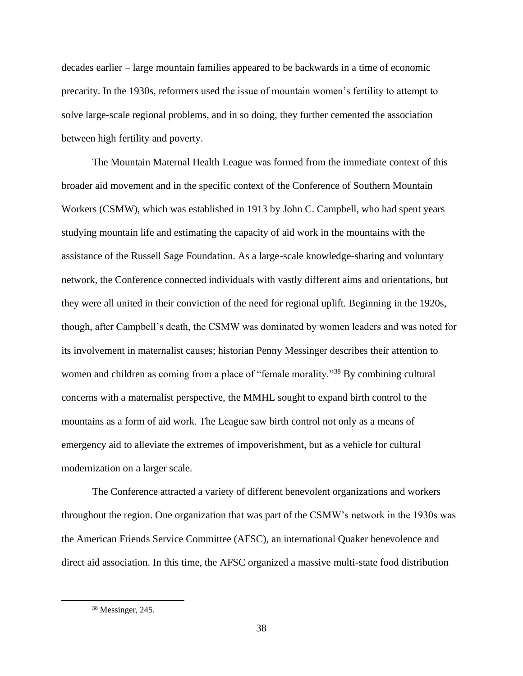decades earlier – large mountain families appeared to be backwards in a time of economic precarity. In the 1930s, reformers used the issue of mountain women's fertility to attempt to solve large-scale regional problems, and in so doing, they further cemented the association between high fertility and poverty.

The Mountain Maternal Health League was formed from the immediate context of this broader aid movement and in the specific context of the Conference of Southern Mountain Workers (CSMW), which was established in 1913 by John C. Campbell, who had spent years studying mountain life and estimating the capacity of aid work in the mountains with the assistance of the Russell Sage Foundation. As a large-scale knowledge-sharing and voluntary network, the Conference connected individuals with vastly different aims and orientations, but they were all united in their conviction of the need for regional uplift. Beginning in the 1920s, though, after Campbell's death, the CSMW was dominated by women leaders and was noted for its involvement in maternalist causes; historian Penny Messinger describes their attention to women and children as coming from a place of "female morality."<sup>38</sup> By combining cultural concerns with a maternalist perspective, the MMHL sought to expand birth control to the mountains as a form of aid work. The League saw birth control not only as a means of emergency aid to alleviate the extremes of impoverishment, but as a vehicle for cultural modernization on a larger scale.

The Conference attracted a variety of different benevolent organizations and workers throughout the region. One organization that was part of the CSMW's network in the 1930s was the American Friends Service Committee (AFSC), an international Quaker benevolence and direct aid association. In this time, the AFSC organized a massive multi-state food distribution

<sup>38</sup> Messinger, 245.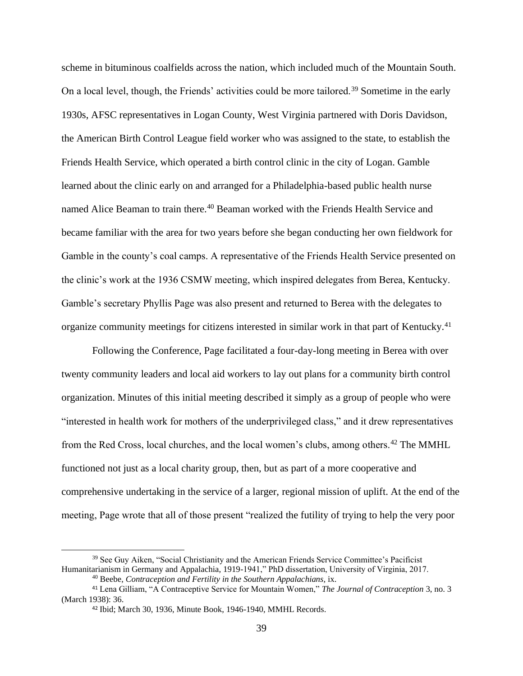scheme in bituminous coalfields across the nation, which included much of the Mountain South. On a local level, though, the Friends' activities could be more tailored.<sup>39</sup> Sometime in the early 1930s, AFSC representatives in Logan County, West Virginia partnered with Doris Davidson, the American Birth Control League field worker who was assigned to the state, to establish the Friends Health Service, which operated a birth control clinic in the city of Logan. Gamble learned about the clinic early on and arranged for a Philadelphia-based public health nurse named Alice Beaman to train there.<sup>40</sup> Beaman worked with the Friends Health Service and became familiar with the area for two years before she began conducting her own fieldwork for Gamble in the county's coal camps. A representative of the Friends Health Service presented on the clinic's work at the 1936 CSMW meeting, which inspired delegates from Berea, Kentucky. Gamble's secretary Phyllis Page was also present and returned to Berea with the delegates to organize community meetings for citizens interested in similar work in that part of Kentucky.<sup>41</sup>

Following the Conference, Page facilitated a four-day-long meeting in Berea with over twenty community leaders and local aid workers to lay out plans for a community birth control organization. Minutes of this initial meeting described it simply as a group of people who were "interested in health work for mothers of the underprivileged class," and it drew representatives from the Red Cross, local churches, and the local women's clubs, among others.<sup>42</sup> The MMHL functioned not just as a local charity group, then, but as part of a more cooperative and comprehensive undertaking in the service of a larger, regional mission of uplift. At the end of the meeting, Page wrote that all of those present "realized the futility of trying to help the very poor

<sup>&</sup>lt;sup>39</sup> See Guy Aiken, "Social Christianity and the American Friends Service Committee's Pacificist Humanitarianism in Germany and Appalachia, 1919-1941," PhD dissertation, University of Virginia, 2017.

<sup>40</sup> Beebe, *Contraception and Fertility in the Southern Appalachians,* ix.

<sup>41</sup> Lena Gilliam, "A Contraceptive Service for Mountain Women," *The Journal of Contraception* 3, no. 3 (March 1938): 36.

<sup>42</sup> Ibid; March 30, 1936, Minute Book, 1946-1940, MMHL Records.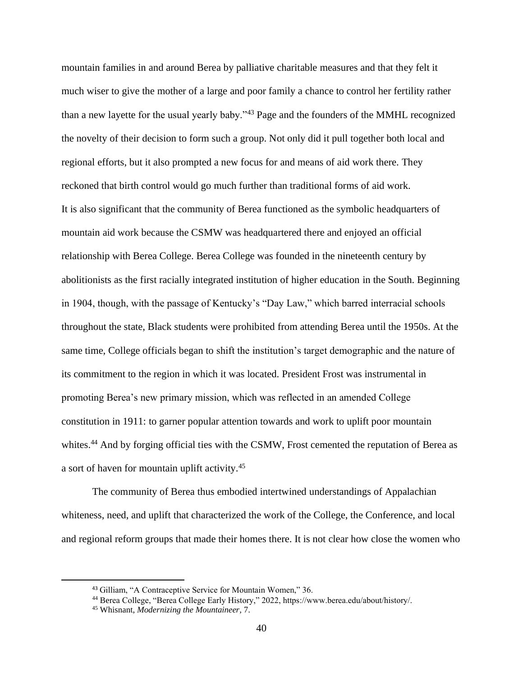mountain families in and around Berea by palliative charitable measures and that they felt it much wiser to give the mother of a large and poor family a chance to control her fertility rather than a new layette for the usual yearly baby."<sup>43</sup> Page and the founders of the MMHL recognized the novelty of their decision to form such a group. Not only did it pull together both local and regional efforts, but it also prompted a new focus for and means of aid work there. They reckoned that birth control would go much further than traditional forms of aid work. It is also significant that the community of Berea functioned as the symbolic headquarters of mountain aid work because the CSMW was headquartered there and enjoyed an official relationship with Berea College. Berea College was founded in the nineteenth century by abolitionists as the first racially integrated institution of higher education in the South. Beginning in 1904, though, with the passage of Kentucky's "Day Law," which barred interracial schools throughout the state, Black students were prohibited from attending Berea until the 1950s. At the same time, College officials began to shift the institution's target demographic and the nature of its commitment to the region in which it was located. President Frost was instrumental in promoting Berea's new primary mission, which was reflected in an amended College constitution in 1911: to garner popular attention towards and work to uplift poor mountain whites.<sup>44</sup> And by forging official ties with the CSMW, Frost cemented the reputation of Berea as a sort of haven for mountain uplift activity.<sup>45</sup>

The community of Berea thus embodied intertwined understandings of Appalachian whiteness, need, and uplift that characterized the work of the College, the Conference, and local and regional reform groups that made their homes there. It is not clear how close the women who

<sup>43</sup> Gilliam, "A Contraceptive Service for Mountain Women," 36.

<sup>44</sup> Berea College, "Berea College Early History," 2022, https://www.berea.edu/about/history/.

<sup>45</sup> Whisnant, *Modernizing the Mountaineer,* 7.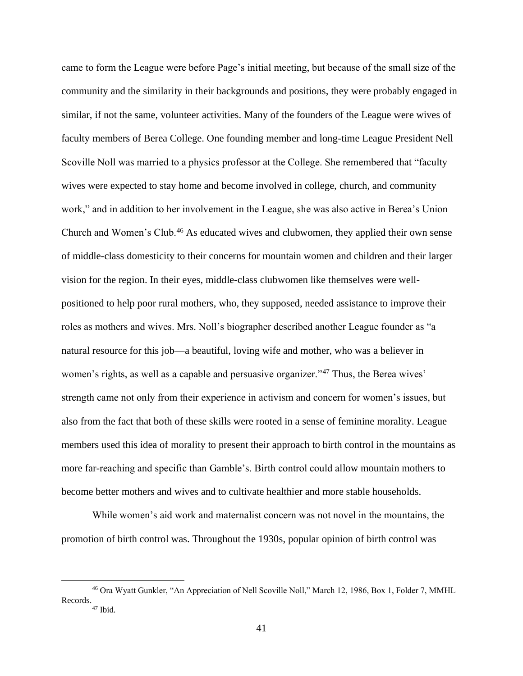came to form the League were before Page's initial meeting, but because of the small size of the community and the similarity in their backgrounds and positions, they were probably engaged in similar, if not the same, volunteer activities. Many of the founders of the League were wives of faculty members of Berea College. One founding member and long-time League President Nell Scoville Noll was married to a physics professor at the College. She remembered that "faculty wives were expected to stay home and become involved in college, church, and community work," and in addition to her involvement in the League, she was also active in Berea's Union Church and Women's Club.<sup>46</sup> As educated wives and clubwomen, they applied their own sense of middle-class domesticity to their concerns for mountain women and children and their larger vision for the region. In their eyes, middle-class clubwomen like themselves were wellpositioned to help poor rural mothers, who, they supposed, needed assistance to improve their roles as mothers and wives. Mrs. Noll's biographer described another League founder as "a natural resource for this job—a beautiful, loving wife and mother, who was a believer in women's rights, as well as a capable and persuasive organizer."<sup>47</sup> Thus, the Berea wives' strength came not only from their experience in activism and concern for women's issues, but also from the fact that both of these skills were rooted in a sense of feminine morality. League members used this idea of morality to present their approach to birth control in the mountains as more far-reaching and specific than Gamble's. Birth control could allow mountain mothers to become better mothers and wives and to cultivate healthier and more stable households.

While women's aid work and maternalist concern was not novel in the mountains, the promotion of birth control was. Throughout the 1930s, popular opinion of birth control was

<sup>46</sup> Ora Wyatt Gunkler, "An Appreciation of Nell Scoville Noll," March 12, 1986, Box 1, Folder 7, MMHL Records.  $47$  Ibid.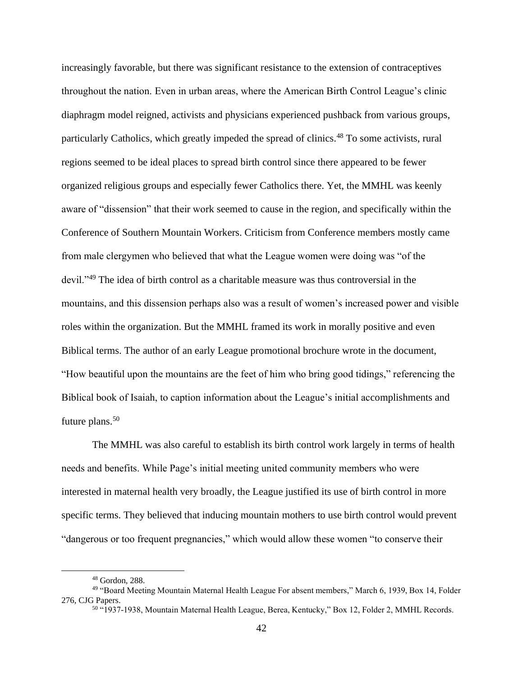increasingly favorable, but there was significant resistance to the extension of contraceptives throughout the nation. Even in urban areas, where the American Birth Control League's clinic diaphragm model reigned, activists and physicians experienced pushback from various groups, particularly Catholics, which greatly impeded the spread of clinics.<sup>48</sup> To some activists, rural regions seemed to be ideal places to spread birth control since there appeared to be fewer organized religious groups and especially fewer Catholics there. Yet, the MMHL was keenly aware of "dissension" that their work seemed to cause in the region, and specifically within the Conference of Southern Mountain Workers. Criticism from Conference members mostly came from male clergymen who believed that what the League women were doing was "of the devil."<sup>49</sup> The idea of birth control as a charitable measure was thus controversial in the mountains, and this dissension perhaps also was a result of women's increased power and visible roles within the organization. But the MMHL framed its work in morally positive and even Biblical terms. The author of an early League promotional brochure wrote in the document, "How beautiful upon the mountains are the feet of him who bring good tidings," referencing the Biblical book of Isaiah, to caption information about the League's initial accomplishments and future plans.<sup>50</sup>

The MMHL was also careful to establish its birth control work largely in terms of health needs and benefits. While Page's initial meeting united community members who were interested in maternal health very broadly, the League justified its use of birth control in more specific terms. They believed that inducing mountain mothers to use birth control would prevent "dangerous or too frequent pregnancies," which would allow these women "to conserve their

<sup>48</sup> Gordon, 288.

<sup>49</sup> "Board Meeting Mountain Maternal Health League For absent members," March 6, 1939, Box 14, Folder 276, CJG Papers.

<sup>&</sup>lt;sup>50</sup> "1937-1938, Mountain Maternal Health League, Berea, Kentucky," Box 12, Folder 2, MMHL Records.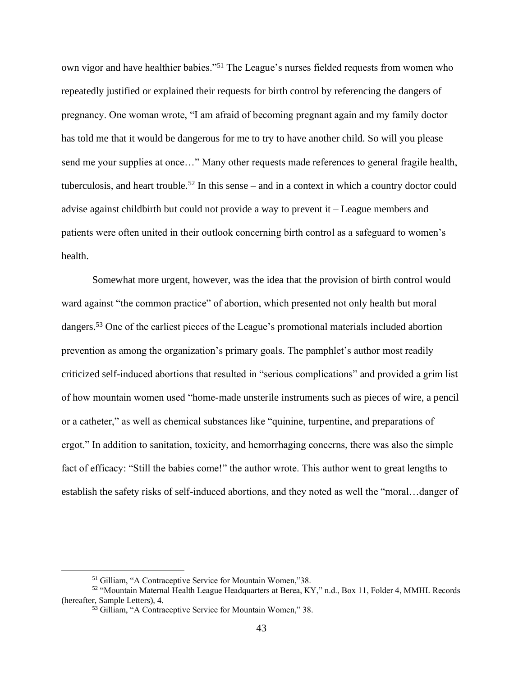own vigor and have healthier babies."<sup>51</sup> The League's nurses fielded requests from women who repeatedly justified or explained their requests for birth control by referencing the dangers of pregnancy. One woman wrote, "I am afraid of becoming pregnant again and my family doctor has told me that it would be dangerous for me to try to have another child. So will you please send me your supplies at once…" Many other requests made references to general fragile health, tuberculosis, and heart trouble.<sup>52</sup> In this sense – and in a context in which a country doctor could advise against childbirth but could not provide a way to prevent it – League members and patients were often united in their outlook concerning birth control as a safeguard to women's health.

Somewhat more urgent, however, was the idea that the provision of birth control would ward against "the common practice" of abortion, which presented not only health but moral dangers.<sup>53</sup> One of the earliest pieces of the League's promotional materials included abortion prevention as among the organization's primary goals. The pamphlet's author most readily criticized self-induced abortions that resulted in "serious complications" and provided a grim list of how mountain women used "home-made unsterile instruments such as pieces of wire, a pencil or a catheter," as well as chemical substances like "quinine, turpentine, and preparations of ergot." In addition to sanitation, toxicity, and hemorrhaging concerns, there was also the simple fact of efficacy: "Still the babies come!" the author wrote. This author went to great lengths to establish the safety risks of self-induced abortions, and they noted as well the "moral…danger of

<sup>51</sup> Gilliam, "A Contraceptive Service for Mountain Women,"38.

<sup>52</sup> "Mountain Maternal Health League Headquarters at Berea, KY," n.d., Box 11, Folder 4, MMHL Records (hereafter, Sample Letters), 4.

<sup>53</sup> Gilliam, "A Contraceptive Service for Mountain Women," 38.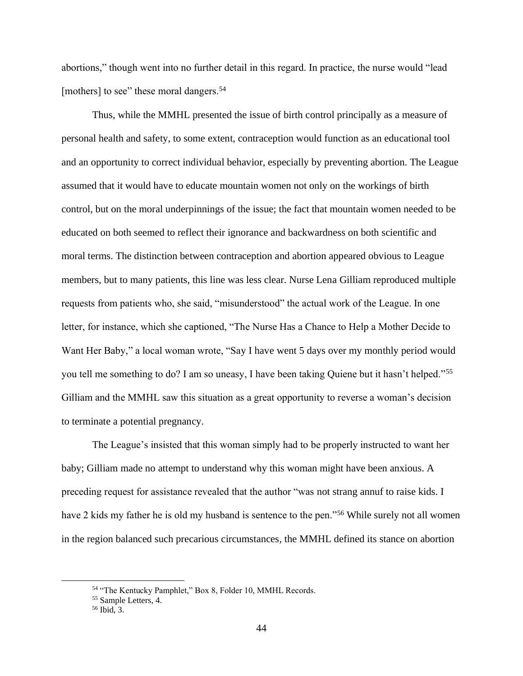abortions," though went into no further detail in this regard. In practice, the nurse would "lead [mothers] to see" these moral dangers.<sup>54</sup>

Thus, while the MMHL presented the issue of birth control principally as a measure of personal health and safety, to some extent, contraception would function as an educational tool and an opportunity to correct individual behavior, especially by preventing abortion. The League assumed that it would have to educate mountain women not only on the workings of birth control, but on the moral underpinnings of the issue; the fact that mountain women needed to be educated on both seemed to reflect their ignorance and backwardness on both scientific and moral terms. The distinction between contraception and abortion appeared obvious to League members, but to many patients, this line was less clear. Nurse Lena Gilliam reproduced multiple requests from patients who, she said, "misunderstood" the actual work of the League. In one letter, for instance, which she captioned, "The Nurse Has a Chance to Help a Mother Decide to Want Her Baby," a local woman wrote, "Say I have went 5 days over my monthly period would you tell me something to do? I am so uneasy, I have been taking Quiene but it hasn't helped."<sup>55</sup> Gilliam and the MMHL saw this situation as a great opportunity to reverse a woman's decision to terminate a potential pregnancy.

The League's insisted that this woman simply had to be properly instructed to want her baby; Gilliam made no attempt to understand why this woman might have been anxious. A preceding request for assistance revealed that the author "was not strang annuf to raise kids. I have 2 kids my father he is old my husband is sentence to the pen."<sup>56</sup> While surely not all women in the region balanced such precarious circumstances, the MMHL defined its stance on abortion

<sup>54</sup> "The Kentucky Pamphlet," Box 8, Folder 10, MMHL Records.

<sup>55</sup> Sample Letters, 4.

<sup>56</sup> Ibid, 3.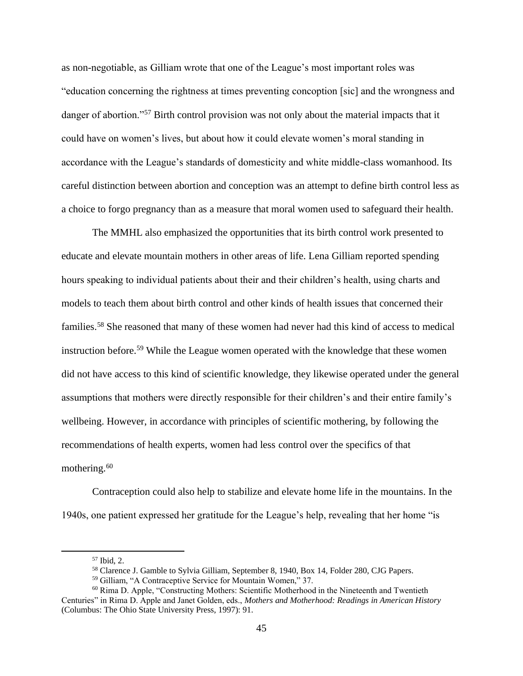as non-negotiable, as Gilliam wrote that one of the League's most important roles was "education concerning the rightness at times preventing concoption [sic] and the wrongness and danger of abortion."<sup>57</sup> Birth control provision was not only about the material impacts that it could have on women's lives, but about how it could elevate women's moral standing in accordance with the League's standards of domesticity and white middle-class womanhood. Its careful distinction between abortion and conception was an attempt to define birth control less as a choice to forgo pregnancy than as a measure that moral women used to safeguard their health.

The MMHL also emphasized the opportunities that its birth control work presented to educate and elevate mountain mothers in other areas of life. Lena Gilliam reported spending hours speaking to individual patients about their and their children's health, using charts and models to teach them about birth control and other kinds of health issues that concerned their families.<sup>58</sup> She reasoned that many of these women had never had this kind of access to medical instruction before.<sup>59</sup> While the League women operated with the knowledge that these women did not have access to this kind of scientific knowledge, they likewise operated under the general assumptions that mothers were directly responsible for their children's and their entire family's wellbeing. However, in accordance with principles of scientific mothering, by following the recommendations of health experts, women had less control over the specifics of that mothering. $60$ 

Contraception could also help to stabilize and elevate home life in the mountains. In the 1940s, one patient expressed her gratitude for the League's help, revealing that her home "is

<sup>57</sup> Ibid, 2.

<sup>58</sup> Clarence J. Gamble to Sylvia Gilliam, September 8, 1940, Box 14, Folder 280, CJG Papers.

<sup>59</sup> Gilliam, "A Contraceptive Service for Mountain Women," 37.

<sup>&</sup>lt;sup>60</sup> Rima D. Apple, "Constructing Mothers: Scientific Motherhood in the Nineteenth and Twentieth Centuries" in Rima D. Apple and Janet Golden, eds., *Mothers and Motherhood: Readings in American History*  (Columbus: The Ohio State University Press, 1997): 91.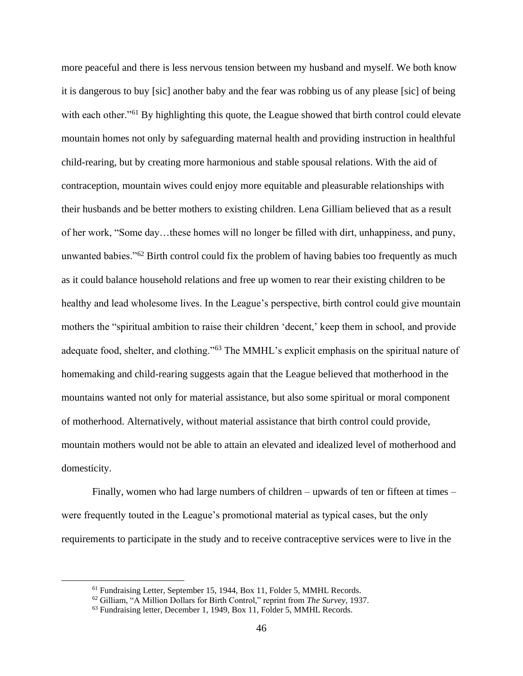more peaceful and there is less nervous tension between my husband and myself. We both know it is dangerous to buy [sic] another baby and the fear was robbing us of any please [sic] of being with each other."<sup>61</sup> By highlighting this quote, the League showed that birth control could elevate mountain homes not only by safeguarding maternal health and providing instruction in healthful child-rearing, but by creating more harmonious and stable spousal relations. With the aid of contraception, mountain wives could enjoy more equitable and pleasurable relationships with their husbands and be better mothers to existing children. Lena Gilliam believed that as a result of her work, "Some day…these homes will no longer be filled with dirt, unhappiness, and puny, unwanted babies."<sup>62</sup> Birth control could fix the problem of having babies too frequently as much as it could balance household relations and free up women to rear their existing children to be healthy and lead wholesome lives. In the League's perspective, birth control could give mountain mothers the "spiritual ambition to raise their children 'decent,' keep them in school, and provide adequate food, shelter, and clothing."<sup>63</sup> The MMHL's explicit emphasis on the spiritual nature of homemaking and child-rearing suggests again that the League believed that motherhood in the mountains wanted not only for material assistance, but also some spiritual or moral component of motherhood. Alternatively, without material assistance that birth control could provide, mountain mothers would not be able to attain an elevated and idealized level of motherhood and domesticity.

Finally, women who had large numbers of children – upwards of ten or fifteen at times – were frequently touted in the League's promotional material as typical cases, but the only requirements to participate in the study and to receive contraceptive services were to live in the

<sup>&</sup>lt;sup>61</sup> Fundraising Letter, September 15, 1944, Box 11, Folder 5, MMHL Records.

<sup>62</sup> Gilliam, "A Million Dollars for Birth Control," reprint from *The Survey,* 1937.

<sup>&</sup>lt;sup>63</sup> Fundraising letter, December 1, 1949, Box 11, Folder 5, MMHL Records.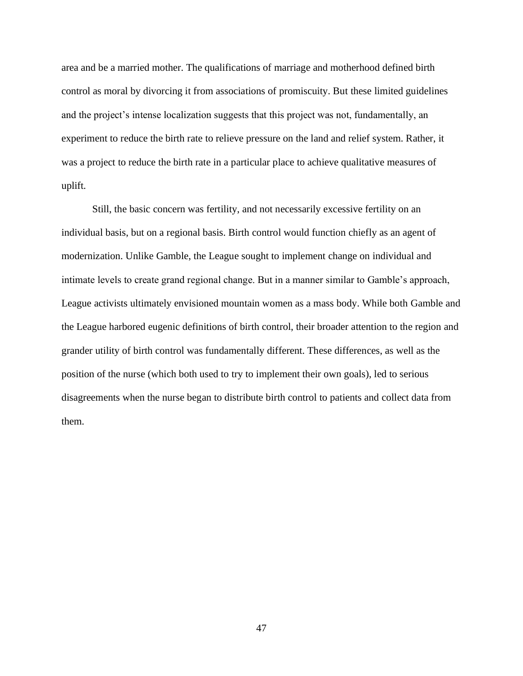area and be a married mother. The qualifications of marriage and motherhood defined birth control as moral by divorcing it from associations of promiscuity. But these limited guidelines and the project's intense localization suggests that this project was not, fundamentally, an experiment to reduce the birth rate to relieve pressure on the land and relief system. Rather, it was a project to reduce the birth rate in a particular place to achieve qualitative measures of uplift.

Still, the basic concern was fertility, and not necessarily excessive fertility on an individual basis, but on a regional basis. Birth control would function chiefly as an agent of modernization. Unlike Gamble, the League sought to implement change on individual and intimate levels to create grand regional change. But in a manner similar to Gamble's approach, League activists ultimately envisioned mountain women as a mass body. While both Gamble and the League harbored eugenic definitions of birth control, their broader attention to the region and grander utility of birth control was fundamentally different. These differences, as well as the position of the nurse (which both used to try to implement their own goals), led to serious disagreements when the nurse began to distribute birth control to patients and collect data from them.

47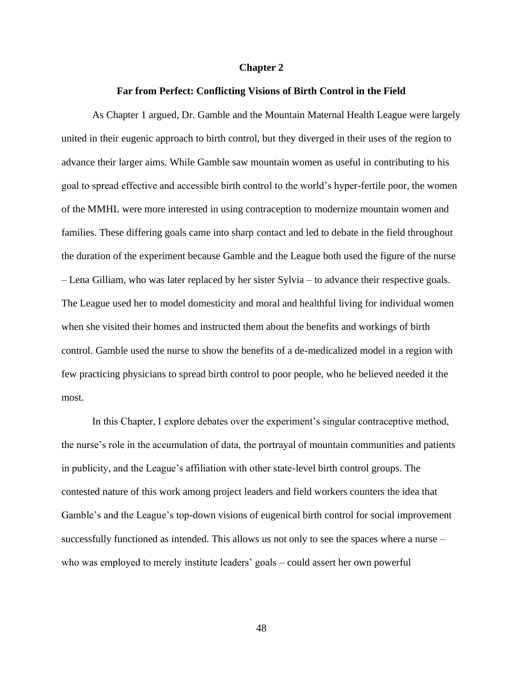#### **Chapter 2**

## **Far from Perfect: Conflicting Visions of Birth Control in the Field**

As Chapter 1 argued, Dr. Gamble and the Mountain Maternal Health League were largely united in their eugenic approach to birth control, but they diverged in their uses of the region to advance their larger aims. While Gamble saw mountain women as useful in contributing to his goal to spread effective and accessible birth control to the world's hyper-fertile poor, the women of the MMHL were more interested in using contraception to modernize mountain women and families. These differing goals came into sharp contact and led to debate in the field throughout the duration of the experiment because Gamble and the League both used the figure of the nurse – Lena Gilliam, who was later replaced by her sister Sylvia – to advance their respective goals. The League used her to model domesticity and moral and healthful living for individual women when she visited their homes and instructed them about the benefits and workings of birth control. Gamble used the nurse to show the benefits of a de-medicalized model in a region with few practicing physicians to spread birth control to poor people, who he believed needed it the most.

In this Chapter, I explore debates over the experiment's singular contraceptive method, the nurse's role in the accumulation of data, the portrayal of mountain communities and patients in publicity, and the League's affiliation with other state-level birth control groups. The contested nature of this work among project leaders and field workers counters the idea that Gamble's and the League's top-down visions of eugenical birth control for social improvement successfully functioned as intended. This allows us not only to see the spaces where a nurse – who was employed to merely institute leaders' goals – could assert her own powerful

48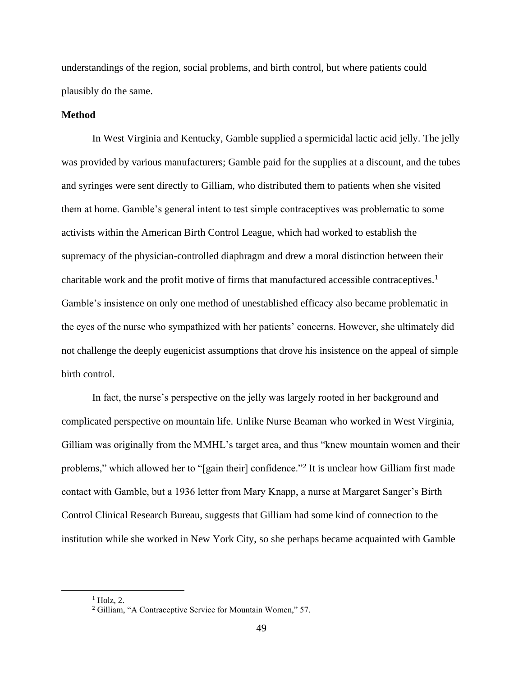understandings of the region, social problems, and birth control, but where patients could plausibly do the same.

## **Method**

In West Virginia and Kentucky, Gamble supplied a spermicidal lactic acid jelly. The jelly was provided by various manufacturers; Gamble paid for the supplies at a discount, and the tubes and syringes were sent directly to Gilliam, who distributed them to patients when she visited them at home. Gamble's general intent to test simple contraceptives was problematic to some activists within the American Birth Control League, which had worked to establish the supremacy of the physician-controlled diaphragm and drew a moral distinction between their charitable work and the profit motive of firms that manufactured accessible contraceptives.<sup>1</sup> Gamble's insistence on only one method of unestablished efficacy also became problematic in the eyes of the nurse who sympathized with her patients' concerns. However, she ultimately did not challenge the deeply eugenicist assumptions that drove his insistence on the appeal of simple birth control.

In fact, the nurse's perspective on the jelly was largely rooted in her background and complicated perspective on mountain life. Unlike Nurse Beaman who worked in West Virginia, Gilliam was originally from the MMHL's target area, and thus "knew mountain women and their problems," which allowed her to "[gain their] confidence."<sup>2</sup> It is unclear how Gilliam first made contact with Gamble, but a 1936 letter from Mary Knapp, a nurse at Margaret Sanger's Birth Control Clinical Research Bureau, suggests that Gilliam had some kind of connection to the institution while she worked in New York City, so she perhaps became acquainted with Gamble

 $<sup>1</sup>$  Holz, 2.</sup>

<sup>2</sup> Gilliam, "A Contraceptive Service for Mountain Women," 57.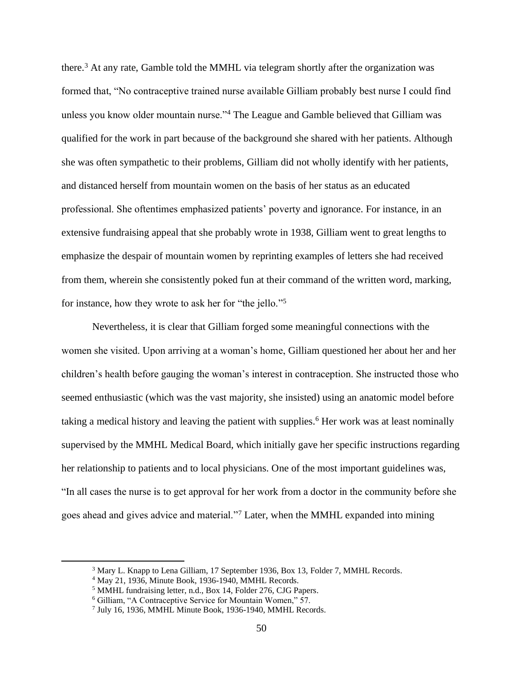there. <sup>3</sup> At any rate, Gamble told the MMHL via telegram shortly after the organization was formed that, "No contraceptive trained nurse available Gilliam probably best nurse I could find unless you know older mountain nurse."<sup>4</sup> The League and Gamble believed that Gilliam was qualified for the work in part because of the background she shared with her patients. Although she was often sympathetic to their problems, Gilliam did not wholly identify with her patients, and distanced herself from mountain women on the basis of her status as an educated professional. She oftentimes emphasized patients' poverty and ignorance. For instance, in an extensive fundraising appeal that she probably wrote in 1938, Gilliam went to great lengths to emphasize the despair of mountain women by reprinting examples of letters she had received from them, wherein she consistently poked fun at their command of the written word, marking, for instance, how they wrote to ask her for "the jello."<sup>5</sup>

Nevertheless, it is clear that Gilliam forged some meaningful connections with the women she visited. Upon arriving at a woman's home, Gilliam questioned her about her and her children's health before gauging the woman's interest in contraception. She instructed those who seemed enthusiastic (which was the vast majority, she insisted) using an anatomic model before taking a medical history and leaving the patient with supplies.<sup>6</sup> Her work was at least nominally supervised by the MMHL Medical Board, which initially gave her specific instructions regarding her relationship to patients and to local physicians. One of the most important guidelines was, "In all cases the nurse is to get approval for her work from a doctor in the community before she goes ahead and gives advice and material."<sup>7</sup> Later, when the MMHL expanded into mining

<sup>&</sup>lt;sup>3</sup> Mary L. Knapp to Lena Gilliam, 17 September 1936, Box 13, Folder 7, MMHL Records.

<sup>4</sup> May 21, 1936, Minute Book, 1936-1940, MMHL Records.

<sup>5</sup> MMHL fundraising letter, n.d., Box 14, Folder 276, CJG Papers.

<sup>6</sup> Gilliam, "A Contraceptive Service for Mountain Women," 57.

<sup>7</sup> July 16, 1936, MMHL Minute Book, 1936-1940, MMHL Records.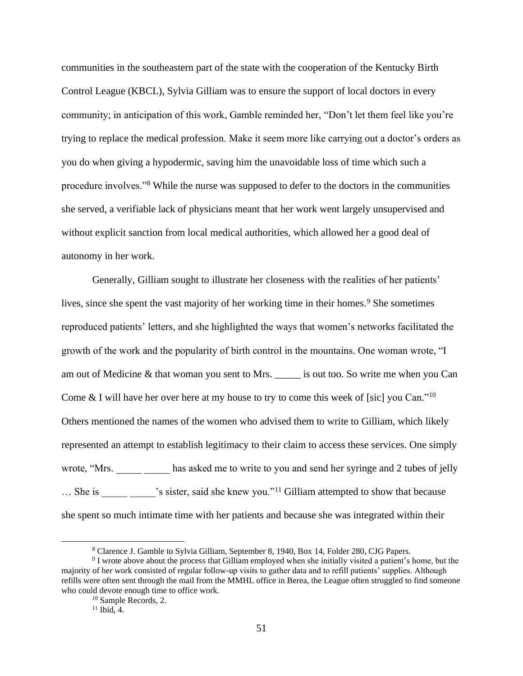communities in the southeastern part of the state with the cooperation of the Kentucky Birth Control League (KBCL), Sylvia Gilliam was to ensure the support of local doctors in every community; in anticipation of this work, Gamble reminded her, "Don't let them feel like you're trying to replace the medical profession. Make it seem more like carrying out a doctor's orders as you do when giving a hypodermic, saving him the unavoidable loss of time which such a procedure involves."<sup>8</sup> While the nurse was supposed to defer to the doctors in the communities she served, a verifiable lack of physicians meant that her work went largely unsupervised and without explicit sanction from local medical authorities, which allowed her a good deal of autonomy in her work.

Generally, Gilliam sought to illustrate her closeness with the realities of her patients' lives, since she spent the vast majority of her working time in their homes.<sup>9</sup> She sometimes reproduced patients' letters, and she highlighted the ways that women's networks facilitated the growth of the work and the popularity of birth control in the mountains. One woman wrote, "I am out of Medicine & that woman you sent to Mrs. \_\_\_\_\_ is out too. So write me when you Can Come  $&$  I will have her over here at my house to try to come this week of [sic] you Can."<sup>10</sup> Others mentioned the names of the women who advised them to write to Gilliam, which likely represented an attempt to establish legitimacy to their claim to access these services. One simply wrote, "Mrs. has asked me to write to you and send her syringe and 2 tubes of jelly … She is <br>
Society is sister, said she knew you."<sup>11</sup> Gilliam attempted to show that because she spent so much intimate time with her patients and because she was integrated within their

<sup>8</sup> Clarence J. Gamble to Sylvia Gilliam, September 8, 1940, Box 14, Folder 280, CJG Papers.

<sup>&</sup>lt;sup>9</sup> I wrote above about the process that Gilliam employed when she initially visited a patient's home, but the majority of her work consisted of regular follow-up visits to gather data and to refill patients' supplies. Although refills were often sent through the mail from the MMHL office in Berea, the League often struggled to find someone who could devote enough time to office work.

<sup>10</sup> Sample Records, 2.

 $11$  Ibid, 4.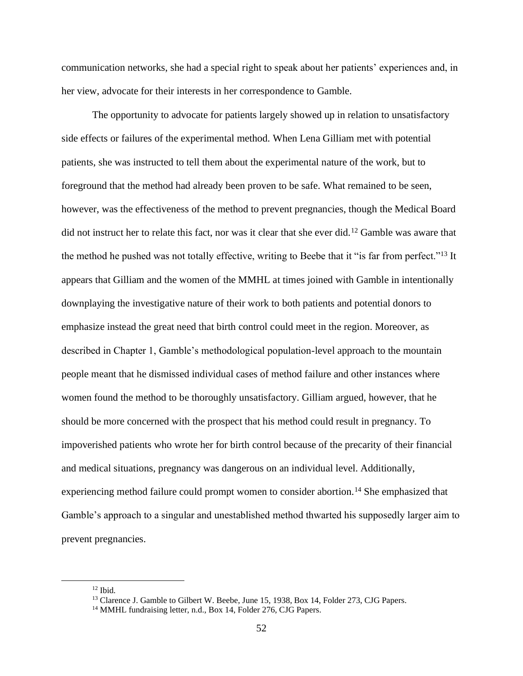communication networks, she had a special right to speak about her patients' experiences and, in her view, advocate for their interests in her correspondence to Gamble.

The opportunity to advocate for patients largely showed up in relation to unsatisfactory side effects or failures of the experimental method. When Lena Gilliam met with potential patients, she was instructed to tell them about the experimental nature of the work, but to foreground that the method had already been proven to be safe. What remained to be seen, however, was the effectiveness of the method to prevent pregnancies, though the Medical Board did not instruct her to relate this fact, nor was it clear that she ever did.<sup>12</sup> Gamble was aware that the method he pushed was not totally effective, writing to Beebe that it "is far from perfect."<sup>13</sup> It appears that Gilliam and the women of the MMHL at times joined with Gamble in intentionally downplaying the investigative nature of their work to both patients and potential donors to emphasize instead the great need that birth control could meet in the region. Moreover, as described in Chapter 1, Gamble's methodological population-level approach to the mountain people meant that he dismissed individual cases of method failure and other instances where women found the method to be thoroughly unsatisfactory. Gilliam argued, however, that he should be more concerned with the prospect that his method could result in pregnancy. To impoverished patients who wrote her for birth control because of the precarity of their financial and medical situations, pregnancy was dangerous on an individual level. Additionally, experiencing method failure could prompt women to consider abortion.<sup>14</sup> She emphasized that Gamble's approach to a singular and unestablished method thwarted his supposedly larger aim to prevent pregnancies.

 $12$  Ibid.

<sup>&</sup>lt;sup>13</sup> Clarence J. Gamble to Gilbert W. Beebe, June 15, 1938, Box 14, Folder 273, CJG Papers.

<sup>&</sup>lt;sup>14</sup> MMHL fundraising letter, n.d., Box 14, Folder 276, CJG Papers.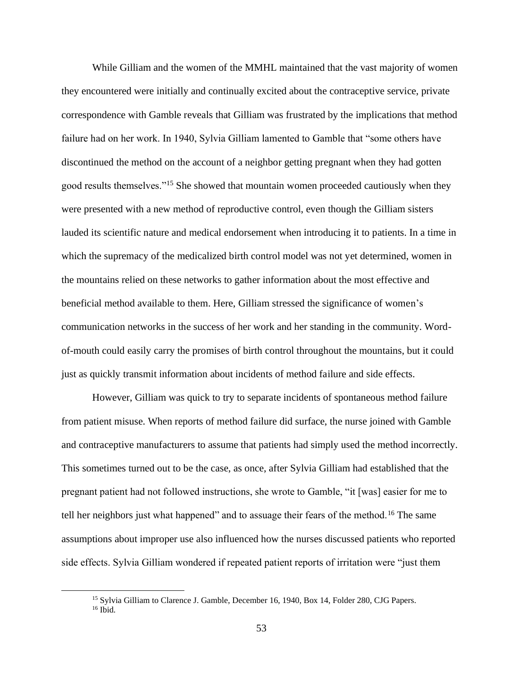While Gilliam and the women of the MMHL maintained that the vast majority of women they encountered were initially and continually excited about the contraceptive service, private correspondence with Gamble reveals that Gilliam was frustrated by the implications that method failure had on her work. In 1940, Sylvia Gilliam lamented to Gamble that "some others have discontinued the method on the account of a neighbor getting pregnant when they had gotten good results themselves."<sup>15</sup> She showed that mountain women proceeded cautiously when they were presented with a new method of reproductive control, even though the Gilliam sisters lauded its scientific nature and medical endorsement when introducing it to patients. In a time in which the supremacy of the medicalized birth control model was not yet determined, women in the mountains relied on these networks to gather information about the most effective and beneficial method available to them. Here, Gilliam stressed the significance of women's communication networks in the success of her work and her standing in the community. Wordof-mouth could easily carry the promises of birth control throughout the mountains, but it could just as quickly transmit information about incidents of method failure and side effects.

However, Gilliam was quick to try to separate incidents of spontaneous method failure from patient misuse. When reports of method failure did surface, the nurse joined with Gamble and contraceptive manufacturers to assume that patients had simply used the method incorrectly. This sometimes turned out to be the case, as once, after Sylvia Gilliam had established that the pregnant patient had not followed instructions, she wrote to Gamble, "it [was] easier for me to tell her neighbors just what happened" and to assuage their fears of the method.<sup>16</sup> The same assumptions about improper use also influenced how the nurses discussed patients who reported side effects. Sylvia Gilliam wondered if repeated patient reports of irritation were "just them

<sup>&</sup>lt;sup>15</sup> Sylvia Gilliam to Clarence J. Gamble, December 16, 1940, Box 14, Folder 280, CJG Papers.  $16$  Ibid.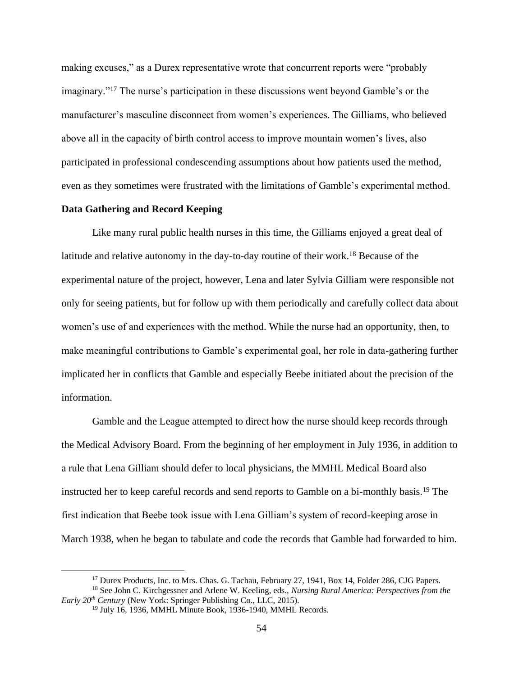making excuses," as a Durex representative wrote that concurrent reports were "probably imaginary."<sup>17</sup> The nurse's participation in these discussions went beyond Gamble's or the manufacturer's masculine disconnect from women's experiences. The Gilliams, who believed above all in the capacity of birth control access to improve mountain women's lives, also participated in professional condescending assumptions about how patients used the method, even as they sometimes were frustrated with the limitations of Gamble's experimental method.

# **Data Gathering and Record Keeping**

Like many rural public health nurses in this time, the Gilliams enjoyed a great deal of latitude and relative autonomy in the day-to-day routine of their work.<sup>18</sup> Because of the experimental nature of the project, however, Lena and later Sylvia Gilliam were responsible not only for seeing patients, but for follow up with them periodically and carefully collect data about women's use of and experiences with the method. While the nurse had an opportunity, then, to make meaningful contributions to Gamble's experimental goal, her role in data-gathering further implicated her in conflicts that Gamble and especially Beebe initiated about the precision of the information.

Gamble and the League attempted to direct how the nurse should keep records through the Medical Advisory Board. From the beginning of her employment in July 1936, in addition to a rule that Lena Gilliam should defer to local physicians, the MMHL Medical Board also instructed her to keep careful records and send reports to Gamble on a bi-monthly basis.<sup>19</sup> The first indication that Beebe took issue with Lena Gilliam's system of record-keeping arose in March 1938, when he began to tabulate and code the records that Gamble had forwarded to him.

<sup>&</sup>lt;sup>17</sup> Durex Products, Inc. to Mrs. Chas. G. Tachau, February 27, 1941, Box 14, Folder 286, CJG Papers.

<sup>18</sup> See John C. Kirchgessner and Arlene W. Keeling, eds., *Nursing Rural America: Perspectives from the Early 20th Century* (New York: Springer Publishing Co., LLC, 2015).

<sup>&</sup>lt;sup>19</sup> July 16, 1936, MMHL Minute Book, 1936-1940, MMHL Records.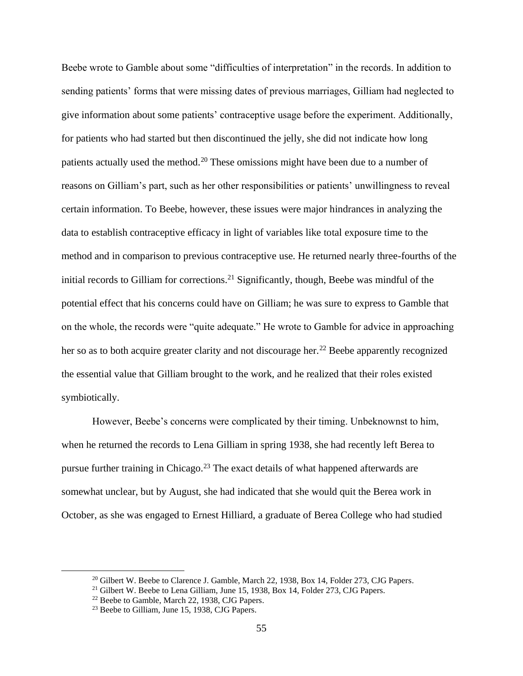Beebe wrote to Gamble about some "difficulties of interpretation" in the records. In addition to sending patients' forms that were missing dates of previous marriages, Gilliam had neglected to give information about some patients' contraceptive usage before the experiment. Additionally, for patients who had started but then discontinued the jelly, she did not indicate how long patients actually used the method.<sup>20</sup> These omissions might have been due to a number of reasons on Gilliam's part, such as her other responsibilities or patients' unwillingness to reveal certain information. To Beebe, however, these issues were major hindrances in analyzing the data to establish contraceptive efficacy in light of variables like total exposure time to the method and in comparison to previous contraceptive use. He returned nearly three-fourths of the initial records to Gilliam for corrections.<sup>21</sup> Significantly, though, Beebe was mindful of the potential effect that his concerns could have on Gilliam; he was sure to express to Gamble that on the whole, the records were "quite adequate." He wrote to Gamble for advice in approaching her so as to both acquire greater clarity and not discourage her.<sup>22</sup> Beebe apparently recognized the essential value that Gilliam brought to the work, and he realized that their roles existed symbiotically.

However, Beebe's concerns were complicated by their timing. Unbeknownst to him, when he returned the records to Lena Gilliam in spring 1938, she had recently left Berea to pursue further training in Chicago.<sup>23</sup> The exact details of what happened afterwards are somewhat unclear, but by August, she had indicated that she would quit the Berea work in October, as she was engaged to Ernest Hilliard, a graduate of Berea College who had studied

<sup>&</sup>lt;sup>20</sup> Gilbert W. Beebe to Clarence J. Gamble, March 22, 1938, Box 14, Folder 273, CJG Papers.

<sup>&</sup>lt;sup>21</sup> Gilbert W. Beebe to Lena Gilliam, June 15, 1938, Box 14, Folder 273, CJG Papers.

<sup>&</sup>lt;sup>22</sup> Beebe to Gamble, March 22, 1938, CJG Papers.

<sup>&</sup>lt;sup>23</sup> Beebe to Gilliam, June 15, 1938, CJG Papers.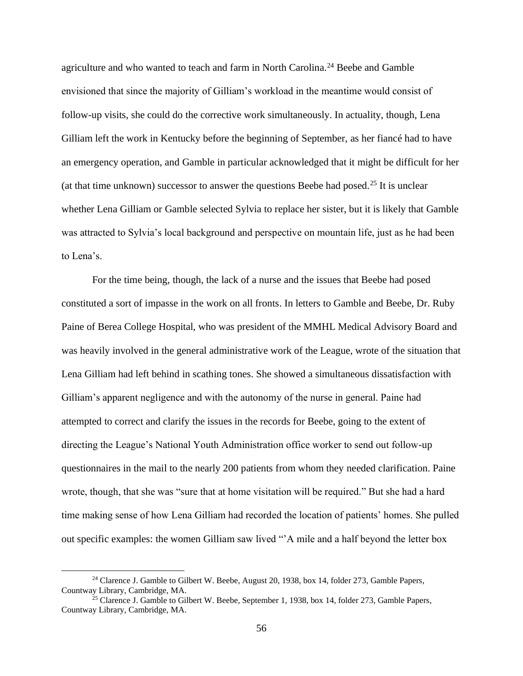agriculture and who wanted to teach and farm in North Carolina.<sup>24</sup> Beebe and Gamble envisioned that since the majority of Gilliam's workload in the meantime would consist of follow-up visits, she could do the corrective work simultaneously. In actuality, though, Lena Gilliam left the work in Kentucky before the beginning of September, as her fiancé had to have an emergency operation, and Gamble in particular acknowledged that it might be difficult for her (at that time unknown) successor to answer the questions Beebe had posed.<sup>25</sup> It is unclear whether Lena Gilliam or Gamble selected Sylvia to replace her sister, but it is likely that Gamble was attracted to Sylvia's local background and perspective on mountain life, just as he had been to Lena's.

For the time being, though, the lack of a nurse and the issues that Beebe had posed constituted a sort of impasse in the work on all fronts. In letters to Gamble and Beebe, Dr. Ruby Paine of Berea College Hospital, who was president of the MMHL Medical Advisory Board and was heavily involved in the general administrative work of the League, wrote of the situation that Lena Gilliam had left behind in scathing tones. She showed a simultaneous dissatisfaction with Gilliam's apparent negligence and with the autonomy of the nurse in general. Paine had attempted to correct and clarify the issues in the records for Beebe, going to the extent of directing the League's National Youth Administration office worker to send out follow-up questionnaires in the mail to the nearly 200 patients from whom they needed clarification. Paine wrote, though, that she was "sure that at home visitation will be required." But she had a hard time making sense of how Lena Gilliam had recorded the location of patients' homes. She pulled out specific examples: the women Gilliam saw lived "'A mile and a half beyond the letter box

<sup>&</sup>lt;sup>24</sup> Clarence J. Gamble to Gilbert W. Beebe, August 20, 1938, box 14, folder 273, Gamble Papers, Countway Library, Cambridge, MA.

 $25$  Clarence J. Gamble to Gilbert W. Beebe, September 1, 1938, box 14, folder 273, Gamble Papers, Countway Library, Cambridge, MA.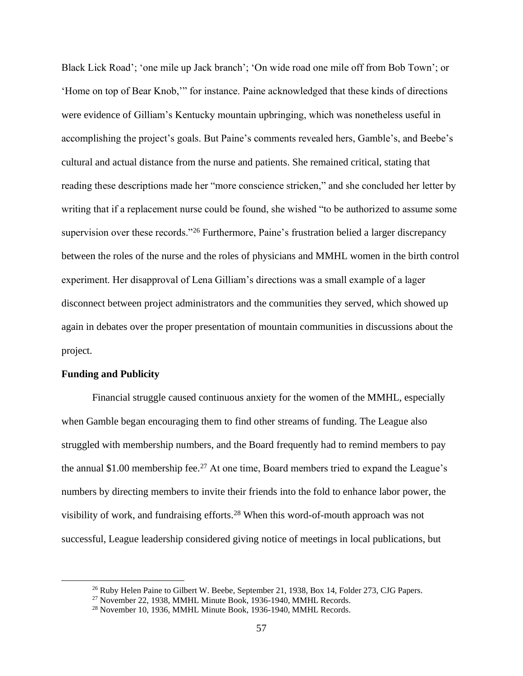Black Lick Road'; 'one mile up Jack branch'; 'On wide road one mile off from Bob Town'; or 'Home on top of Bear Knob,'" for instance. Paine acknowledged that these kinds of directions were evidence of Gilliam's Kentucky mountain upbringing, which was nonetheless useful in accomplishing the project's goals. But Paine's comments revealed hers, Gamble's, and Beebe's cultural and actual distance from the nurse and patients. She remained critical, stating that reading these descriptions made her "more conscience stricken," and she concluded her letter by writing that if a replacement nurse could be found, she wished "to be authorized to assume some supervision over these records."<sup>26</sup> Furthermore, Paine's frustration belied a larger discrepancy between the roles of the nurse and the roles of physicians and MMHL women in the birth control experiment. Her disapproval of Lena Gilliam's directions was a small example of a lager disconnect between project administrators and the communities they served, which showed up again in debates over the proper presentation of mountain communities in discussions about the project.

## **Funding and Publicity**

Financial struggle caused continuous anxiety for the women of the MMHL, especially when Gamble began encouraging them to find other streams of funding. The League also struggled with membership numbers, and the Board frequently had to remind members to pay the annual \$1.00 membership fee.<sup>27</sup> At one time, Board members tried to expand the League's numbers by directing members to invite their friends into the fold to enhance labor power, the visibility of work, and fundraising efforts.<sup>28</sup> When this word-of-mouth approach was not successful, League leadership considered giving notice of meetings in local publications, but

<sup>&</sup>lt;sup>26</sup> Ruby Helen Paine to Gilbert W. Beebe, September 21, 1938, Box 14, Folder 273, CJG Papers.

<sup>27</sup> November 22, 1938, MMHL Minute Book, 1936-1940, MMHL Records.

<sup>28</sup> November 10, 1936, MMHL Minute Book, 1936-1940, MMHL Records.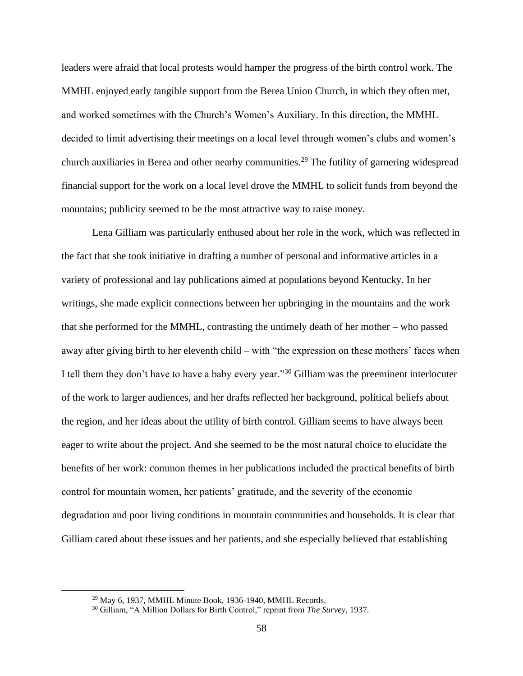leaders were afraid that local protests would hamper the progress of the birth control work. The MMHL enjoyed early tangible support from the Berea Union Church, in which they often met, and worked sometimes with the Church's Women's Auxiliary. In this direction, the MMHL decided to limit advertising their meetings on a local level through women's clubs and women's church auxiliaries in Berea and other nearby communities.<sup>29</sup> The futility of garnering widespread financial support for the work on a local level drove the MMHL to solicit funds from beyond the mountains; publicity seemed to be the most attractive way to raise money.

Lena Gilliam was particularly enthused about her role in the work, which was reflected in the fact that she took initiative in drafting a number of personal and informative articles in a variety of professional and lay publications aimed at populations beyond Kentucky. In her writings, she made explicit connections between her upbringing in the mountains and the work that she performed for the MMHL, contrasting the untimely death of her mother – who passed away after giving birth to her eleventh child – with "the expression on these mothers' faces when I tell them they don't have to have a baby every year."<sup>30</sup> Gilliam was the preeminent interlocuter of the work to larger audiences, and her drafts reflected her background, political beliefs about the region, and her ideas about the utility of birth control. Gilliam seems to have always been eager to write about the project. And she seemed to be the most natural choice to elucidate the benefits of her work: common themes in her publications included the practical benefits of birth control for mountain women, her patients' gratitude, and the severity of the economic degradation and poor living conditions in mountain communities and households. It is clear that Gilliam cared about these issues and her patients, and she especially believed that establishing

<sup>29</sup> May 6, 1937, MMHL Minute Book, 1936-1940, MMHL Records.

<sup>30</sup> Gilliam, "A Million Dollars for Birth Control," reprint from *The Survey,* 1937.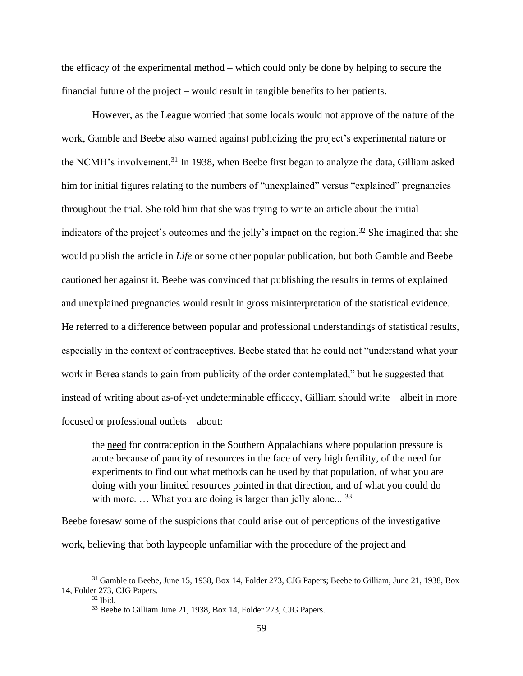the efficacy of the experimental method – which could only be done by helping to secure the financial future of the project – would result in tangible benefits to her patients.

However, as the League worried that some locals would not approve of the nature of the work, Gamble and Beebe also warned against publicizing the project's experimental nature or the NCMH's involvement.<sup>31</sup> In 1938, when Beebe first began to analyze the data, Gilliam asked him for initial figures relating to the numbers of "unexplained" versus "explained" pregnancies throughout the trial. She told him that she was trying to write an article about the initial indicators of the project's outcomes and the jelly's impact on the region.<sup>32</sup> She imagined that she would publish the article in *Life* or some other popular publication, but both Gamble and Beebe cautioned her against it. Beebe was convinced that publishing the results in terms of explained and unexplained pregnancies would result in gross misinterpretation of the statistical evidence. He referred to a difference between popular and professional understandings of statistical results, especially in the context of contraceptives. Beebe stated that he could not "understand what your work in Berea stands to gain from publicity of the order contemplated," but he suggested that instead of writing about as-of-yet undeterminable efficacy, Gilliam should write – albeit in more focused or professional outlets – about:

the need for contraception in the Southern Appalachians where population pressure is acute because of paucity of resources in the face of very high fertility, of the need for experiments to find out what methods can be used by that population, of what you are doing with your limited resources pointed in that direction, and of what you could do with more.  $\ldots$  What you are doing is larger than jelly alone...  $33$ 

Beebe foresaw some of the suspicions that could arise out of perceptions of the investigative work, believing that both laypeople unfamiliar with the procedure of the project and

<sup>&</sup>lt;sup>31</sup> Gamble to Beebe, June 15, 1938, Box 14, Folder 273, CJG Papers; Beebe to Gilliam, June 21, 1938, Box 14, Folder 273, CJG Papers.

 $32$  Ibid.

<sup>&</sup>lt;sup>33</sup> Beebe to Gilliam June 21, 1938, Box 14, Folder 273, CJG Papers.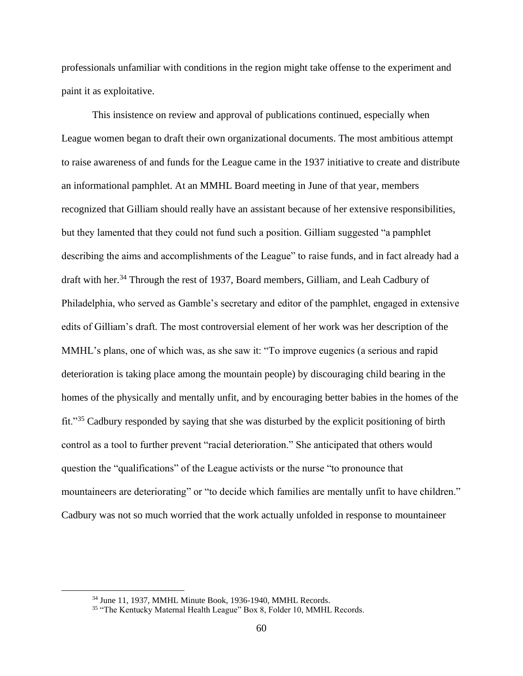professionals unfamiliar with conditions in the region might take offense to the experiment and paint it as exploitative.

This insistence on review and approval of publications continued, especially when League women began to draft their own organizational documents. The most ambitious attempt to raise awareness of and funds for the League came in the 1937 initiative to create and distribute an informational pamphlet. At an MMHL Board meeting in June of that year, members recognized that Gilliam should really have an assistant because of her extensive responsibilities, but they lamented that they could not fund such a position. Gilliam suggested "a pamphlet describing the aims and accomplishments of the League" to raise funds, and in fact already had a draft with her.<sup>34</sup> Through the rest of 1937, Board members, Gilliam, and Leah Cadbury of Philadelphia, who served as Gamble's secretary and editor of the pamphlet, engaged in extensive edits of Gilliam's draft. The most controversial element of her work was her description of the MMHL's plans, one of which was, as she saw it: "To improve eugenics (a serious and rapid deterioration is taking place among the mountain people) by discouraging child bearing in the homes of the physically and mentally unfit, and by encouraging better babies in the homes of the fit."<sup>35</sup> Cadbury responded by saying that she was disturbed by the explicit positioning of birth control as a tool to further prevent "racial deterioration." She anticipated that others would question the "qualifications" of the League activists or the nurse "to pronounce that mountaineers are deteriorating" or "to decide which families are mentally unfit to have children." Cadbury was not so much worried that the work actually unfolded in response to mountaineer

<sup>34</sup> June 11, 1937, MMHL Minute Book, 1936-1940, MMHL Records.

<sup>&</sup>lt;sup>35</sup> "The Kentucky Maternal Health League" Box 8, Folder 10, MMHL Records.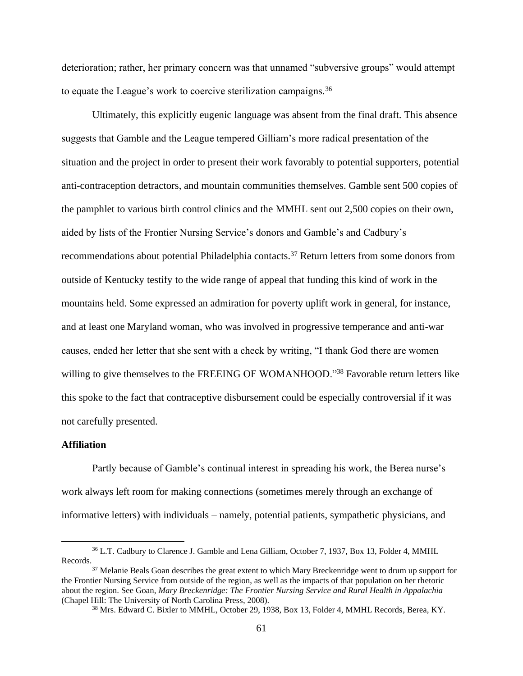deterioration; rather, her primary concern was that unnamed "subversive groups" would attempt to equate the League's work to coercive sterilization campaigns.<sup>36</sup>

Ultimately, this explicitly eugenic language was absent from the final draft. This absence suggests that Gamble and the League tempered Gilliam's more radical presentation of the situation and the project in order to present their work favorably to potential supporters, potential anti-contraception detractors, and mountain communities themselves. Gamble sent 500 copies of the pamphlet to various birth control clinics and the MMHL sent out 2,500 copies on their own, aided by lists of the Frontier Nursing Service's donors and Gamble's and Cadbury's recommendations about potential Philadelphia contacts.<sup>37</sup> Return letters from some donors from outside of Kentucky testify to the wide range of appeal that funding this kind of work in the mountains held. Some expressed an admiration for poverty uplift work in general, for instance, and at least one Maryland woman, who was involved in progressive temperance and anti-war causes, ended her letter that she sent with a check by writing, "I thank God there are women willing to give themselves to the FREEING OF WOMANHOOD."<sup>38</sup> Favorable return letters like this spoke to the fact that contraceptive disbursement could be especially controversial if it was not carefully presented.

# **Affiliation**

Partly because of Gamble's continual interest in spreading his work, the Berea nurse's work always left room for making connections (sometimes merely through an exchange of informative letters) with individuals – namely, potential patients, sympathetic physicians, and

<sup>36</sup> L.T. Cadbury to Clarence J. Gamble and Lena Gilliam, October 7, 1937, Box 13, Folder 4, MMHL Records.

<sup>&</sup>lt;sup>37</sup> Melanie Beals Goan describes the great extent to which Mary Breckenridge went to drum up support for the Frontier Nursing Service from outside of the region, as well as the impacts of that population on her rhetoric about the region. See Goan, *Mary Breckenridge: The Frontier Nursing Service and Rural Health in Appalachia*  (Chapel Hill: The University of North Carolina Press, 2008).

<sup>&</sup>lt;sup>38</sup> Mrs. Edward C. Bixler to MMHL, October 29, 1938, Box 13, Folder 4, MMHL Records, Berea, KY.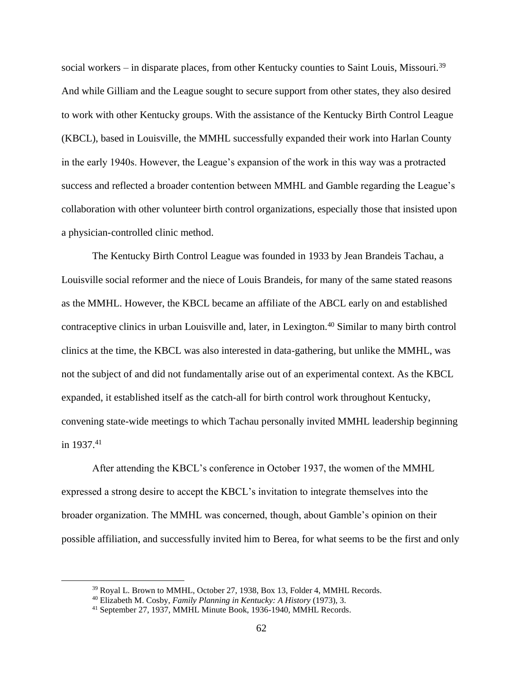social workers – in disparate places, from other Kentucky counties to Saint Louis, Missouri.<sup>39</sup> And while Gilliam and the League sought to secure support from other states, they also desired to work with other Kentucky groups. With the assistance of the Kentucky Birth Control League (KBCL), based in Louisville, the MMHL successfully expanded their work into Harlan County in the early 1940s. However, the League's expansion of the work in this way was a protracted success and reflected a broader contention between MMHL and Gamble regarding the League's collaboration with other volunteer birth control organizations, especially those that insisted upon a physician-controlled clinic method.

The Kentucky Birth Control League was founded in 1933 by Jean Brandeis Tachau, a Louisville social reformer and the niece of Louis Brandeis, for many of the same stated reasons as the MMHL. However, the KBCL became an affiliate of the ABCL early on and established contraceptive clinics in urban Louisville and, later, in Lexington.<sup>40</sup> Similar to many birth control clinics at the time, the KBCL was also interested in data-gathering, but unlike the MMHL, was not the subject of and did not fundamentally arise out of an experimental context. As the KBCL expanded, it established itself as the catch-all for birth control work throughout Kentucky, convening state-wide meetings to which Tachau personally invited MMHL leadership beginning in  $1937.^{41}$ 

After attending the KBCL's conference in October 1937, the women of the MMHL expressed a strong desire to accept the KBCL's invitation to integrate themselves into the broader organization. The MMHL was concerned, though, about Gamble's opinion on their possible affiliation, and successfully invited him to Berea, for what seems to be the first and only

<sup>&</sup>lt;sup>39</sup> Royal L. Brown to MMHL, October 27, 1938, Box 13, Folder 4, MMHL Records.

<sup>40</sup> Elizabeth M. Cosby, *Family Planning in Kentucky: A History* (1973)*,* 3.

<sup>41</sup> September 27, 1937, MMHL Minute Book, 1936-1940, MMHL Records.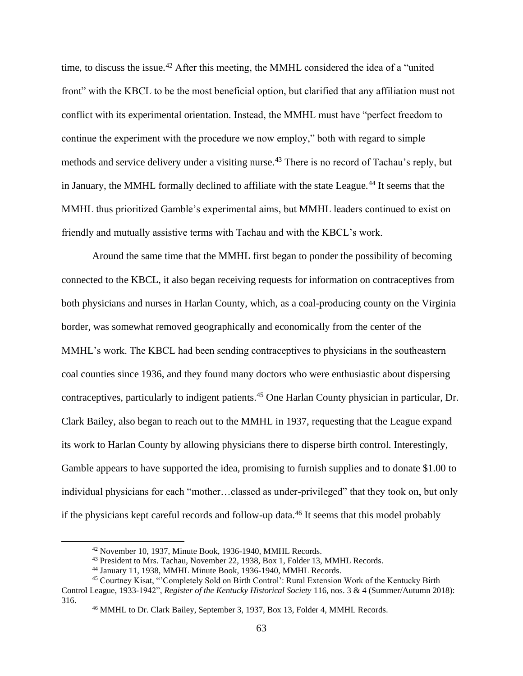time, to discuss the issue.<sup>42</sup> After this meeting, the MMHL considered the idea of a "united" front" with the KBCL to be the most beneficial option, but clarified that any affiliation must not conflict with its experimental orientation. Instead, the MMHL must have "perfect freedom to continue the experiment with the procedure we now employ," both with regard to simple methods and service delivery under a visiting nurse.<sup>43</sup> There is no record of Tachau's reply, but in January, the MMHL formally declined to affiliate with the state League.<sup>44</sup> It seems that the MMHL thus prioritized Gamble's experimental aims, but MMHL leaders continued to exist on friendly and mutually assistive terms with Tachau and with the KBCL's work.

Around the same time that the MMHL first began to ponder the possibility of becoming connected to the KBCL, it also began receiving requests for information on contraceptives from both physicians and nurses in Harlan County, which, as a coal-producing county on the Virginia border, was somewhat removed geographically and economically from the center of the MMHL's work. The KBCL had been sending contraceptives to physicians in the southeastern coal counties since 1936, and they found many doctors who were enthusiastic about dispersing contraceptives, particularly to indigent patients.<sup>45</sup> One Harlan County physician in particular, Dr. Clark Bailey, also began to reach out to the MMHL in 1937, requesting that the League expand its work to Harlan County by allowing physicians there to disperse birth control. Interestingly, Gamble appears to have supported the idea, promising to furnish supplies and to donate \$1.00 to individual physicians for each "mother...classed as under-privileged" that they took on, but only if the physicians kept careful records and follow-up data.<sup>46</sup> It seems that this model probably

<sup>42</sup> November 10, 1937, Minute Book, 1936-1940, MMHL Records.

<sup>&</sup>lt;sup>43</sup> President to Mrs. Tachau, November 22, 1938, Box 1, Folder 13, MMHL Records.

<sup>44</sup> January 11, 1938, MMHL Minute Book, 1936-1940, MMHL Records.

<sup>45</sup> Courtney Kisat, "'Completely Sold on Birth Control': Rural Extension Work of the Kentucky Birth

Control League, 1933-1942", *Register of the Kentucky Historical Society* 116, nos. 3 & 4 (Summer/Autumn 2018): 316.

<sup>46</sup> MMHL to Dr. Clark Bailey, September 3, 1937, Box 13, Folder 4, MMHL Records.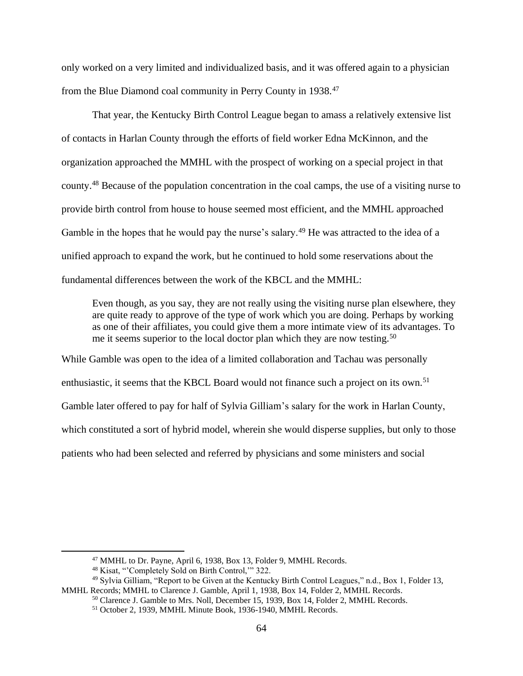only worked on a very limited and individualized basis, and it was offered again to a physician from the Blue Diamond coal community in Perry County in 1938.<sup>47</sup>

That year, the Kentucky Birth Control League began to amass a relatively extensive list of contacts in Harlan County through the efforts of field worker Edna McKinnon, and the organization approached the MMHL with the prospect of working on a special project in that county.<sup>48</sup> Because of the population concentration in the coal camps, the use of a visiting nurse to provide birth control from house to house seemed most efficient, and the MMHL approached Gamble in the hopes that he would pay the nurse's salary.<sup>49</sup> He was attracted to the idea of a unified approach to expand the work, but he continued to hold some reservations about the fundamental differences between the work of the KBCL and the MMHL:

Even though, as you say, they are not really using the visiting nurse plan elsewhere, they are quite ready to approve of the type of work which you are doing. Perhaps by working as one of their affiliates, you could give them a more intimate view of its advantages. To me it seems superior to the local doctor plan which they are now testing.<sup>50</sup>

While Gamble was open to the idea of a limited collaboration and Tachau was personally enthusiastic, it seems that the KBCL Board would not finance such a project on its own.<sup>51</sup> Gamble later offered to pay for half of Sylvia Gilliam's salary for the work in Harlan County, which constituted a sort of hybrid model, wherein she would disperse supplies, but only to those patients who had been selected and referred by physicians and some ministers and social

<sup>47</sup> MMHL to Dr. Payne, April 6, 1938, Box 13, Folder 9, MMHL Records.

<sup>48</sup> Kisat, "'Completely Sold on Birth Control,'" 322.

<sup>49</sup> Sylvia Gilliam, "Report to be Given at the Kentucky Birth Control Leagues," n.d., Box 1, Folder 13, MMHL Records; MMHL to Clarence J. Gamble, April 1, 1938, Box 14, Folder 2, MMHL Records.

<sup>&</sup>lt;sup>50</sup> Clarence J. Gamble to Mrs. Noll, December 15, 1939, Box 14, Folder 2, MMHL Records.

<sup>51</sup> October 2, 1939, MMHL Minute Book, 1936-1940, MMHL Records.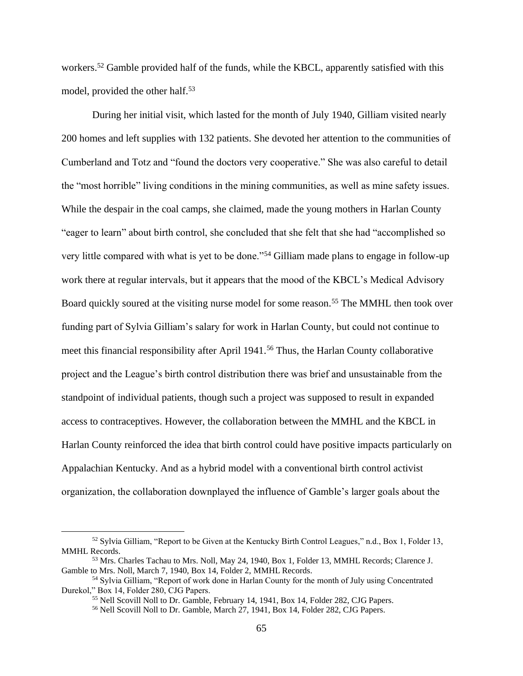workers.<sup>52</sup> Gamble provided half of the funds, while the KBCL, apparently satisfied with this model, provided the other half.<sup>53</sup>

During her initial visit, which lasted for the month of July 1940, Gilliam visited nearly 200 homes and left supplies with 132 patients. She devoted her attention to the communities of Cumberland and Totz and "found the doctors very cooperative." She was also careful to detail the "most horrible" living conditions in the mining communities, as well as mine safety issues. While the despair in the coal camps, she claimed, made the young mothers in Harlan County "eager to learn" about birth control, she concluded that she felt that she had "accomplished so very little compared with what is yet to be done."<sup>54</sup> Gilliam made plans to engage in follow-up work there at regular intervals, but it appears that the mood of the KBCL's Medical Advisory Board quickly soured at the visiting nurse model for some reason.<sup>55</sup> The MMHL then took over funding part of Sylvia Gilliam's salary for work in Harlan County, but could not continue to meet this financial responsibility after April 1941.<sup>56</sup> Thus, the Harlan County collaborative project and the League's birth control distribution there was brief and unsustainable from the standpoint of individual patients, though such a project was supposed to result in expanded access to contraceptives. However, the collaboration between the MMHL and the KBCL in Harlan County reinforced the idea that birth control could have positive impacts particularly on Appalachian Kentucky. And as a hybrid model with a conventional birth control activist organization, the collaboration downplayed the influence of Gamble's larger goals about the

<sup>52</sup> Sylvia Gilliam, "Report to be Given at the Kentucky Birth Control Leagues," n.d., Box 1, Folder 13, MMHL Records.

<sup>53</sup> Mrs. Charles Tachau to Mrs. Noll, May 24, 1940, Box 1, Folder 13, MMHL Records; Clarence J. Gamble to Mrs. Noll, March 7, 1940, Box 14, Folder 2, MMHL Records.

<sup>54</sup> Sylvia Gilliam, "Report of work done in Harlan County for the month of July using Concentrated Durekol," Box 14, Folder 280, CJG Papers.

<sup>55</sup> Nell Scovill Noll to Dr. Gamble, February 14, 1941, Box 14, Folder 282, CJG Papers.

<sup>56</sup> Nell Scovill Noll to Dr. Gamble, March 27, 1941, Box 14, Folder 282, CJG Papers.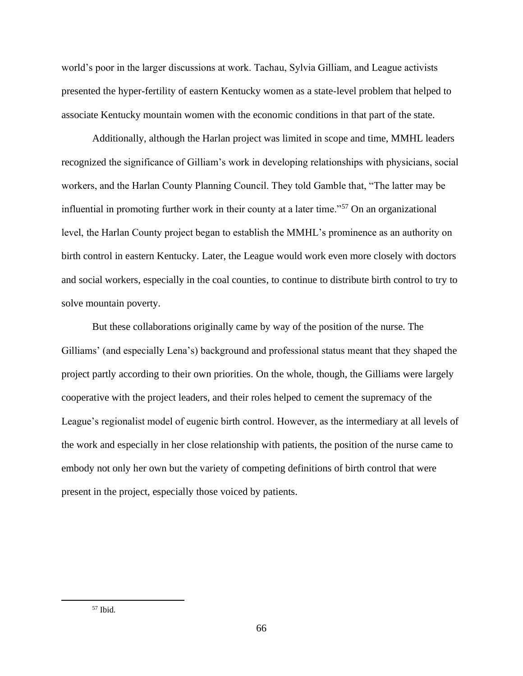world's poor in the larger discussions at work. Tachau, Sylvia Gilliam, and League activists presented the hyper-fertility of eastern Kentucky women as a state-level problem that helped to associate Kentucky mountain women with the economic conditions in that part of the state.

Additionally, although the Harlan project was limited in scope and time, MMHL leaders recognized the significance of Gilliam's work in developing relationships with physicians, social workers, and the Harlan County Planning Council. They told Gamble that, "The latter may be influential in promoting further work in their county at a later time."<sup>57</sup> On an organizational level, the Harlan County project began to establish the MMHL's prominence as an authority on birth control in eastern Kentucky. Later, the League would work even more closely with doctors and social workers, especially in the coal counties, to continue to distribute birth control to try to solve mountain poverty.

But these collaborations originally came by way of the position of the nurse. The Gilliams' (and especially Lena's) background and professional status meant that they shaped the project partly according to their own priorities. On the whole, though, the Gilliams were largely cooperative with the project leaders, and their roles helped to cement the supremacy of the League's regionalist model of eugenic birth control. However, as the intermediary at all levels of the work and especially in her close relationship with patients, the position of the nurse came to embody not only her own but the variety of competing definitions of birth control that were present in the project, especially those voiced by patients.

 $57$  Ibid.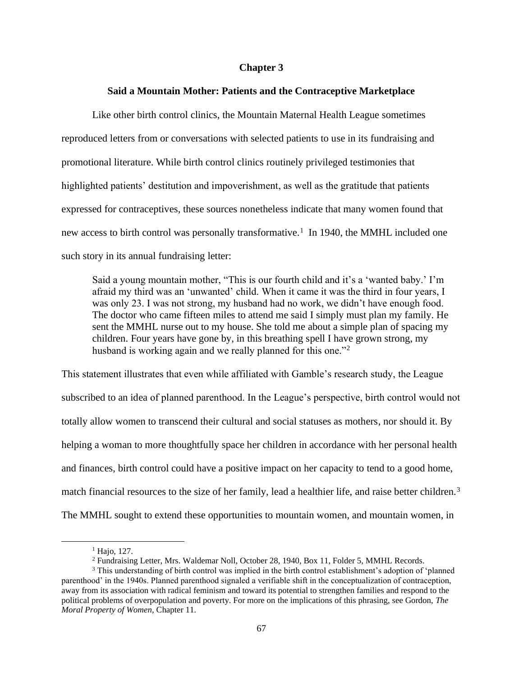## **Chapter 3**

### **Said a Mountain Mother: Patients and the Contraceptive Marketplace**

Like other birth control clinics, the Mountain Maternal Health League sometimes reproduced letters from or conversations with selected patients to use in its fundraising and promotional literature. While birth control clinics routinely privileged testimonies that highlighted patients' destitution and impoverishment, as well as the gratitude that patients expressed for contraceptives, these sources nonetheless indicate that many women found that new access to birth control was personally transformative.<sup>1</sup> In 1940, the MMHL included one such story in its annual fundraising letter:

Said a young mountain mother, "This is our fourth child and it's a 'wanted baby.' I'm afraid my third was an 'unwanted' child. When it came it was the third in four years, I was only 23. I was not strong, my husband had no work, we didn't have enough food. The doctor who came fifteen miles to attend me said I simply must plan my family. He sent the MMHL nurse out to my house. She told me about a simple plan of spacing my children. Four years have gone by, in this breathing spell I have grown strong, my husband is working again and we really planned for this one."<sup>2</sup>

This statement illustrates that even while affiliated with Gamble's research study, the League subscribed to an idea of planned parenthood. In the League's perspective, birth control would not totally allow women to transcend their cultural and social statuses as mothers, nor should it. By helping a woman to more thoughtfully space her children in accordance with her personal health and finances, birth control could have a positive impact on her capacity to tend to a good home, match financial resources to the size of her family, lead a healthier life, and raise better children.<sup>3</sup> The MMHL sought to extend these opportunities to mountain women, and mountain women, in

<sup>&</sup>lt;sup>1</sup> Hajo, 127.

<sup>2</sup> Fundraising Letter, Mrs. Waldemar Noll, October 28, 1940, Box 11, Folder 5, MMHL Records.

<sup>&</sup>lt;sup>3</sup> This understanding of birth control was implied in the birth control establishment's adoption of 'planned parenthood' in the 1940s. Planned parenthood signaled a verifiable shift in the conceptualization of contraception, away from its association with radical feminism and toward its potential to strengthen families and respond to the political problems of overpopulation and poverty. For more on the implications of this phrasing, see Gordon, *The Moral Property of Women,* Chapter 11.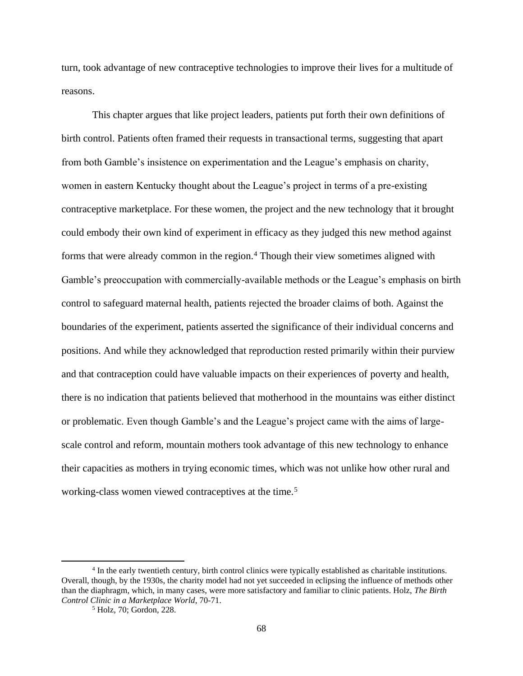turn, took advantage of new contraceptive technologies to improve their lives for a multitude of reasons.

This chapter argues that like project leaders, patients put forth their own definitions of birth control. Patients often framed their requests in transactional terms, suggesting that apart from both Gamble's insistence on experimentation and the League's emphasis on charity, women in eastern Kentucky thought about the League's project in terms of a pre-existing contraceptive marketplace. For these women, the project and the new technology that it brought could embody their own kind of experiment in efficacy as they judged this new method against forms that were already common in the region.<sup>4</sup> Though their view sometimes aligned with Gamble's preoccupation with commercially-available methods or the League's emphasis on birth control to safeguard maternal health, patients rejected the broader claims of both. Against the boundaries of the experiment, patients asserted the significance of their individual concerns and positions. And while they acknowledged that reproduction rested primarily within their purview and that contraception could have valuable impacts on their experiences of poverty and health, there is no indication that patients believed that motherhood in the mountains was either distinct or problematic. Even though Gamble's and the League's project came with the aims of largescale control and reform, mountain mothers took advantage of this new technology to enhance their capacities as mothers in trying economic times, which was not unlike how other rural and working-class women viewed contraceptives at the time.<sup>5</sup>

<sup>&</sup>lt;sup>4</sup> In the early twentieth century, birth control clinics were typically established as charitable institutions. Overall, though, by the 1930s, the charity model had not yet succeeded in eclipsing the influence of methods other than the diaphragm, which, in many cases, were more satisfactory and familiar to clinic patients. Holz, *The Birth Control Clinic in a Marketplace World*, 70-71.

<sup>5</sup> Holz, 70; Gordon, 228.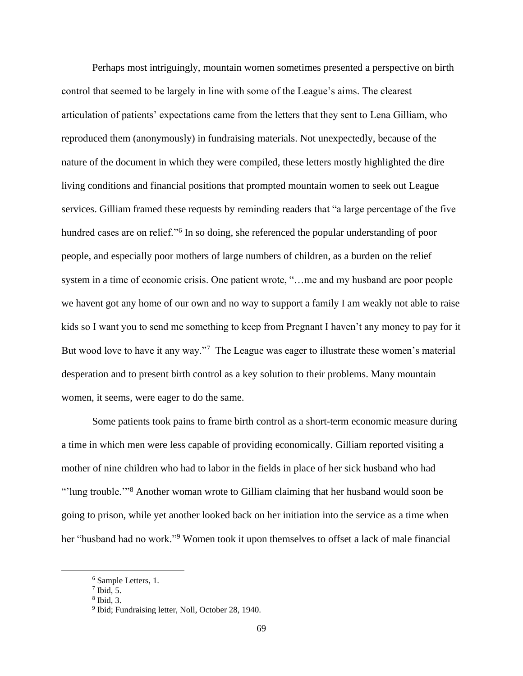Perhaps most intriguingly, mountain women sometimes presented a perspective on birth control that seemed to be largely in line with some of the League's aims. The clearest articulation of patients' expectations came from the letters that they sent to Lena Gilliam, who reproduced them (anonymously) in fundraising materials. Not unexpectedly, because of the nature of the document in which they were compiled, these letters mostly highlighted the dire living conditions and financial positions that prompted mountain women to seek out League services. Gilliam framed these requests by reminding readers that "a large percentage of the five hundred cases are on relief."<sup>6</sup> In so doing, she referenced the popular understanding of poor people, and especially poor mothers of large numbers of children, as a burden on the relief system in a time of economic crisis. One patient wrote, "...me and my husband are poor people we havent got any home of our own and no way to support a family I am weakly not able to raise kids so I want you to send me something to keep from Pregnant I haven't any money to pay for it But wood love to have it any way."<sup>7</sup> The League was eager to illustrate these women's material desperation and to present birth control as a key solution to their problems. Many mountain women, it seems, were eager to do the same.

Some patients took pains to frame birth control as a short-term economic measure during a time in which men were less capable of providing economically. Gilliam reported visiting a mother of nine children who had to labor in the fields in place of her sick husband who had "'lung trouble.'"<sup>8</sup> Another woman wrote to Gilliam claiming that her husband would soon be going to prison, while yet another looked back on her initiation into the service as a time when her "husband had no work."<sup>9</sup> Women took it upon themselves to offset a lack of male financial

<sup>6</sup> Sample Letters, 1.

 $7$  Ibid, 5.

<sup>8</sup> Ibid, 3.

<sup>&</sup>lt;sup>9</sup> Ibid; Fundraising letter, Noll, October 28, 1940.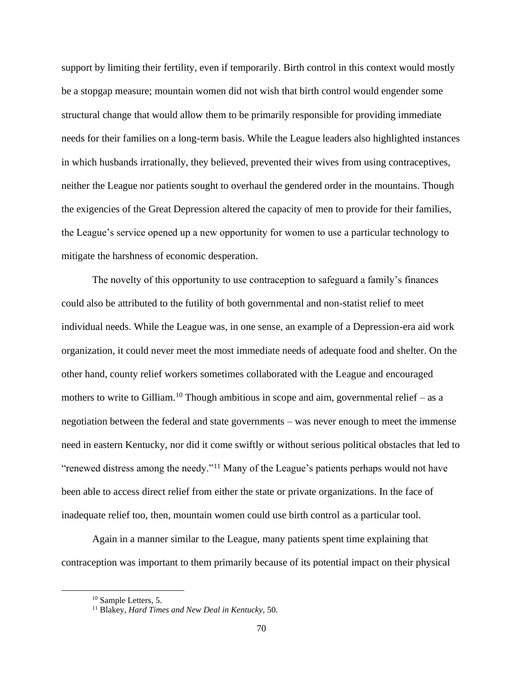support by limiting their fertility, even if temporarily. Birth control in this context would mostly be a stopgap measure; mountain women did not wish that birth control would engender some structural change that would allow them to be primarily responsible for providing immediate needs for their families on a long-term basis. While the League leaders also highlighted instances in which husbands irrationally, they believed, prevented their wives from using contraceptives, neither the League nor patients sought to overhaul the gendered order in the mountains. Though the exigencies of the Great Depression altered the capacity of men to provide for their families, the League's service opened up a new opportunity for women to use a particular technology to mitigate the harshness of economic desperation.

The novelty of this opportunity to use contraception to safeguard a family's finances could also be attributed to the futility of both governmental and non-statist relief to meet individual needs. While the League was, in one sense, an example of a Depression-era aid work organization, it could never meet the most immediate needs of adequate food and shelter. On the other hand, county relief workers sometimes collaborated with the League and encouraged mothers to write to Gilliam.<sup>10</sup> Though ambitious in scope and aim, governmental relief – as a negotiation between the federal and state governments – was never enough to meet the immense need in eastern Kentucky, nor did it come swiftly or without serious political obstacles that led to "renewed distress among the needy."<sup>11</sup> Many of the League's patients perhaps would not have been able to access direct relief from either the state or private organizations. In the face of inadequate relief too, then, mountain women could use birth control as a particular tool.

Again in a manner similar to the League, many patients spent time explaining that contraception was important to them primarily because of its potential impact on their physical

<sup>&</sup>lt;sup>10</sup> Sample Letters, 5.

<sup>11</sup> Blakey, *Hard Times and New Deal in Kentucky,* 50.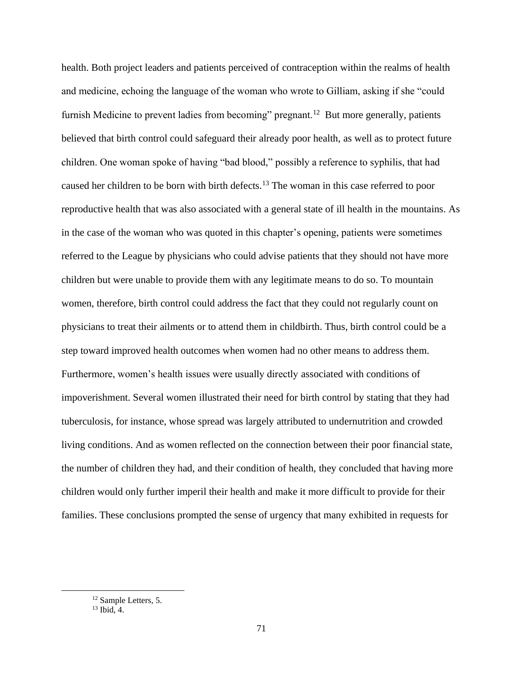health. Both project leaders and patients perceived of contraception within the realms of health and medicine, echoing the language of the woman who wrote to Gilliam, asking if she "could furnish Medicine to prevent ladies from becoming" pregnant.<sup>12</sup> But more generally, patients believed that birth control could safeguard their already poor health, as well as to protect future children. One woman spoke of having "bad blood," possibly a reference to syphilis, that had caused her children to be born with birth defects.<sup>13</sup> The woman in this case referred to poor reproductive health that was also associated with a general state of ill health in the mountains. As in the case of the woman who was quoted in this chapter's opening, patients were sometimes referred to the League by physicians who could advise patients that they should not have more children but were unable to provide them with any legitimate means to do so. To mountain women, therefore, birth control could address the fact that they could not regularly count on physicians to treat their ailments or to attend them in childbirth. Thus, birth control could be a step toward improved health outcomes when women had no other means to address them. Furthermore, women's health issues were usually directly associated with conditions of impoverishment. Several women illustrated their need for birth control by stating that they had tuberculosis, for instance, whose spread was largely attributed to undernutrition and crowded living conditions. And as women reflected on the connection between their poor financial state, the number of children they had, and their condition of health, they concluded that having more children would only further imperil their health and make it more difficult to provide for their families. These conclusions prompted the sense of urgency that many exhibited in requests for

<sup>12</sup> Sample Letters, 5.

 $13$  Ibid, 4.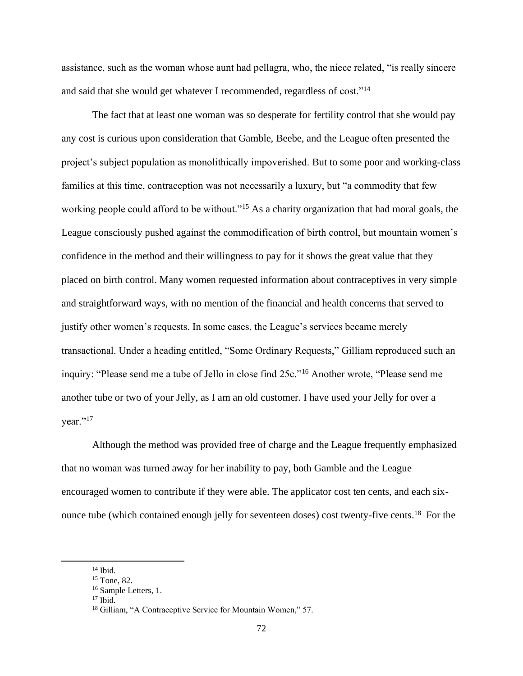assistance, such as the woman whose aunt had pellagra, who, the niece related, "is really sincere and said that she would get whatever I recommended, regardless of cost."<sup>14</sup>

The fact that at least one woman was so desperate for fertility control that she would pay any cost is curious upon consideration that Gamble, Beebe, and the League often presented the project's subject population as monolithically impoverished. But to some poor and working-class families at this time, contraception was not necessarily a luxury, but "a commodity that few working people could afford to be without."<sup>15</sup> As a charity organization that had moral goals, the League consciously pushed against the commodification of birth control, but mountain women's confidence in the method and their willingness to pay for it shows the great value that they placed on birth control. Many women requested information about contraceptives in very simple and straightforward ways, with no mention of the financial and health concerns that served to justify other women's requests. In some cases, the League's services became merely transactional. Under a heading entitled, "Some Ordinary Requests," Gilliam reproduced such an inquiry: "Please send me a tube of Jello in close find 25c."<sup>16</sup> Another wrote, "Please send me another tube or two of your Jelly, as I am an old customer. I have used your Jelly for over a vear." $17$ 

Although the method was provided free of charge and the League frequently emphasized that no woman was turned away for her inability to pay, both Gamble and the League encouraged women to contribute if they were able. The applicator cost ten cents, and each sixounce tube (which contained enough jelly for seventeen doses) cost twenty-five cents.<sup>18</sup> For the

 $14$  Ibid.

<sup>15</sup> Tone, 82.

<sup>&</sup>lt;sup>16</sup> Sample Letters, 1.  $17$  Ibid.

<sup>&</sup>lt;sup>18</sup> Gilliam, "A Contraceptive Service for Mountain Women," 57.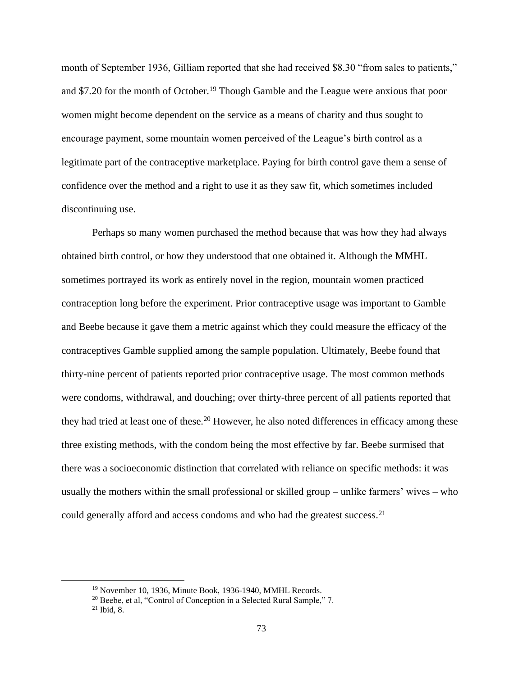month of September 1936, Gilliam reported that she had received \$8.30 "from sales to patients," and \$7.20 for the month of October.<sup>19</sup> Though Gamble and the League were anxious that poor women might become dependent on the service as a means of charity and thus sought to encourage payment, some mountain women perceived of the League's birth control as a legitimate part of the contraceptive marketplace. Paying for birth control gave them a sense of confidence over the method and a right to use it as they saw fit, which sometimes included discontinuing use.

Perhaps so many women purchased the method because that was how they had always obtained birth control, or how they understood that one obtained it. Although the MMHL sometimes portrayed its work as entirely novel in the region, mountain women practiced contraception long before the experiment. Prior contraceptive usage was important to Gamble and Beebe because it gave them a metric against which they could measure the efficacy of the contraceptives Gamble supplied among the sample population. Ultimately, Beebe found that thirty-nine percent of patients reported prior contraceptive usage. The most common methods were condoms, withdrawal, and douching; over thirty-three percent of all patients reported that they had tried at least one of these.<sup>20</sup> However, he also noted differences in efficacy among these three existing methods, with the condom being the most effective by far. Beebe surmised that there was a socioeconomic distinction that correlated with reliance on specific methods: it was usually the mothers within the small professional or skilled group – unlike farmers' wives – who could generally afford and access condoms and who had the greatest success.<sup>21</sup>

<sup>19</sup> November 10, 1936, Minute Book, 1936-1940, MMHL Records.

<sup>&</sup>lt;sup>20</sup> Beebe, et al, "Control of Conception in a Selected Rural Sample," 7.

 $21$  Ibid, 8.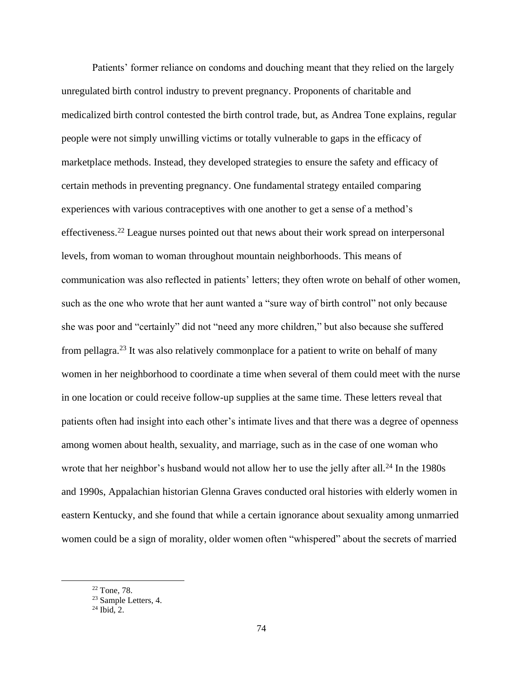Patients' former reliance on condoms and douching meant that they relied on the largely unregulated birth control industry to prevent pregnancy. Proponents of charitable and medicalized birth control contested the birth control trade, but, as Andrea Tone explains, regular people were not simply unwilling victims or totally vulnerable to gaps in the efficacy of marketplace methods. Instead, they developed strategies to ensure the safety and efficacy of certain methods in preventing pregnancy. One fundamental strategy entailed comparing experiences with various contraceptives with one another to get a sense of a method's effectiveness.<sup>22</sup> League nurses pointed out that news about their work spread on interpersonal levels, from woman to woman throughout mountain neighborhoods. This means of communication was also reflected in patients' letters; they often wrote on behalf of other women, such as the one who wrote that her aunt wanted a "sure way of birth control" not only because she was poor and "certainly" did not "need any more children," but also because she suffered from pellagra.<sup>23</sup> It was also relatively commonplace for a patient to write on behalf of many women in her neighborhood to coordinate a time when several of them could meet with the nurse in one location or could receive follow-up supplies at the same time. These letters reveal that patients often had insight into each other's intimate lives and that there was a degree of openness among women about health, sexuality, and marriage, such as in the case of one woman who wrote that her neighbor's husband would not allow her to use the jelly after all.<sup>24</sup> In the 1980s and 1990s, Appalachian historian Glenna Graves conducted oral histories with elderly women in eastern Kentucky, and she found that while a certain ignorance about sexuality among unmarried women could be a sign of morality, older women often "whispered" about the secrets of married

<sup>22</sup> Tone, 78.

<sup>&</sup>lt;sup>23</sup> Sample Letters, 4.

 $24$  Ibid, 2.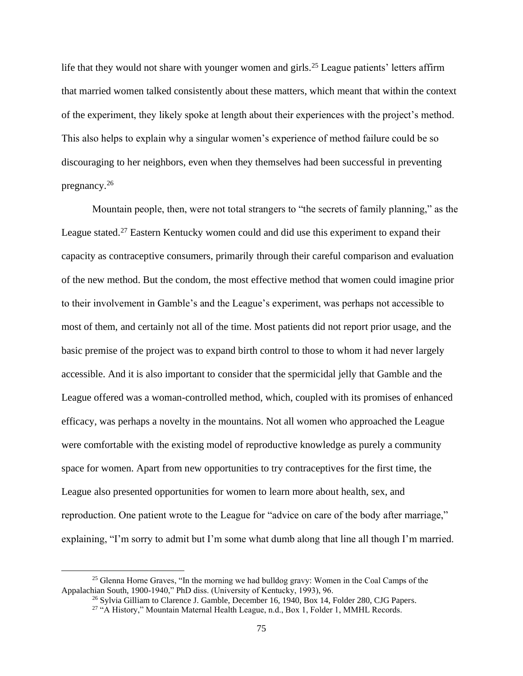life that they would not share with younger women and girls.<sup>25</sup> League patients' letters affirm that married women talked consistently about these matters, which meant that within the context of the experiment, they likely spoke at length about their experiences with the project's method. This also helps to explain why a singular women's experience of method failure could be so discouraging to her neighbors, even when they themselves had been successful in preventing pregnancy.<sup>26</sup>

Mountain people, then, were not total strangers to "the secrets of family planning," as the League stated.<sup>27</sup> Eastern Kentucky women could and did use this experiment to expand their capacity as contraceptive consumers, primarily through their careful comparison and evaluation of the new method. But the condom, the most effective method that women could imagine prior to their involvement in Gamble's and the League's experiment, was perhaps not accessible to most of them, and certainly not all of the time. Most patients did not report prior usage, and the basic premise of the project was to expand birth control to those to whom it had never largely accessible. And it is also important to consider that the spermicidal jelly that Gamble and the League offered was a woman-controlled method, which, coupled with its promises of enhanced efficacy, was perhaps a novelty in the mountains. Not all women who approached the League were comfortable with the existing model of reproductive knowledge as purely a community space for women. Apart from new opportunities to try contraceptives for the first time, the League also presented opportunities for women to learn more about health, sex, and reproduction. One patient wrote to the League for "advice on care of the body after marriage," explaining, "I'm sorry to admit but I'm some what dumb along that line all though I'm married.

<sup>&</sup>lt;sup>25</sup> Glenna Horne Graves, "In the morning we had bulldog gravy: Women in the Coal Camps of the Appalachian South, 1900-1940," PhD diss. (University of Kentucky, 1993), 96.

<sup>&</sup>lt;sup>26</sup> Sylvia Gilliam to Clarence J. Gamble, December 16, 1940, Box 14, Folder 280, CJG Papers.

<sup>&</sup>lt;sup>27</sup> "A History," Mountain Maternal Health League, n.d., Box 1, Folder 1, MMHL Records.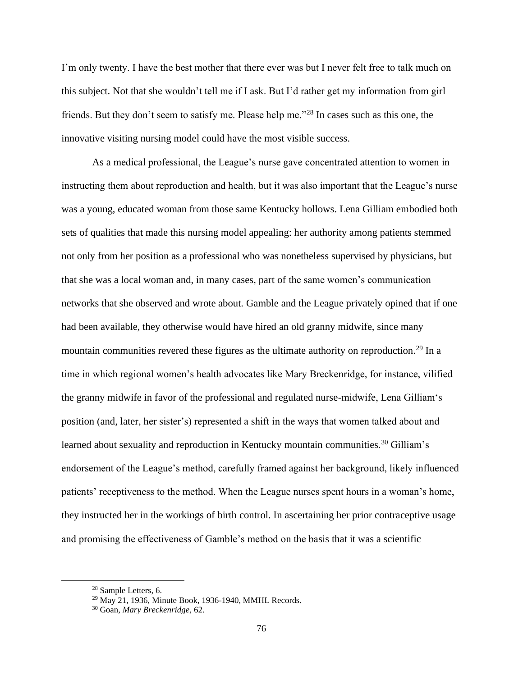I'm only twenty. I have the best mother that there ever was but I never felt free to talk much on this subject. Not that she wouldn't tell me if I ask. But I'd rather get my information from girl friends. But they don't seem to satisfy me. Please help me."<sup>28</sup> In cases such as this one, the innovative visiting nursing model could have the most visible success.

As a medical professional, the League's nurse gave concentrated attention to women in instructing them about reproduction and health, but it was also important that the League's nurse was a young, educated woman from those same Kentucky hollows. Lena Gilliam embodied both sets of qualities that made this nursing model appealing: her authority among patients stemmed not only from her position as a professional who was nonetheless supervised by physicians, but that she was a local woman and, in many cases, part of the same women's communication networks that she observed and wrote about. Gamble and the League privately opined that if one had been available, they otherwise would have hired an old granny midwife, since many mountain communities revered these figures as the ultimate authority on reproduction.<sup>29</sup> In a time in which regional women's health advocates like Mary Breckenridge, for instance, vilified the granny midwife in favor of the professional and regulated nurse-midwife, Lena Gilliam's position (and, later, her sister's) represented a shift in the ways that women talked about and learned about sexuality and reproduction in Kentucky mountain communities.<sup>30</sup> Gilliam's endorsement of the League's method, carefully framed against her background, likely influenced patients' receptiveness to the method. When the League nurses spent hours in a woman's home, they instructed her in the workings of birth control. In ascertaining her prior contraceptive usage and promising the effectiveness of Gamble's method on the basis that it was a scientific

<sup>28</sup> Sample Letters, 6.

<sup>29</sup> May 21, 1936, Minute Book, 1936-1940, MMHL Records.

<sup>30</sup> Goan, *Mary Breckenridge,* 62.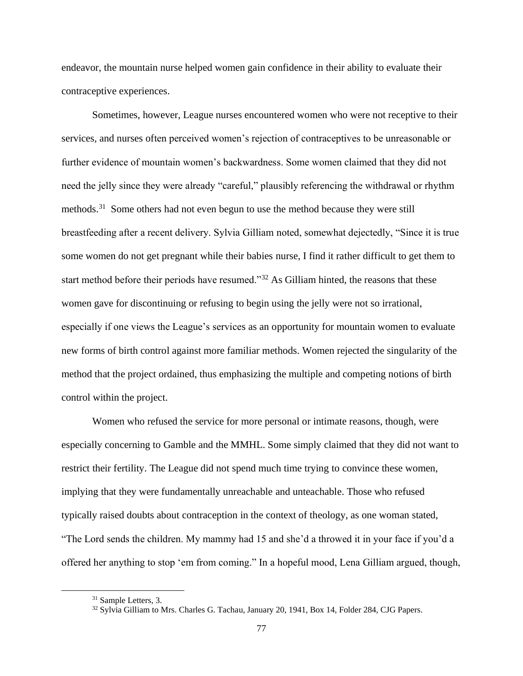endeavor, the mountain nurse helped women gain confidence in their ability to evaluate their contraceptive experiences.

Sometimes, however, League nurses encountered women who were not receptive to their services, and nurses often perceived women's rejection of contraceptives to be unreasonable or further evidence of mountain women's backwardness. Some women claimed that they did not need the jelly since they were already "careful," plausibly referencing the withdrawal or rhythm methods.<sup>31</sup> Some others had not even begun to use the method because they were still breastfeeding after a recent delivery. Sylvia Gilliam noted, somewhat dejectedly, "Since it is true some women do not get pregnant while their babies nurse, I find it rather difficult to get them to start method before their periods have resumed."<sup>32</sup> As Gilliam hinted, the reasons that these women gave for discontinuing or refusing to begin using the jelly were not so irrational, especially if one views the League's services as an opportunity for mountain women to evaluate new forms of birth control against more familiar methods. Women rejected the singularity of the method that the project ordained, thus emphasizing the multiple and competing notions of birth control within the project.

Women who refused the service for more personal or intimate reasons, though, were especially concerning to Gamble and the MMHL. Some simply claimed that they did not want to restrict their fertility. The League did not spend much time trying to convince these women, implying that they were fundamentally unreachable and unteachable. Those who refused typically raised doubts about contraception in the context of theology, as one woman stated, "The Lord sends the children. My mammy had 15 and she'd a throwed it in your face if you'd a offered her anything to stop 'em from coming." In a hopeful mood, Lena Gilliam argued, though,

<sup>31</sup> Sample Letters, 3.

<sup>&</sup>lt;sup>32</sup> Sylvia Gilliam to Mrs. Charles G. Tachau, January 20, 1941, Box 14, Folder 284, CJG Papers.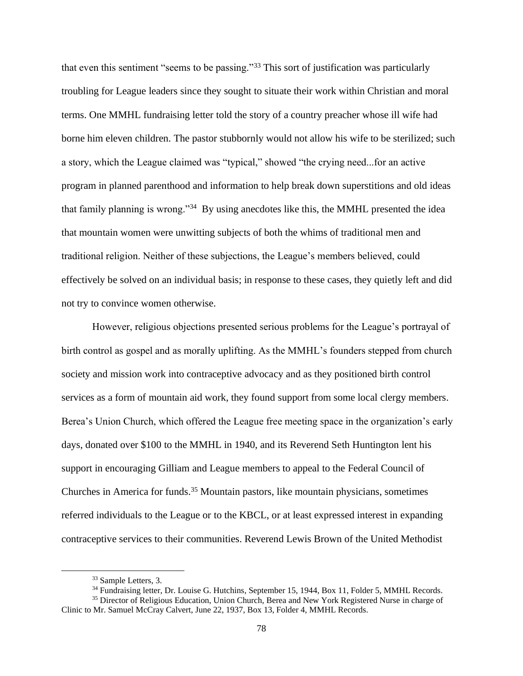that even this sentiment "seems to be passing."<sup>33</sup> This sort of justification was particularly troubling for League leaders since they sought to situate their work within Christian and moral terms. One MMHL fundraising letter told the story of a country preacher whose ill wife had borne him eleven children. The pastor stubbornly would not allow his wife to be sterilized; such a story, which the League claimed was "typical," showed "the crying need...for an active program in planned parenthood and information to help break down superstitions and old ideas that family planning is wrong."<sup>34</sup> By using anecdotes like this, the MMHL presented the idea that mountain women were unwitting subjects of both the whims of traditional men and traditional religion. Neither of these subjections, the League's members believed, could effectively be solved on an individual basis; in response to these cases, they quietly left and did not try to convince women otherwise.

However, religious objections presented serious problems for the League's portrayal of birth control as gospel and as morally uplifting. As the MMHL's founders stepped from church society and mission work into contraceptive advocacy and as they positioned birth control services as a form of mountain aid work, they found support from some local clergy members. Berea's Union Church, which offered the League free meeting space in the organization's early days, donated over \$100 to the MMHL in 1940, and its Reverend Seth Huntington lent his support in encouraging Gilliam and League members to appeal to the Federal Council of Churches in America for funds.<sup>35</sup> Mountain pastors, like mountain physicians, sometimes referred individuals to the League or to the KBCL, or at least expressed interest in expanding contraceptive services to their communities. Reverend Lewis Brown of the United Methodist

<sup>&</sup>lt;sup>33</sup> Sample Letters, 3.

<sup>&</sup>lt;sup>34</sup> Fundraising letter, Dr. Louise G. Hutchins, September 15, 1944, Box 11, Folder 5, MMHL Records.

<sup>&</sup>lt;sup>35</sup> Director of Religious Education, Union Church, Berea and New York Registered Nurse in charge of Clinic to Mr. Samuel McCray Calvert, June 22, 1937, Box 13, Folder 4, MMHL Records.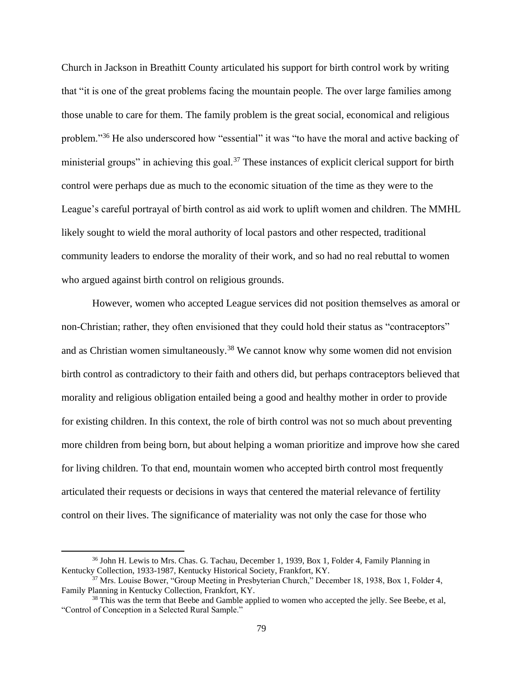Church in Jackson in Breathitt County articulated his support for birth control work by writing that "it is one of the great problems facing the mountain people. The over large families among those unable to care for them. The family problem is the great social, economical and religious problem."<sup>36</sup> He also underscored how "essential" it was "to have the moral and active backing of ministerial groups" in achieving this goal.<sup>37</sup> These instances of explicit clerical support for birth control were perhaps due as much to the economic situation of the time as they were to the League's careful portrayal of birth control as aid work to uplift women and children. The MMHL likely sought to wield the moral authority of local pastors and other respected, traditional community leaders to endorse the morality of their work, and so had no real rebuttal to women who argued against birth control on religious grounds.

However, women who accepted League services did not position themselves as amoral or non-Christian; rather, they often envisioned that they could hold their status as "contraceptors" and as Christian women simultaneously.<sup>38</sup> We cannot know why some women did not envision birth control as contradictory to their faith and others did, but perhaps contraceptors believed that morality and religious obligation entailed being a good and healthy mother in order to provide for existing children. In this context, the role of birth control was not so much about preventing more children from being born, but about helping a woman prioritize and improve how she cared for living children. To that end, mountain women who accepted birth control most frequently articulated their requests or decisions in ways that centered the material relevance of fertility control on their lives. The significance of materiality was not only the case for those who

<sup>36</sup> John H. Lewis to Mrs. Chas. G. Tachau, December 1, 1939, Box 1, Folder 4, Family Planning in Kentucky Collection, 1933-1987, Kentucky Historical Society, Frankfort, KY.

<sup>&</sup>lt;sup>37</sup> Mrs. Louise Bower, "Group Meeting in Presbyterian Church," December 18, 1938, Box 1, Folder 4, Family Planning in Kentucky Collection, Frankfort, KY.

<sup>&</sup>lt;sup>38</sup> This was the term that Beebe and Gamble applied to women who accepted the jelly. See Beebe, et al, "Control of Conception in a Selected Rural Sample."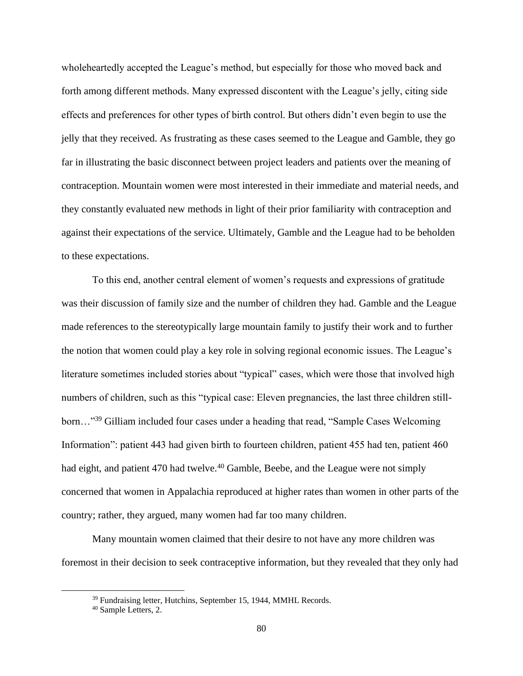wholeheartedly accepted the League's method, but especially for those who moved back and forth among different methods. Many expressed discontent with the League's jelly, citing side effects and preferences for other types of birth control. But others didn't even begin to use the jelly that they received. As frustrating as these cases seemed to the League and Gamble, they go far in illustrating the basic disconnect between project leaders and patients over the meaning of contraception. Mountain women were most interested in their immediate and material needs, and they constantly evaluated new methods in light of their prior familiarity with contraception and against their expectations of the service. Ultimately, Gamble and the League had to be beholden to these expectations.

To this end, another central element of women's requests and expressions of gratitude was their discussion of family size and the number of children they had. Gamble and the League made references to the stereotypically large mountain family to justify their work and to further the notion that women could play a key role in solving regional economic issues. The League's literature sometimes included stories about "typical" cases, which were those that involved high numbers of children, such as this "typical case: Eleven pregnancies, the last three children stillborn…"<sup>39</sup> Gilliam included four cases under a heading that read, "Sample Cases Welcoming Information": patient 443 had given birth to fourteen children, patient 455 had ten, patient 460 had eight, and patient 470 had twelve.<sup>40</sup> Gamble, Beebe, and the League were not simply concerned that women in Appalachia reproduced at higher rates than women in other parts of the country; rather, they argued, many women had far too many children.

Many mountain women claimed that their desire to not have any more children was foremost in their decision to seek contraceptive information, but they revealed that they only had

<sup>&</sup>lt;sup>39</sup> Fundraising letter, Hutchins, September 15, 1944, MMHL Records.

<sup>40</sup> Sample Letters, 2.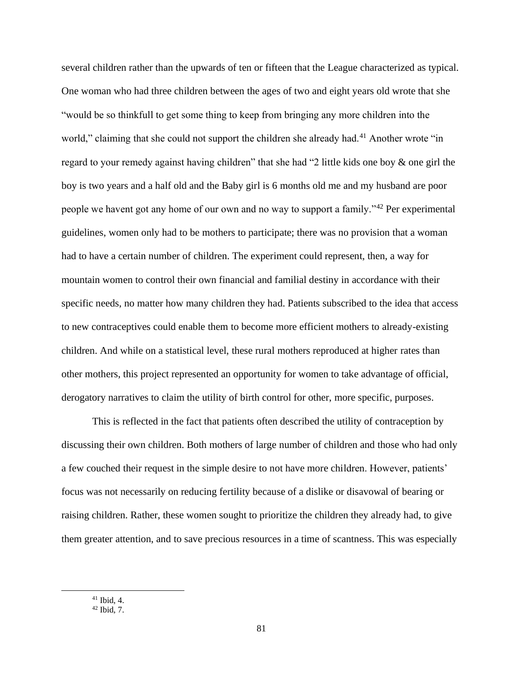several children rather than the upwards of ten or fifteen that the League characterized as typical. One woman who had three children between the ages of two and eight years old wrote that she "would be so thinkfull to get some thing to keep from bringing any more children into the world," claiming that she could not support the children she already had.<sup>41</sup> Another wrote "in regard to your remedy against having children" that she had "2 little kids one boy & one girl the boy is two years and a half old and the Baby girl is 6 months old me and my husband are poor people we havent got any home of our own and no way to support a family."<sup>42</sup> Per experimental guidelines, women only had to be mothers to participate; there was no provision that a woman had to have a certain number of children. The experiment could represent, then, a way for mountain women to control their own financial and familial destiny in accordance with their specific needs, no matter how many children they had. Patients subscribed to the idea that access to new contraceptives could enable them to become more efficient mothers to already-existing children. And while on a statistical level, these rural mothers reproduced at higher rates than other mothers, this project represented an opportunity for women to take advantage of official, derogatory narratives to claim the utility of birth control for other, more specific, purposes.

This is reflected in the fact that patients often described the utility of contraception by discussing their own children. Both mothers of large number of children and those who had only a few couched their request in the simple desire to not have more children. However, patients' focus was not necessarily on reducing fertility because of a dislike or disavowal of bearing or raising children. Rather, these women sought to prioritize the children they already had, to give them greater attention, and to save precious resources in a time of scantness. This was especially

<sup>41</sup> Ibid, 4.

 $42$  Ibid, 7.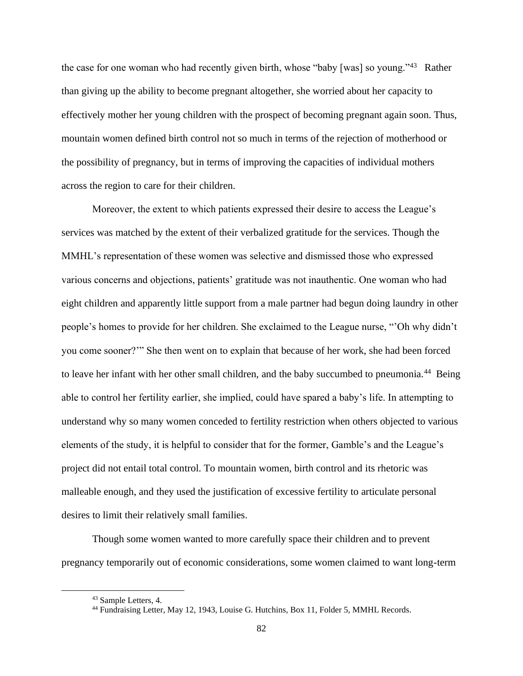the case for one woman who had recently given birth, whose "baby [was] so young."<sup>43</sup> Rather than giving up the ability to become pregnant altogether, she worried about her capacity to effectively mother her young children with the prospect of becoming pregnant again soon. Thus, mountain women defined birth control not so much in terms of the rejection of motherhood or the possibility of pregnancy, but in terms of improving the capacities of individual mothers across the region to care for their children.

Moreover, the extent to which patients expressed their desire to access the League's services was matched by the extent of their verbalized gratitude for the services. Though the MMHL's representation of these women was selective and dismissed those who expressed various concerns and objections, patients' gratitude was not inauthentic. One woman who had eight children and apparently little support from a male partner had begun doing laundry in other people's homes to provide for her children. She exclaimed to the League nurse, "'Oh why didn't you come sooner?'" She then went on to explain that because of her work, she had been forced to leave her infant with her other small children, and the baby succumbed to pneumonia.<sup>44</sup> Being able to control her fertility earlier, she implied, could have spared a baby's life. In attempting to understand why so many women conceded to fertility restriction when others objected to various elements of the study, it is helpful to consider that for the former, Gamble's and the League's project did not entail total control. To mountain women, birth control and its rhetoric was malleable enough, and they used the justification of excessive fertility to articulate personal desires to limit their relatively small families.

Though some women wanted to more carefully space their children and to prevent pregnancy temporarily out of economic considerations, some women claimed to want long-term

<sup>43</sup> Sample Letters, 4.

<sup>44</sup> Fundraising Letter, May 12, 1943, Louise G. Hutchins, Box 11, Folder 5, MMHL Records.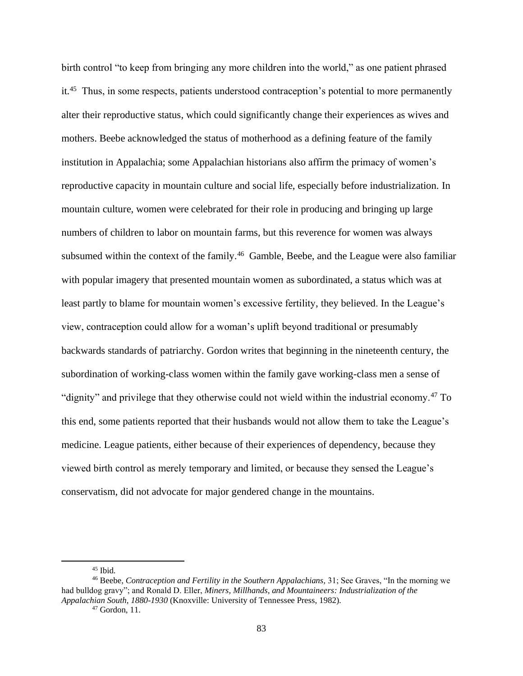birth control "to keep from bringing any more children into the world," as one patient phrased it.<sup>45</sup> Thus, in some respects, patients understood contraception's potential to more permanently alter their reproductive status, which could significantly change their experiences as wives and mothers. Beebe acknowledged the status of motherhood as a defining feature of the family institution in Appalachia; some Appalachian historians also affirm the primacy of women's reproductive capacity in mountain culture and social life, especially before industrialization. In mountain culture, women were celebrated for their role in producing and bringing up large numbers of children to labor on mountain farms, but this reverence for women was always subsumed within the context of the family.<sup>46</sup> Gamble, Beebe, and the League were also familiar with popular imagery that presented mountain women as subordinated, a status which was at least partly to blame for mountain women's excessive fertility, they believed. In the League's view, contraception could allow for a woman's uplift beyond traditional or presumably backwards standards of patriarchy. Gordon writes that beginning in the nineteenth century, the subordination of working-class women within the family gave working-class men a sense of "dignity" and privilege that they otherwise could not wield within the industrial economy.<sup>47</sup> To this end, some patients reported that their husbands would not allow them to take the League's medicine. League patients, either because of their experiences of dependency, because they viewed birth control as merely temporary and limited, or because they sensed the League's conservatism, did not advocate for major gendered change in the mountains.

 $45$  Ibid.

<sup>46</sup> Beebe, *Contraception and Fertility in the Southern Appalachians,* 31; See Graves, "In the morning we had bulldog gravy"; and Ronald D. Eller, *Miners, Millhands, and Mountaineers: Industrialization of the Appalachian South, 1880-1930* (Knoxville: University of Tennessee Press, 1982).

<sup>47</sup> Gordon, 11.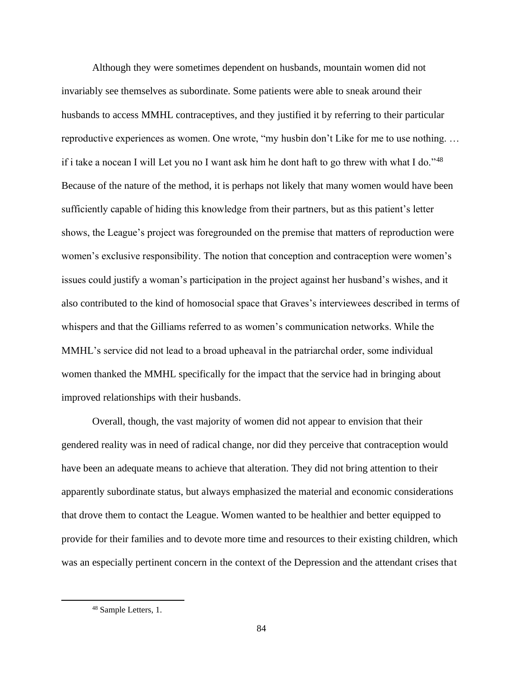Although they were sometimes dependent on husbands, mountain women did not invariably see themselves as subordinate. Some patients were able to sneak around their husbands to access MMHL contraceptives, and they justified it by referring to their particular reproductive experiences as women. One wrote, "my husbin don't Like for me to use nothing. … if i take a nocean I will Let you no I want ask him he dont haft to go threw with what I do."<sup>48</sup> Because of the nature of the method, it is perhaps not likely that many women would have been sufficiently capable of hiding this knowledge from their partners, but as this patient's letter shows, the League's project was foregrounded on the premise that matters of reproduction were women's exclusive responsibility. The notion that conception and contraception were women's issues could justify a woman's participation in the project against her husband's wishes, and it also contributed to the kind of homosocial space that Graves's interviewees described in terms of whispers and that the Gilliams referred to as women's communication networks. While the MMHL's service did not lead to a broad upheaval in the patriarchal order, some individual women thanked the MMHL specifically for the impact that the service had in bringing about improved relationships with their husbands.

Overall, though, the vast majority of women did not appear to envision that their gendered reality was in need of radical change, nor did they perceive that contraception would have been an adequate means to achieve that alteration. They did not bring attention to their apparently subordinate status, but always emphasized the material and economic considerations that drove them to contact the League. Women wanted to be healthier and better equipped to provide for their families and to devote more time and resources to their existing children, which was an especially pertinent concern in the context of the Depression and the attendant crises that

<sup>48</sup> Sample Letters, 1.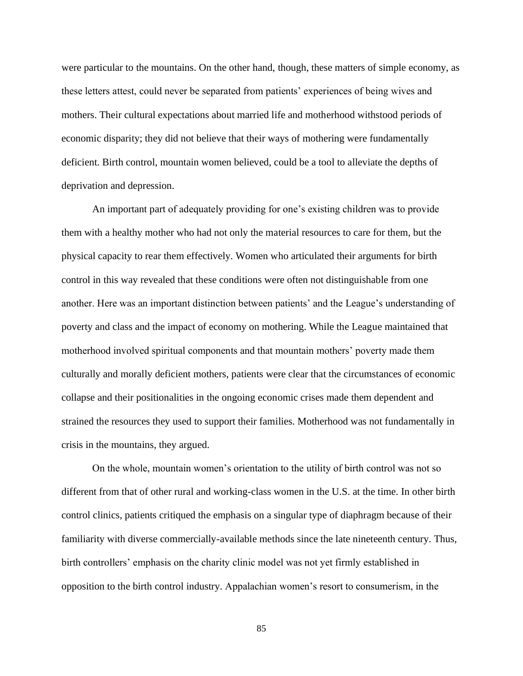were particular to the mountains. On the other hand, though, these matters of simple economy, as these letters attest, could never be separated from patients' experiences of being wives and mothers. Their cultural expectations about married life and motherhood withstood periods of economic disparity; they did not believe that their ways of mothering were fundamentally deficient. Birth control, mountain women believed, could be a tool to alleviate the depths of deprivation and depression.

An important part of adequately providing for one's existing children was to provide them with a healthy mother who had not only the material resources to care for them, but the physical capacity to rear them effectively. Women who articulated their arguments for birth control in this way revealed that these conditions were often not distinguishable from one another. Here was an important distinction between patients' and the League's understanding of poverty and class and the impact of economy on mothering. While the League maintained that motherhood involved spiritual components and that mountain mothers' poverty made them culturally and morally deficient mothers, patients were clear that the circumstances of economic collapse and their positionalities in the ongoing economic crises made them dependent and strained the resources they used to support their families. Motherhood was not fundamentally in crisis in the mountains, they argued.

On the whole, mountain women's orientation to the utility of birth control was not so different from that of other rural and working-class women in the U.S. at the time. In other birth control clinics, patients critiqued the emphasis on a singular type of diaphragm because of their familiarity with diverse commercially-available methods since the late nineteenth century. Thus, birth controllers' emphasis on the charity clinic model was not yet firmly established in opposition to the birth control industry. Appalachian women's resort to consumerism, in the

85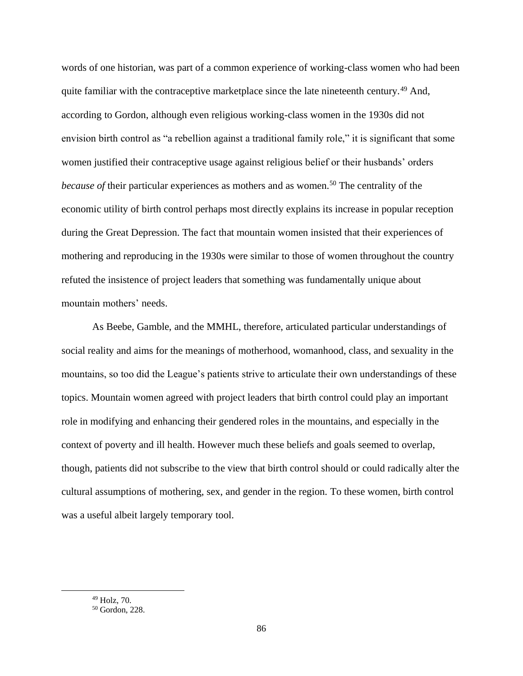words of one historian, was part of a common experience of working-class women who had been quite familiar with the contraceptive marketplace since the late nineteenth century.<sup>49</sup> And, according to Gordon, although even religious working-class women in the 1930s did not envision birth control as "a rebellion against a traditional family role," it is significant that some women justified their contraceptive usage against religious belief or their husbands' orders *because of* their particular experiences as mothers and as women.<sup>50</sup> The centrality of the economic utility of birth control perhaps most directly explains its increase in popular reception during the Great Depression. The fact that mountain women insisted that their experiences of mothering and reproducing in the 1930s were similar to those of women throughout the country refuted the insistence of project leaders that something was fundamentally unique about mountain mothers' needs.

As Beebe, Gamble, and the MMHL, therefore, articulated particular understandings of social reality and aims for the meanings of motherhood, womanhood, class, and sexuality in the mountains, so too did the League's patients strive to articulate their own understandings of these topics. Mountain women agreed with project leaders that birth control could play an important role in modifying and enhancing their gendered roles in the mountains, and especially in the context of poverty and ill health. However much these beliefs and goals seemed to overlap, though, patients did not subscribe to the view that birth control should or could radically alter the cultural assumptions of mothering, sex, and gender in the region. To these women, birth control was a useful albeit largely temporary tool.

<sup>49</sup> Holz, 70.

<sup>50</sup> Gordon, 228.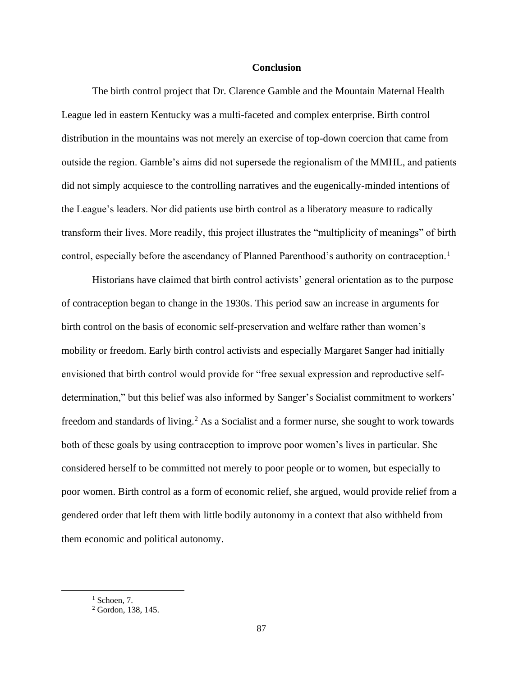### **Conclusion**

The birth control project that Dr. Clarence Gamble and the Mountain Maternal Health League led in eastern Kentucky was a multi-faceted and complex enterprise. Birth control distribution in the mountains was not merely an exercise of top-down coercion that came from outside the region. Gamble's aims did not supersede the regionalism of the MMHL, and patients did not simply acquiesce to the controlling narratives and the eugenically-minded intentions of the League's leaders. Nor did patients use birth control as a liberatory measure to radically transform their lives. More readily, this project illustrates the "multiplicity of meanings" of birth control, especially before the ascendancy of Planned Parenthood's authority on contraception.<sup>1</sup>

Historians have claimed that birth control activists' general orientation as to the purpose of contraception began to change in the 1930s. This period saw an increase in arguments for birth control on the basis of economic self-preservation and welfare rather than women's mobility or freedom. Early birth control activists and especially Margaret Sanger had initially envisioned that birth control would provide for "free sexual expression and reproductive selfdetermination," but this belief was also informed by Sanger's Socialist commitment to workers' freedom and standards of living.<sup>2</sup> As a Socialist and a former nurse, she sought to work towards both of these goals by using contraception to improve poor women's lives in particular. She considered herself to be committed not merely to poor people or to women, but especially to poor women. Birth control as a form of economic relief, she argued, would provide relief from a gendered order that left them with little bodily autonomy in a context that also withheld from them economic and political autonomy.

<sup>1</sup> Schoen*,* 7.

<sup>2</sup> Gordon, 138, 145.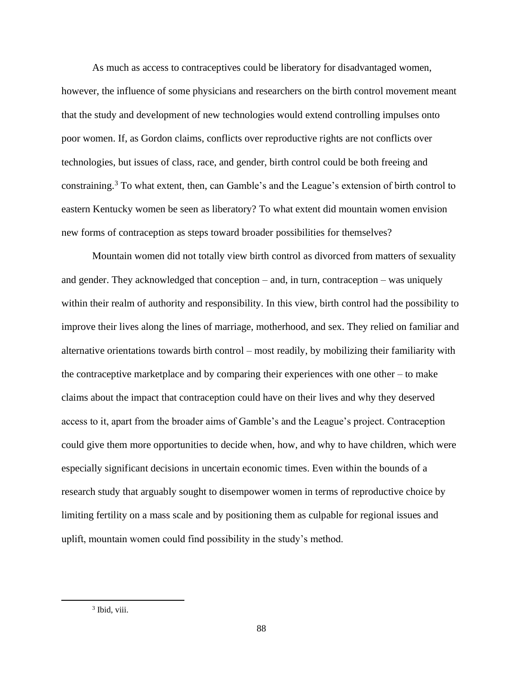As much as access to contraceptives could be liberatory for disadvantaged women, however, the influence of some physicians and researchers on the birth control movement meant that the study and development of new technologies would extend controlling impulses onto poor women. If, as Gordon claims, conflicts over reproductive rights are not conflicts over technologies, but issues of class, race, and gender, birth control could be both freeing and constraining.<sup>3</sup> To what extent, then, can Gamble's and the League's extension of birth control to eastern Kentucky women be seen as liberatory? To what extent did mountain women envision new forms of contraception as steps toward broader possibilities for themselves?

Mountain women did not totally view birth control as divorced from matters of sexuality and gender. They acknowledged that conception – and, in turn, contraception – was uniquely within their realm of authority and responsibility. In this view, birth control had the possibility to improve their lives along the lines of marriage, motherhood, and sex. They relied on familiar and alternative orientations towards birth control – most readily, by mobilizing their familiarity with the contraceptive marketplace and by comparing their experiences with one other – to make claims about the impact that contraception could have on their lives and why they deserved access to it, apart from the broader aims of Gamble's and the League's project. Contraception could give them more opportunities to decide when, how, and why to have children, which were especially significant decisions in uncertain economic times. Even within the bounds of a research study that arguably sought to disempower women in terms of reproductive choice by limiting fertility on a mass scale and by positioning them as culpable for regional issues and uplift, mountain women could find possibility in the study's method.

<sup>&</sup>lt;sup>3</sup> Ibid, viii.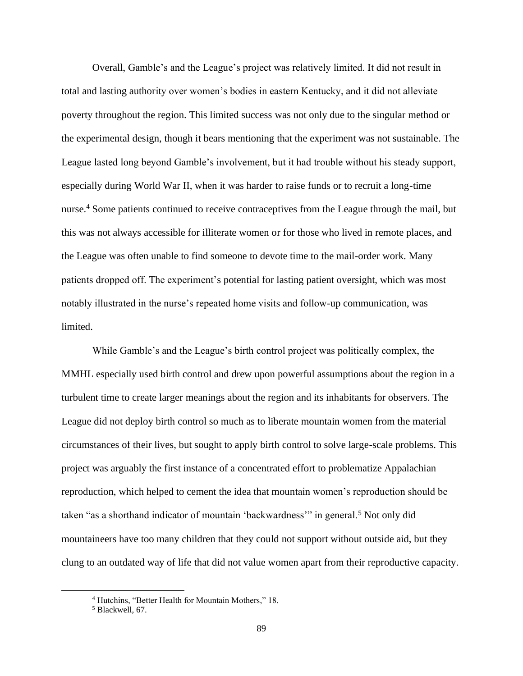Overall, Gamble's and the League's project was relatively limited. It did not result in total and lasting authority over women's bodies in eastern Kentucky, and it did not alleviate poverty throughout the region. This limited success was not only due to the singular method or the experimental design, though it bears mentioning that the experiment was not sustainable. The League lasted long beyond Gamble's involvement, but it had trouble without his steady support, especially during World War II, when it was harder to raise funds or to recruit a long-time nurse.<sup>4</sup> Some patients continued to receive contraceptives from the League through the mail, but this was not always accessible for illiterate women or for those who lived in remote places, and the League was often unable to find someone to devote time to the mail-order work. Many patients dropped off. The experiment's potential for lasting patient oversight, which was most notably illustrated in the nurse's repeated home visits and follow-up communication, was limited.

While Gamble's and the League's birth control project was politically complex, the MMHL especially used birth control and drew upon powerful assumptions about the region in a turbulent time to create larger meanings about the region and its inhabitants for observers. The League did not deploy birth control so much as to liberate mountain women from the material circumstances of their lives, but sought to apply birth control to solve large-scale problems. This project was arguably the first instance of a concentrated effort to problematize Appalachian reproduction, which helped to cement the idea that mountain women's reproduction should be taken "as a shorthand indicator of mountain 'backwardness'" in general.<sup>5</sup> Not only did mountaineers have too many children that they could not support without outside aid, but they clung to an outdated way of life that did not value women apart from their reproductive capacity.

<sup>4</sup> Hutchins, "Better Health for Mountain Mothers," 18.

<sup>5</sup> Blackwell, 67.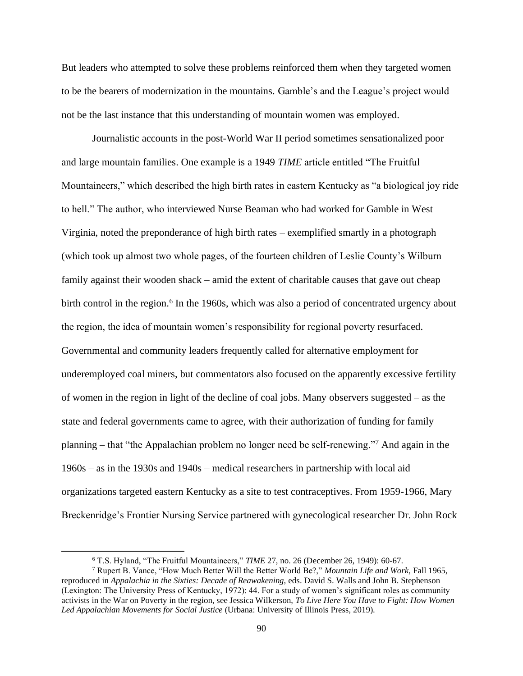But leaders who attempted to solve these problems reinforced them when they targeted women to be the bearers of modernization in the mountains. Gamble's and the League's project would not be the last instance that this understanding of mountain women was employed.

Journalistic accounts in the post-World War II period sometimes sensationalized poor and large mountain families. One example is a 1949 *TIME* article entitled "The Fruitful Mountaineers," which described the high birth rates in eastern Kentucky as "a biological joy ride to hell." The author, who interviewed Nurse Beaman who had worked for Gamble in West Virginia, noted the preponderance of high birth rates – exemplified smartly in a photograph (which took up almost two whole pages, of the fourteen children of Leslie County's Wilburn family against their wooden shack – amid the extent of charitable causes that gave out cheap birth control in the region.<sup>6</sup> In the 1960s, which was also a period of concentrated urgency about the region, the idea of mountain women's responsibility for regional poverty resurfaced. Governmental and community leaders frequently called for alternative employment for underemployed coal miners, but commentators also focused on the apparently excessive fertility of women in the region in light of the decline of coal jobs. Many observers suggested – as the state and federal governments came to agree, with their authorization of funding for family planning – that "the Appalachian problem no longer need be self-renewing."<sup>7</sup> And again in the 1960s – as in the 1930s and 1940s – medical researchers in partnership with local aid organizations targeted eastern Kentucky as a site to test contraceptives. From 1959-1966, Mary Breckenridge's Frontier Nursing Service partnered with gynecological researcher Dr. John Rock

<sup>6</sup> T.S. Hyland, "The Fruitful Mountaineers," *TIME* 27, no. 26 (December 26, 1949): 60-67.

<sup>7</sup> Rupert B. Vance, "How Much Better Will the Better World Be?," *Mountain Life and Work,* Fall 1965, reproduced in *Appalachia in the Sixties: Decade of Reawakening,* eds. David S. Walls and John B. Stephenson (Lexington: The University Press of Kentucky, 1972): 44. For a study of women's significant roles as community activists in the War on Poverty in the region, see Jessica Wilkerson, *To Live Here You Have to Fight: How Women Led Appalachian Movements for Social Justice* (Urbana: University of Illinois Press, 2019).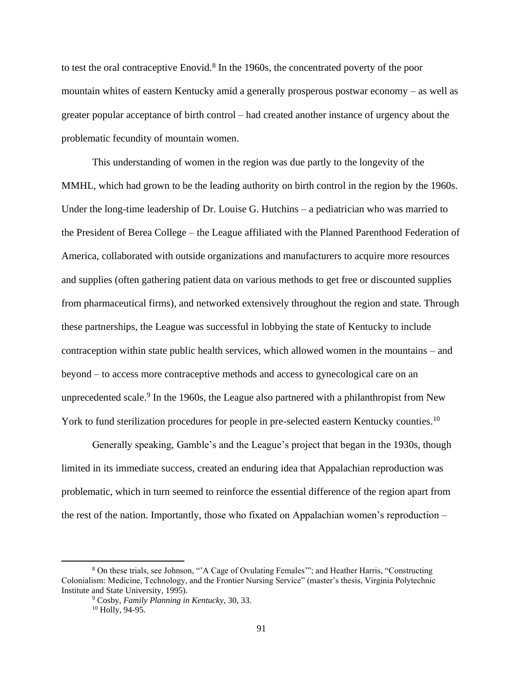to test the oral contraceptive Enovid.<sup>8</sup> In the 1960s, the concentrated poverty of the poor mountain whites of eastern Kentucky amid a generally prosperous postwar economy – as well as greater popular acceptance of birth control – had created another instance of urgency about the problematic fecundity of mountain women.

This understanding of women in the region was due partly to the longevity of the MMHL, which had grown to be the leading authority on birth control in the region by the 1960s. Under the long-time leadership of Dr. Louise G. Hutchins – a pediatrician who was married to the President of Berea College – the League affiliated with the Planned Parenthood Federation of America, collaborated with outside organizations and manufacturers to acquire more resources and supplies (often gathering patient data on various methods to get free or discounted supplies from pharmaceutical firms), and networked extensively throughout the region and state. Through these partnerships, the League was successful in lobbying the state of Kentucky to include contraception within state public health services, which allowed women in the mountains – and beyond – to access more contraceptive methods and access to gynecological care on an unprecedented scale.<sup>9</sup> In the 1960s, the League also partnered with a philanthropist from New York to fund sterilization procedures for people in pre-selected eastern Kentucky counties.<sup>10</sup>

Generally speaking, Gamble's and the League's project that began in the 1930s, though limited in its immediate success, created an enduring idea that Appalachian reproduction was problematic, which in turn seemed to reinforce the essential difference of the region apart from the rest of the nation. Importantly, those who fixated on Appalachian women's reproduction –

<sup>8</sup> On these trials, see Johnson, "'A Cage of Ovulating Females'"; and Heather Harris, "Constructing Colonialism: Medicine, Technology, and the Frontier Nursing Service" (master's thesis, Virginia Polytechnic Institute and State University, 1995).

<sup>9</sup> Cosby, *Family Planning in Kentucky,* 30, 33.  $10$  Holly, 94-95.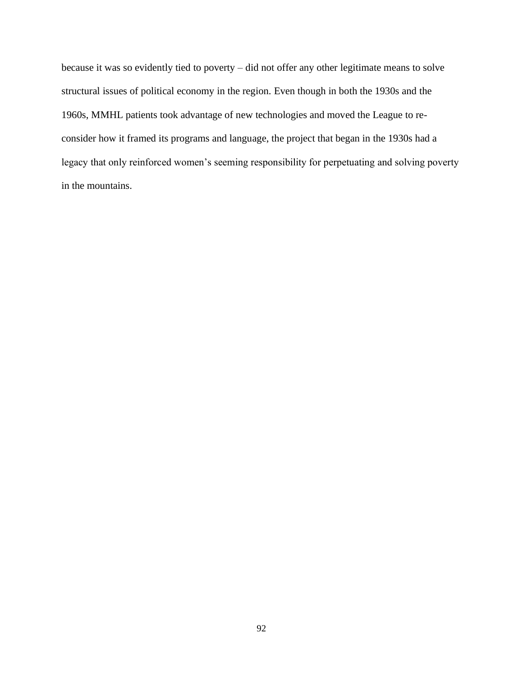because it was so evidently tied to poverty – did not offer any other legitimate means to solve structural issues of political economy in the region. Even though in both the 1930s and the 1960s, MMHL patients took advantage of new technologies and moved the League to reconsider how it framed its programs and language, the project that began in the 1930s had a legacy that only reinforced women's seeming responsibility for perpetuating and solving poverty in the mountains.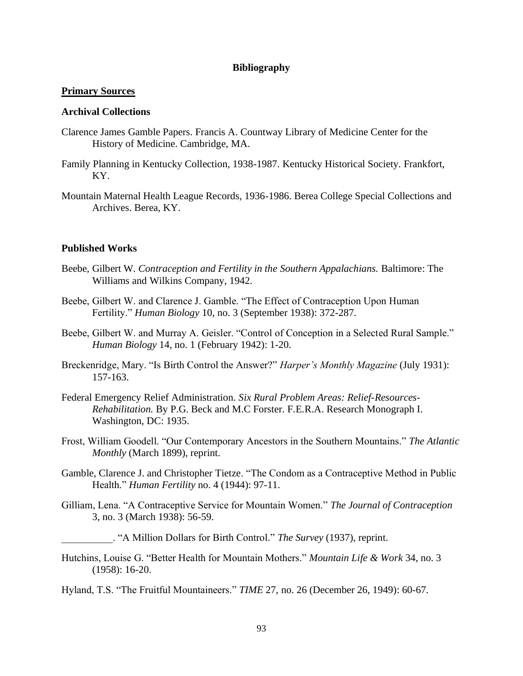# **Bibliography**

## **Primary Sources**

### **Archival Collections**

- Clarence James Gamble Papers. Francis A. Countway Library of Medicine Center for the History of Medicine. Cambridge, MA.
- Family Planning in Kentucky Collection, 1938-1987. Kentucky Historical Society. Frankfort, KY.
- Mountain Maternal Health League Records, 1936-1986. Berea College Special Collections and Archives. Berea, KY.

## **Published Works**

- Beebe, Gilbert W. *Contraception and Fertility in the Southern Appalachians.* Baltimore: The Williams and Wilkins Company, 1942.
- Beebe, Gilbert W. and Clarence J. Gamble. "The Effect of Contraception Upon Human Fertility." *Human Biology* 10, no. 3 (September 1938): 372-287.
- Beebe, Gilbert W. and Murray A. Geisler. "Control of Conception in a Selected Rural Sample." *Human Biology* 14, no. 1 (February 1942): 1-20.
- Breckenridge, Mary. "Is Birth Control the Answer?" *Harper's Monthly Magazine* (July 1931): 157-163.
- Federal Emergency Relief Administration. *Six Rural Problem Areas: Relief-Resources-Rehabilitation.* By P.G. Beck and M.C Forster. F.E.R.A. Research Monograph I. Washington, DC: 1935.
- Frost, William Goodell. "Our Contemporary Ancestors in the Southern Mountains." *The Atlantic Monthly* (March 1899), reprint.
- Gamble, Clarence J. and Christopher Tietze. "The Condom as a Contraceptive Method in Public Health." *Human Fertility* no. 4 (1944): 97-11.
- Gilliam, Lena. "A Contraceptive Service for Mountain Women." *The Journal of Contraception*  3, no. 3 (March 1938): 56-59.

\_\_\_\_\_\_\_\_\_\_. "A Million Dollars for Birth Control." *The Survey* (1937), reprint.

Hutchins, Louise G. "Better Health for Mountain Mothers." *Mountain Life & Work* 34, no. 3 (1958): 16-20.

Hyland, T.S. "The Fruitful Mountaineers." *TIME* 27, no. 26 (December 26, 1949): 60-67.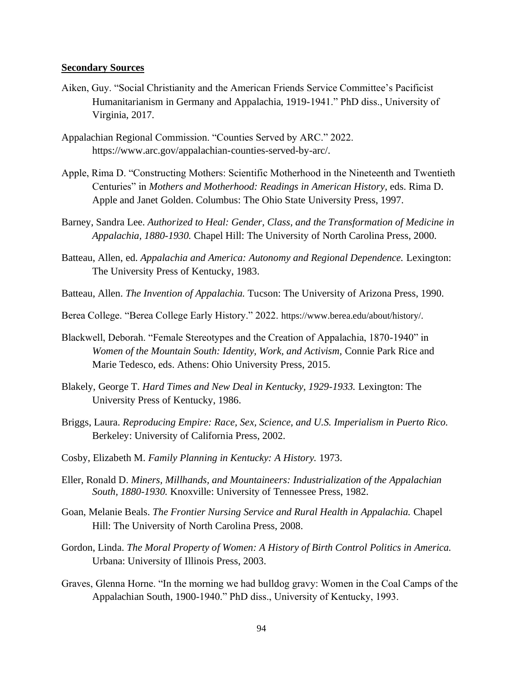#### **Secondary Sources**

- Aiken, Guy. "Social Christianity and the American Friends Service Committee's Pacificist Humanitarianism in Germany and Appalachia, 1919-1941." PhD diss., University of Virginia, 2017.
- Appalachian Regional Commission. "Counties Served by ARC." 2022. https://www.arc.gov/appalachian-counties-served-by-arc/.
- Apple, Rima D. "Constructing Mothers: Scientific Motherhood in the Nineteenth and Twentieth Centuries" in *Mothers and Motherhood: Readings in American History,* eds. Rima D. Apple and Janet Golden. Columbus: The Ohio State University Press, 1997.
- Barney, Sandra Lee. *Authorized to Heal: Gender, Class, and the Transformation of Medicine in Appalachia, 1880-1930.* Chapel Hill: The University of North Carolina Press, 2000.
- Batteau, Allen, ed. *Appalachia and America: Autonomy and Regional Dependence*. Lexington: The University Press of Kentucky, 1983.
- Batteau, Allen. *The Invention of Appalachia.* Tucson: The University of Arizona Press, 1990.
- Berea College. "Berea College Early History." 2022. https://www.berea.edu/about/history/.
- Blackwell, Deborah. "Female Stereotypes and the Creation of Appalachia, 1870-1940" in *Women of the Mountain South: Identity, Work, and Activism,* Connie Park Rice and Marie Tedesco, eds. Athens: Ohio University Press, 2015.
- Blakely, George T. *Hard Times and New Deal in Kentucky, 1929-1933.* Lexington: The University Press of Kentucky, 1986.
- Briggs, Laura. *Reproducing Empire: Race, Sex, Science, and U.S. Imperialism in Puerto Rico.*  Berkeley: University of California Press, 2002.
- Cosby, Elizabeth M. *Family Planning in Kentucky: A History.* 1973.
- Eller, Ronald D. *Miners, Millhands, and Mountaineers: Industrialization of the Appalachian South, 1880-1930.* Knoxville: University of Tennessee Press, 1982.
- Goan, Melanie Beals. *The Frontier Nursing Service and Rural Health in Appalachia.* Chapel Hill: The University of North Carolina Press, 2008.
- Gordon, Linda. *The Moral Property of Women: A History of Birth Control Politics in America.*  Urbana: University of Illinois Press, 2003.
- Graves, Glenna Horne. "In the morning we had bulldog gravy: Women in the Coal Camps of the Appalachian South, 1900-1940." PhD diss., University of Kentucky, 1993.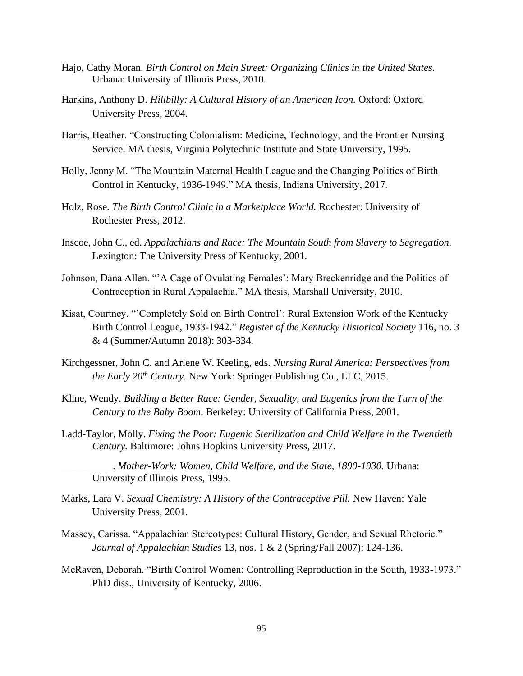- Hajo, Cathy Moran. *Birth Control on Main Street: Organizing Clinics in the United States.*  Urbana: University of Illinois Press, 2010.
- Harkins, Anthony D. *Hillbilly: A Cultural History of an American Icon.* Oxford: Oxford University Press, 2004.
- Harris, Heather. "Constructing Colonialism: Medicine, Technology, and the Frontier Nursing Service. MA thesis, Virginia Polytechnic Institute and State University, 1995.
- Holly, Jenny M. "The Mountain Maternal Health League and the Changing Politics of Birth Control in Kentucky, 1936-1949." MA thesis, Indiana University, 2017.
- Holz, Rose. *The Birth Control Clinic in a Marketplace World.* Rochester: University of Rochester Press, 2012.
- Inscoe, John C., ed. *Appalachians and Race: The Mountain South from Slavery to Segregation.*  Lexington: The University Press of Kentucky, 2001.
- Johnson, Dana Allen. "'A Cage of Ovulating Females': Mary Breckenridge and the Politics of Contraception in Rural Appalachia." MA thesis, Marshall University, 2010.
- Kisat, Courtney. "'Completely Sold on Birth Control': Rural Extension Work of the Kentucky Birth Control League, 1933-1942." *Register of the Kentucky Historical Society* 116, no. 3 & 4 (Summer/Autumn 2018): 303-334.
- Kirchgessner, John C. and Arlene W. Keeling, eds. *Nursing Rural America: Perspectives from the Early 20th Century.* New York: Springer Publishing Co., LLC, 2015.
- Kline, Wendy. *Building a Better Race: Gender, Sexuality, and Eugenics from the Turn of the Century to the Baby Boom.* Berkeley: University of California Press, 2001.
- Ladd-Taylor, Molly. *Fixing the Poor: Eugenic Sterilization and Child Welfare in the Twentieth Century.* Baltimore: Johns Hopkins University Press, 2017.

\_\_\_\_\_\_\_\_\_\_. *Mother-Work: Women, Child Welfare, and the State, 1890-1930.* Urbana: University of Illinois Press, 1995.

- Marks, Lara V. *Sexual Chemistry: A History of the Contraceptive Pill.* New Haven: Yale University Press, 2001.
- Massey, Carissa. "Appalachian Stereotypes: Cultural History, Gender, and Sexual Rhetoric." *Journal of Appalachian Studies* 13, nos. 1 & 2 (Spring/Fall 2007): 124-136.
- McRaven, Deborah. "Birth Control Women: Controlling Reproduction in the South, 1933-1973." PhD diss., University of Kentucky, 2006.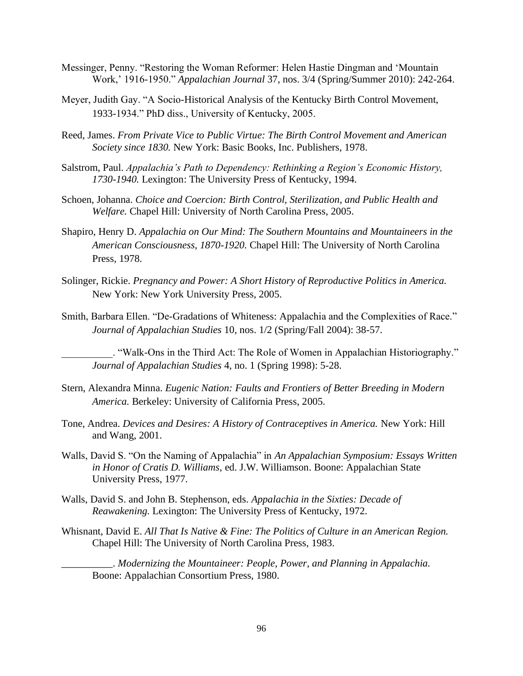- Messinger, Penny. "Restoring the Woman Reformer: Helen Hastie Dingman and 'Mountain Work,' 1916-1950." *Appalachian Journal* 37, nos. 3/4 (Spring/Summer 2010): 242-264.
- Meyer, Judith Gay. "A Socio-Historical Analysis of the Kentucky Birth Control Movement, 1933-1934." PhD diss., University of Kentucky, 2005.
- Reed, James. *From Private Vice to Public Virtue: The Birth Control Movement and American Society since 1830.* New York: Basic Books, Inc. Publishers, 1978.
- Salstrom, Paul. *Appalachia's Path to Dependency: Rethinking a Region's Economic History, 1730-1940.* Lexington: The University Press of Kentucky, 1994.
- Schoen, Johanna. *Choice and Coercion: Birth Control, Sterilization, and Public Health and Welfare.* Chapel Hill: University of North Carolina Press, 2005.
- Shapiro, Henry D. *Appalachia on Our Mind: The Southern Mountains and Mountaineers in the American Consciousness, 1870-1920.* Chapel Hill: The University of North Carolina Press, 1978.
- Solinger, Rickie. *Pregnancy and Power: A Short History of Reproductive Politics in America.*  New York: New York University Press, 2005.
- Smith, Barbara Ellen. "De-Gradations of Whiteness: Appalachia and the Complexities of Race." *Journal of Appalachian Studies* 10, nos. 1/2 (Spring/Fall 2004): 38-57.

\_\_\_\_\_\_\_\_\_\_. "Walk-Ons in the Third Act: The Role of Women in Appalachian Historiography." *Journal of Appalachian Studies* 4, no. 1 (Spring 1998): 5-28.

- Stern, Alexandra Minna. *Eugenic Nation: Faults and Frontiers of Better Breeding in Modern America.* Berkeley: University of California Press, 2005.
- Tone, Andrea. *Devices and Desires: A History of Contraceptives in America.* New York: Hill and Wang, 2001.
- Walls, David S. "On the Naming of Appalachia" in *An Appalachian Symposium: Essays Written in Honor of Cratis D. Williams,* ed. J.W. Williamson. Boone: Appalachian State University Press, 1977.
- Walls, David S. and John B. Stephenson, eds. *Appalachia in the Sixties: Decade of Reawakening.* Lexington: The University Press of Kentucky, 1972.
- Whisnant, David E. *All That Is Native & Fine: The Politics of Culture in an American Region.*  Chapel Hill: The University of North Carolina Press, 1983.

\_\_\_\_\_\_\_\_\_\_. *Modernizing the Mountaineer: People, Power, and Planning in Appalachia.*  Boone: Appalachian Consortium Press, 1980.